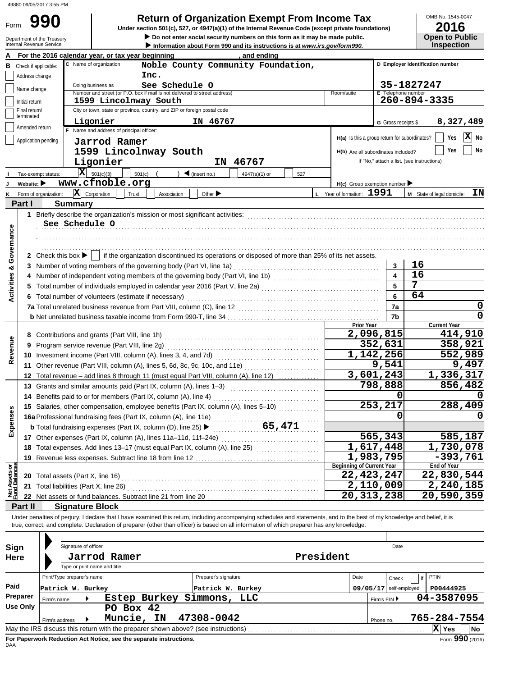|                           | 49880 09/05/2017 3:55 PM        |                                                                                                                                                                                                                                                  |                                                                             |                           |                                               |                                  |
|---------------------------|---------------------------------|--------------------------------------------------------------------------------------------------------------------------------------------------------------------------------------------------------------------------------------------------|-----------------------------------------------------------------------------|---------------------------|-----------------------------------------------|----------------------------------|
|                           | 990                             |                                                                                                                                                                                                                                                  | <b>Return of Organization Exempt From Income Tax</b>                        |                           |                                               | OMB No. 1545-0047                |
| Form                      |                                 | Under section 501(c), 527, or 4947(a)(1) of the Internal Revenue Code (except private foundations)                                                                                                                                               |                                                                             |                           |                                               | 2016                             |
|                           | Department of the Treasury      |                                                                                                                                                                                                                                                  | Do not enter social security numbers on this form as it may be made public. |                           |                                               | <b>Open to Public</b>            |
|                           | <b>Internal Revenue Service</b> |                                                                                                                                                                                                                                                  | Information about Form 990 and its instructions is at www.irs.gov/form990.  |                           |                                               | <b>Inspection</b>                |
|                           |                                 | For the 2016 calendar year, or tax year beginning                                                                                                                                                                                                | , and ending                                                                |                           |                                               |                                  |
|                           | <b>B</b> Check if applicable:   | C Name of organization                                                                                                                                                                                                                           | Noble County Community Foundation,                                          |                           |                                               | D Employer identification number |
|                           | Address change                  | Inc.                                                                                                                                                                                                                                             |                                                                             |                           |                                               |                                  |
|                           | Name change                     | Doing business as<br>See Schedule O<br>Number and street (or P.O. box if mail is not delivered to street address)                                                                                                                                |                                                                             | Room/suite                | E Telephone number                            | 35-1827247                       |
|                           | Initial return                  | 1599 Lincolnway South                                                                                                                                                                                                                            |                                                                             |                           |                                               | 260-894-3335                     |
|                           | Final return/                   | City or town, state or province, country, and ZIP or foreign postal code                                                                                                                                                                         |                                                                             |                           |                                               |                                  |
|                           | terminated                      | Ligonier                                                                                                                                                                                                                                         | IN 46767                                                                    |                           | G Gross receipts \$                           | 8,327,489                        |
|                           | Amended return                  | F Name and address of principal officer:                                                                                                                                                                                                         |                                                                             |                           |                                               |                                  |
|                           | Application pending             | Jarrod Ramer                                                                                                                                                                                                                                     |                                                                             |                           | H(a) Is this a group return for subordinates? | X No<br>Yes                      |
|                           |                                 | 1599 Lincolnway South                                                                                                                                                                                                                            |                                                                             |                           | H(b) Are all subordinates included?           | No<br>Yes                        |
|                           |                                 | Ligonier                                                                                                                                                                                                                                         | 46767<br>IN                                                                 |                           | If "No," attach a list. (see instructions)    |                                  |
|                           | Tax-exempt status:              | $ \mathbf{X} $ 501(c)(3)<br>501(c)<br>$\blacktriangleleft$ (insert no.)                                                                                                                                                                          | 4947(a)(1) or                                                               | 527                       |                                               |                                  |
|                           | Website: $\blacktriangleright$  | www.cfnoble.org                                                                                                                                                                                                                                  |                                                                             |                           | $H(c)$ Group exemption number                 |                                  |
| κ                         | Form of organization:           | $ \mathbf{X} $ Corporation<br>Trust<br>Association                                                                                                                                                                                               | Other $\blacktriangleright$                                                 | L Year of formation: 1991 |                                               | ΙN<br>M State of legal domicile: |
|                           | Part I                          | <b>Summary</b>                                                                                                                                                                                                                                   |                                                                             |                           |                                               |                                  |
|                           |                                 |                                                                                                                                                                                                                                                  |                                                                             |                           |                                               |                                  |
|                           |                                 | 1 Briefly describe the organization's mission or most significant activities: [1] processes contained activities in the section or most significant activities: [1] processes contained activities of the section of the secti<br>See Schedule O |                                                                             |                           |                                               |                                  |
|                           |                                 |                                                                                                                                                                                                                                                  |                                                                             |                           |                                               |                                  |
|                           |                                 |                                                                                                                                                                                                                                                  |                                                                             |                           |                                               |                                  |
|                           |                                 |                                                                                                                                                                                                                                                  |                                                                             |                           |                                               |                                  |
|                           |                                 | 2 Check this box ▶     if the organization discontinued its operations or disposed of more than 25% of its net assets.                                                                                                                           |                                                                             |                           |                                               |                                  |
| Activities & Governance   |                                 |                                                                                                                                                                                                                                                  |                                                                             |                           | 3                                             | 16                               |
|                           |                                 |                                                                                                                                                                                                                                                  |                                                                             |                           | $\overline{\mathbf{4}}$                       | 16                               |
|                           |                                 | 5 Total number of individuals employed in calendar year 2016 (Part V, line 2a) [10] (20] [10] (20] [10] (20] [10] (20] [10] (20] [10] (20] [10] (20] [10] (20] [10] (20] [10] (20] [10] (20] [10] (20] [10] (20] [10] (20] [10                   |                                                                             |                           | 5                                             | 7                                |
|                           |                                 | 6 Total number of volunteers (estimate if necessary)                                                                                                                                                                                             |                                                                             |                           | 6                                             | 64                               |
|                           |                                 |                                                                                                                                                                                                                                                  |                                                                             |                           | 7a                                            | 0                                |
|                           |                                 |                                                                                                                                                                                                                                                  |                                                                             |                           | 7b                                            | 0                                |
|                           |                                 |                                                                                                                                                                                                                                                  |                                                                             |                           | Prior Year                                    | <b>Current Year</b>              |
|                           |                                 |                                                                                                                                                                                                                                                  |                                                                             |                           | $\overline{2,096,815}$                        | 414,910                          |
|                           |                                 | 9 Program service revenue (Part VIII, line 2g)                                                                                                                                                                                                   |                                                                             |                           | 352,631                                       | 358,921                          |
| Revenue                   |                                 |                                                                                                                                                                                                                                                  |                                                                             |                           | 1,142,256                                     | 552,989                          |
|                           |                                 | 11 Other revenue (Part VIII, column (A), lines 5, 6d, 8c, 9c, 10c, and 11e)                                                                                                                                                                      |                                                                             |                           | 9,541                                         | 9,497                            |
|                           |                                 | 12 Total revenue - add lines 8 through 11 (must equal Part VIII, column (A), line 12)                                                                                                                                                            |                                                                             |                           | 3,601,243                                     | 1,336,317                        |
|                           |                                 | 13 Grants and similar amounts paid (Part IX, column (A), lines 1-3)                                                                                                                                                                              |                                                                             |                           | 798,888                                       | 856,482                          |
|                           |                                 | 14 Benefits paid to or for members (Part IX, column (A), line 4)                                                                                                                                                                                 |                                                                             |                           | Ω                                             | $\Omega$                         |
|                           |                                 | 15 Salaries, other compensation, employee benefits (Part IX, column (A), lines 5-10)                                                                                                                                                             |                                                                             |                           | 253,217                                       | 288,409                          |
|                           |                                 |                                                                                                                                                                                                                                                  |                                                                             |                           | 0                                             | 0                                |
| Expenses                  |                                 | 15 Salaries, other compensation, surface,<br>16a Professional fundraising fees (Part IX, column (A), line 11e)<br>165, 471                                                                                                                       |                                                                             |                           |                                               |                                  |
|                           |                                 | 17 Other expenses (Part IX, column (A), lines 11a-11d, 11f-24e)                                                                                                                                                                                  |                                                                             |                           | 565,343                                       | 585,187                          |
|                           |                                 | 18 Total expenses. Add lines 13-17 (must equal Part IX, column (A), line 25) [[[[[[[[[[[[[[[[[[[[[[[[[[[[[[[[                                                                                                                                    |                                                                             |                           | 1,617,448                                     | 1,730,078                        |
|                           |                                 |                                                                                                                                                                                                                                                  |                                                                             |                           | 1,983,795                                     | $-393,761$                       |
| t Assets or<br>d Balances |                                 |                                                                                                                                                                                                                                                  |                                                                             |                           | <b>Beginning of Current Year</b>              | <b>End of Year</b>               |
|                           |                                 |                                                                                                                                                                                                                                                  |                                                                             |                           | 22,423,247                                    | 22,830,544                       |
|                           |                                 | 21 Total liabilities (Part X, line 26) [11] Total in the set of the set of the set of the set of the set of the set of the set of the set of the set of the set of the set of the set of the set of the set of the set of the                    |                                                                             |                           | 2,110,009                                     | 2,240,185                        |
| 흳                         |                                 |                                                                                                                                                                                                                                                  |                                                                             |                           | 20,313,238                                    | 20,590,359                       |
|                           | Part II                         | <b>Signature Block</b>                                                                                                                                                                                                                           |                                                                             |                           |                                               |                                  |
|                           |                                 | Under penalties of perjury, I declare that I have examined this return, including accompanying schedules and statements, and to the best of my knowledge and belief, it is                                                                       |                                                                             |                           |                                               |                                  |
|                           |                                 | true, correct, and complete. Declaration of preparer (other than officer) is based on all information of which preparer has any knowledge.                                                                                                       |                                                                             |                           |                                               |                                  |
|                           |                                 |                                                                                                                                                                                                                                                  |                                                                             |                           |                                               |                                  |
| Sign                      |                                 | Signature of officer                                                                                                                                                                                                                             |                                                                             |                           | Date                                          |                                  |
| Here                      |                                 | Jarrod Ramer                                                                                                                                                                                                                                     |                                                                             | President                 |                                               |                                  |
|                           |                                 | Type or print name and title                                                                                                                                                                                                                     |                                                                             |                           |                                               |                                  |
|                           |                                 | Print/Type preparer's name                                                                                                                                                                                                                       | Preparer's signature                                                        |                           | Date<br>Check                                 | PTIN                             |
| Paid                      |                                 | Patrick W. Burkey                                                                                                                                                                                                                                | Patrick W. Burkey                                                           |                           | 09/05/17 self-employed                        | P00444925                        |
|                           | <b>Preparer</b><br>Firm's name  | Estep Burkey Simmons, LLC                                                                                                                                                                                                                        |                                                                             |                           | Firm's EIN ▶                                  | 04-3587095                       |
|                           | Use Only                        | PO Box 42                                                                                                                                                                                                                                        |                                                                             |                           |                                               |                                  |
|                           | Firm's address                  | Muncie, IN<br>47308-0042                                                                                                                                                                                                                         |                                                                             |                           | Phone no.                                     | 765-284-7554                     |
|                           |                                 | May the IRS discuss this return with the preparer shown above? (see instructions)                                                                                                                                                                |                                                                             |                           |                                               | X Yes<br>No                      |
|                           |                                 |                                                                                                                                                                                                                                                  |                                                                             |                           |                                               |                                  |

| Sign        |                                                                                                       |  | Signature of officer         |                                                                    |                      |           |      |                            | Date                     |              |                 |
|-------------|-------------------------------------------------------------------------------------------------------|--|------------------------------|--------------------------------------------------------------------|----------------------|-----------|------|----------------------------|--------------------------|--------------|-----------------|
| <b>Here</b> |                                                                                                       |  |                              | Jarrod Ramer                                                       |                      | President |      |                            |                          |              |                 |
|             |                                                                                                       |  | Type or print name and title |                                                                    |                      |           |      |                            |                          |              |                 |
|             | Print/Type preparer's name                                                                            |  |                              |                                                                    | Preparer's signature |           | Date |                            | Check                    | PTIN         |                 |
| Paid        | Patrick W. Burkey                                                                                     |  |                              |                                                                    | Patrick W. Burkey    |           |      |                            | $09/05/17$ self-employed | P00444925    |                 |
| Preparer    | Estep Burkey<br>Firm's name                                                                           |  |                              |                                                                    | Simmons,<br>LLC      |           |      | 04-3587095<br>Firm's EIN ▶ |                          |              |                 |
| Use Only    |                                                                                                       |  |                              | PO Box 42                                                          |                      |           |      |                            |                          |              |                 |
|             | Firm's address                                                                                        |  |                              | Muncie, IN                                                         | 47308-0042           |           |      | Phone no.                  |                          | 765-284-7554 |                 |
|             | IхI<br>May the IRS discuss this return with the preparer shown above? (see instructions)<br>No<br>Yes |  |                              |                                                                    |                      |           |      |                            |                          |              |                 |
|             |                                                                                                       |  |                              | For Paperwork Reduction Act Notice, see the separate instructions. |                      |           |      |                            |                          |              | Form 990 (2016) |
| DAA         |                                                                                                       |  |                              |                                                                    |                      |           |      |                            |                          |              |                 |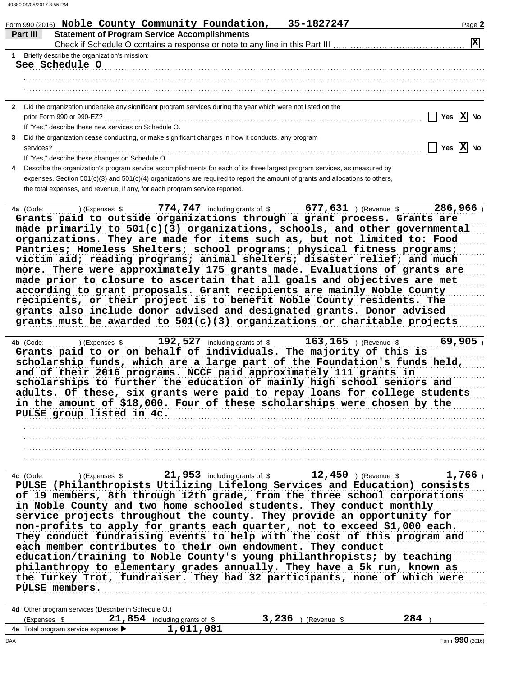|                                                      | <b>Statement of Program Service Accomplishments</b>                                                                                                                                                                                                                                                                                                                                                                                              |
|------------------------------------------------------|--------------------------------------------------------------------------------------------------------------------------------------------------------------------------------------------------------------------------------------------------------------------------------------------------------------------------------------------------------------------------------------------------------------------------------------------------|
|                                                      |                                                                                                                                                                                                                                                                                                                                                                                                                                                  |
| Briefly describe the organization's mission:         |                                                                                                                                                                                                                                                                                                                                                                                                                                                  |
| See Schedule O                                       |                                                                                                                                                                                                                                                                                                                                                                                                                                                  |
|                                                      |                                                                                                                                                                                                                                                                                                                                                                                                                                                  |
|                                                      |                                                                                                                                                                                                                                                                                                                                                                                                                                                  |
| $\mathbf{2}$                                         | Did the organization undertake any significant program services during the year which were not listed on the                                                                                                                                                                                                                                                                                                                                     |
|                                                      | Yes $\overline{X}$ No                                                                                                                                                                                                                                                                                                                                                                                                                            |
| If "Yes," describe these new services on Schedule O. |                                                                                                                                                                                                                                                                                                                                                                                                                                                  |
| 3                                                    | Did the organization cease conducting, or make significant changes in how it conducts, any program                                                                                                                                                                                                                                                                                                                                               |
|                                                      | Yes $\overline{X}$ No                                                                                                                                                                                                                                                                                                                                                                                                                            |
| If "Yes," describe these changes on Schedule O.      |                                                                                                                                                                                                                                                                                                                                                                                                                                                  |
|                                                      | Describe the organization's program service accomplishments for each of its three largest program services, as measured by                                                                                                                                                                                                                                                                                                                       |
|                                                      | expenses. Section 501(c)(3) and 501(c)(4) organizations are required to report the amount of grants and allocations to others,                                                                                                                                                                                                                                                                                                                   |
|                                                      | the total expenses, and revenue, if any, for each program service reported.                                                                                                                                                                                                                                                                                                                                                                      |
|                                                      | Pantries; Homeless Shelters; school programs; physical fitness programs;<br>victim aid; reading programs; animal shelters; disaster relief; and much<br>more. There were approximately 175 grants made. Evaluations of grants are                                                                                                                                                                                                                |
|                                                      | made prior to closure to ascertain that all goals and objectives are met<br>according to grant proposals. Grant recipients are mainly Noble County<br>recipients, or their project is to benefit Noble County residents. The<br>grants also include donor advised and designated grants. Donor advised<br>grants must be awarded to $501(c)(3)$ organizations or charitable projects                                                             |
| 4b (Code:<br>) (Expenses \$                          | 69,905<br>192,527 including grants of \$ 163,165 ) (Revenue \$<br>Grants paid to or on behalf of individuals. The majority of this is<br>scholarship funds, which are a large part of the Foundation's funds held,<br>and of their 2016 programs. NCCF paid approximately 111 grants in<br>scholarships to further the education of mainly high school seniors and<br>adults. Of these, six grants were paid to repay loans for college students |

21,953 including grants of \$2.450 (Revenue \$ 4c (Code: ) (Expenses \$  $1,766$ ) re (Code: ) (Expenses \$ 21,999) Including grants of \$ 14,799 ) (Revenue \$ 1,099 )<br>PULSE (Philanthropists Utilizing Lifelong Services and Education) consists of 19 members, 8th through 12th grade, from the three school corporations in Noble County and two home schooled students. They conduct monthly service projects throughout the county. They provide an opportunity for non-profits to apply for grants each quarter, not to exceed \$1,000 each. They conduct fundraising events to help with the cost of this program and each member contributes to their own endowment. They conduct education/training to Noble County's young philanthropists; by teaching philanthropy to elementary grades annually. They have a 5k run, known as the Turkey Trot, fundraiser. They had 32 participants, none of which were PULSE members.

| 4d Other program services (Describe in Schedule O.)            |                                |                     |     |  |
|----------------------------------------------------------------|--------------------------------|---------------------|-----|--|
| (Expenses \$                                                   | 21,854 including grants of $$$ | ,236<br>(Revenue \$ | 284 |  |
| <b>4e</b> Total program service expenses $\blacktriangleright$ | 1,011,081                      |                     |     |  |
|                                                                |                                |                     |     |  |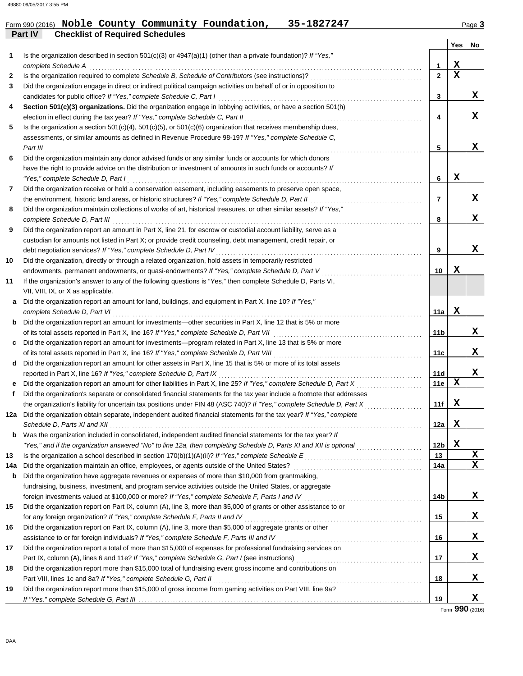# Form 990 (2016) Noble County Community Foundation, 35-1827247 Page 3

|     | Part IV<br><b>Checklist of Required Schedules</b>                                                                                                                                      |                 |             |                   |
|-----|----------------------------------------------------------------------------------------------------------------------------------------------------------------------------------------|-----------------|-------------|-------------------|
|     |                                                                                                                                                                                        |                 | Yes         | No                |
| 1   | Is the organization described in section $501(c)(3)$ or $4947(a)(1)$ (other than a private foundation)? If "Yes,"                                                                      |                 |             |                   |
|     | complete Schedule A                                                                                                                                                                    | 1               | X           |                   |
| 2   |                                                                                                                                                                                        | $\mathbf{2}$    | $\mathbf x$ |                   |
| 3   | Did the organization engage in direct or indirect political campaign activities on behalf of or in opposition to                                                                       |                 |             |                   |
|     | candidates for public office? If "Yes," complete Schedule C, Part I                                                                                                                    | 3               |             | x                 |
| 4   | Section 501(c)(3) organizations. Did the organization engage in lobbying activities, or have a section 501(h)                                                                          |                 |             |                   |
|     | election in effect during the tax year? If "Yes," complete Schedule C, Part II                                                                                                         | 4               |             | X                 |
| 5   | Is the organization a section $501(c)(4)$ , $501(c)(5)$ , or $501(c)(6)$ organization that receives membership dues,                                                                   |                 |             |                   |
|     | assessments, or similar amounts as defined in Revenue Procedure 98-19? If "Yes," complete Schedule C,                                                                                  |                 |             |                   |
|     | Part III                                                                                                                                                                               | 5               |             | X                 |
| 6   | Did the organization maintain any donor advised funds or any similar funds or accounts for which donors                                                                                |                 |             |                   |
|     | have the right to provide advice on the distribution or investment of amounts in such funds or accounts? If                                                                            |                 |             |                   |
|     | "Yes," complete Schedule D, Part I                                                                                                                                                     | 6               | х           |                   |
| 7   | Did the organization receive or hold a conservation easement, including easements to preserve open space,                                                                              |                 |             |                   |
|     | the environment, historic land areas, or historic structures? If "Yes," complete Schedule D, Part II                                                                                   | 7               |             | x                 |
| 8   | Did the organization maintain collections of works of art, historical treasures, or other similar assets? If "Yes,"                                                                    |                 |             |                   |
|     | complete Schedule D, Part III                                                                                                                                                          | 8               |             | x                 |
| 9   | Did the organization report an amount in Part X, line 21, for escrow or custodial account liability, serve as a                                                                        |                 |             |                   |
|     | custodian for amounts not listed in Part X; or provide credit counseling, debt management, credit repair, or                                                                           |                 |             |                   |
|     | debt negotiation services? If "Yes," complete Schedule D, Part IV                                                                                                                      | 9               |             | x                 |
| 10  | Did the organization, directly or through a related organization, hold assets in temporarily restricted                                                                                |                 |             |                   |
|     | endowments, permanent endowments, or quasi-endowments? If "Yes," complete Schedule D, Part V                                                                                           | 10              | х           |                   |
| 11  | If the organization's answer to any of the following questions is "Yes," then complete Schedule D, Parts VI,                                                                           |                 |             |                   |
|     | VII, VIII, IX, or X as applicable.                                                                                                                                                     |                 |             |                   |
| а   | Did the organization report an amount for land, buildings, and equipment in Part X, line 10? If "Yes,"                                                                                 |                 |             |                   |
|     | complete Schedule D, Part VI                                                                                                                                                           | 11a             | X           |                   |
| b   | Did the organization report an amount for investments—other securities in Part X, line 12 that is 5% or more                                                                           |                 |             |                   |
|     | of its total assets reported in Part X, line 16? If "Yes," complete Schedule D, Part VII                                                                                               | 11b             |             | X                 |
| c   | Did the organization report an amount for investments—program related in Part X, line 13 that is 5% or more                                                                            |                 |             |                   |
|     | of its total assets reported in Part X, line 16? If "Yes," complete Schedule D, Part VIII                                                                                              | 11c             |             | X                 |
| d   | Did the organization report an amount for other assets in Part X, line 15 that is 5% or more of its total assets                                                                       |                 |             |                   |
|     | reported in Part X, line 16? If "Yes," complete Schedule D, Part IX                                                                                                                    | 11d             |             | x                 |
| е   | Did the organization report an amount for other liabilities in Part X, line 25? If "Yes," complete Schedule D, Part X                                                                  | 11e             | X           |                   |
| f   | Did the organization's separate or consolidated financial statements for the tax year include a footnote that addresses                                                                |                 |             |                   |
|     | the organization's liability for uncertain tax positions under FIN 48 (ASC 740)? If "Yes," complete Schedule D, Part X                                                                 | 11f             | X           |                   |
|     | 12a Did the organization obtain separate, independent audited financial statements for the tax year? If "Yes," complete                                                                |                 |             |                   |
|     | Schedule D, Parts XI and XII                                                                                                                                                           | 12a             | X           |                   |
|     | <b>b</b> Was the organization included in consolidated, independent audited financial statements for the tax year? If                                                                  |                 |             |                   |
|     | "Yes," and if the organization answered "No" to line 12a, then completing Schedule D, Parts XI and XII is optional                                                                     | 12 <sub>b</sub> | X           |                   |
| 13  | Is the organization a school described in section 170(b)(1)(A)(ii)? If "Yes," complete Schedule E<br>Schedule E<br>Material Assembly Description 3 and 2010 and 2010 and 2010 and 2010 | 13              |             | X<br>$\mathbf{x}$ |
| 14a | Did the organization maintain an office, employees, or agents outside of the United States?                                                                                            | 14a             |             |                   |
| b   | Did the organization have aggregate revenues or expenses of more than \$10,000 from grantmaking,                                                                                       |                 |             |                   |
|     | fundraising, business, investment, and program service activities outside the United States, or aggregate                                                                              |                 |             |                   |
|     | foreign investments valued at \$100,000 or more? If "Yes," complete Schedule F, Parts I and IV                                                                                         | 14b             |             | X                 |
| 15  | Did the organization report on Part IX, column (A), line 3, more than \$5,000 of grants or other assistance to or                                                                      |                 |             |                   |
|     | for any foreign organization? If "Yes," complete Schedule F, Parts II and IV                                                                                                           | 15              |             | X                 |
| 16  | Did the organization report on Part IX, column (A), line 3, more than \$5,000 of aggregate grants or other                                                                             |                 |             |                   |
|     | assistance to or for foreign individuals? If "Yes," complete Schedule F, Parts III and IV                                                                                              | 16              |             | X                 |
| 17  | Did the organization report a total of more than \$15,000 of expenses for professional fundraising services on                                                                         |                 |             |                   |
|     |                                                                                                                                                                                        | 17              |             | X                 |
| 18  | Did the organization report more than \$15,000 total of fundraising event gross income and contributions on                                                                            |                 |             |                   |
|     | Part VIII, lines 1c and 8a? If "Yes," complete Schedule G, Part II                                                                                                                     | 18              |             | x                 |
| 19  | Did the organization report more than \$15,000 of gross income from gaming activities on Part VIII, line 9a?                                                                           | 19              |             | x                 |
|     |                                                                                                                                                                                        |                 |             |                   |

Form **990** (2016)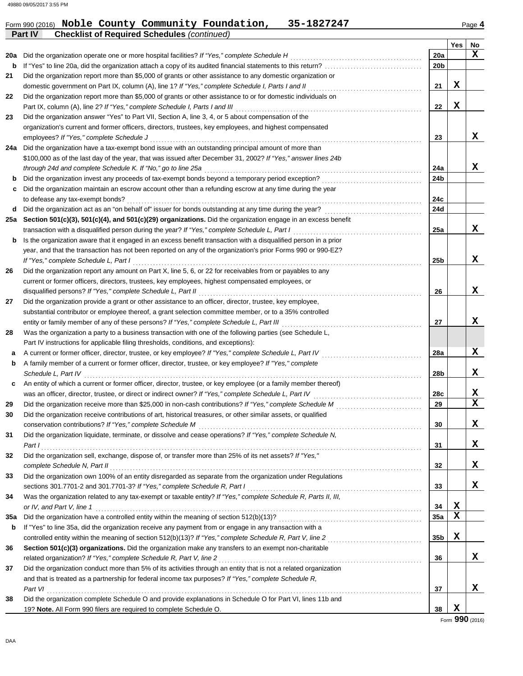#### **Yes No** Form 990 (2016) Noble County Community Foundation, 35-1827247 Page 4 **Part IV Checklist of Required Schedules** *(continued)* **28 a b c 29 30 31 32 33 34 35a 36 37** Was the organization a party to a business transaction with one of the following parties (see Schedule L, A current or former officer, director, trustee, or key employee? *If "Yes," complete Schedule L, Part IV* . . . . . . . . . . . . . . . . . . . . . . . . . . . . . . . . . . . A family member of a current or former officer, director, trustee, or key employee? *If "Yes," complete* Schedule L, Part IV An entity of which a current or former officer, director, trustee, or key employee (or a family member thereof) was an officer, director, trustee, or direct or indirect owner? *If "Yes," complete Schedule L, Part IV* . . . . . . . . . . . . . . . . . . . . . . . . . . . . . . . . . . . . . . Did the organization receive more than \$25,000 in non-cash contributions? *If "Yes," complete Schedule M* . . . . . . . . . . . . . . . . . . . . . . . . . . . . . . Did the organization receive contributions of art, historical treasures, or other similar assets, or qualified conservation contributions? *If "Yes," complete Schedule M* . . . . . . . . . . . . . . . . . . . . . . . . . . . . . . . . . . . . . . . . . . . . . . . . . . . . . . . . . . . . . . . . . . . . . . . . . . . . . . Did the organization liquidate, terminate, or dissolve and cease operations? *If "Yes," complete Schedule N, Part I* . . . . . . . . . . . . . . . . . . . . . . . . . . . . . . . . . . . . . . . . . . . . . . . . . . . . . . . . . . . . . . . . . . . . . . . . . . . . . . . . . . . . . . . . . . . . . . . . . . . . . . . . . . . . . . . . . . . . . . . . . . . . . . . . . . . . . Did the organization sell, exchange, dispose of, or transfer more than 25% of its net assets? *If "Yes,"* complete Schedule N, Part II et al. (2008) and the set of the set of the set of the set of the set of the set of the set of the set of the set of the set of the set of the set of the set of the set of the set of the set of Did the organization own 100% of an entity disregarded as separate from the organization under Regulations sections 301.7701-2 and 301.7701-3? *If "Yes," complete Schedule R, Part I* . . . . . . . . . . . . . . . . . . . . . . . . . . . . . . . . . . . . . . . . . . . . . . . . . . . . . . . . . . . . . Was the organization related to any tax-exempt or taxable entity? *If "Yes," complete Schedule R, Parts II, III, or IV, and Part V, line 1* . . . . . . . . . . . . . . . . . . . . . . . . . . . . . . . . . . . . . . . . . . . . . . . . . . . . . . . . . . . . . . . . . . . . . . . . . . . . . . . . . . . . . . . . . . . . . . . . . . . . . . . . . . . . . . . . . . Did the organization have a controlled entity within the meaning of section 512(b)(13)? . . . . . . . . . . . . . . . . . . . . . . . . . . . . . . . . . . . . . . . . . . . . . . . . . . If "Yes" to line 35a, did the organization receive any payment from or engage in any transaction with a **Section 501(c)(3) organizations.** Did the organization make any transfers to an exempt non-charitable related organization? If "Yes," complete Schedule R, Part V, line 2 ................................ Did the organization conduct more than 5% of its activities through an entity that is not a related organization and that is treated as a partnership for federal income tax purposes? *If "Yes," complete Schedule R,* **37 36 35a 34 33 32 31 30 29 28a 28b 28c** Part VI **21 22 23 24a 24b 24c 24d 25a 25b 26 27** substantial contributor or employee thereof, a grant selection committee member, or to a 35% controlled Did the organization provide a grant or other assistance to an officer, director, trustee, key employee, current or former officers, directors, trustees, key employees, highest compensated employees, or Did the organization report any amount on Part X, line 5, 6, or 22 for receivables from or payables to any year, and that the transaction has not been reported on any of the organization's prior Forms 990 or 990-EZ? Is the organization aware that it engaged in an excess benefit transaction with a disqualified person in a prior transaction with a disqualified person during the year? *If "Yes," complete Schedule L, Part I* . . . . . . . . . . . . . . . . . . . . . . . . . . . . . . . . . . . . . . . . . . . . . **Section 501(c)(3), 501(c)(4), and 501(c)(29) organizations.** Did the organization engage in an excess benefit **25a** Did the organization act as an "on behalf of" issuer for bonds outstanding at any time during the year? . . . . . . . . . . . . . . . . . . . . . . . . . . . . . . . . . . **d** to defease any tax-exempt bonds? . . . . . . . . . . . . . . . . . . . . . . . . . . . . . . . . . . . . . . . . . . . . . . . . . . . . . . . . . . . . . . . . . . . . . . . . . . . . . . . . . . . . . . . . . . . . . . . . . . . . . . . Did the organization maintain an escrow account other than a refunding escrow at any time during the year Did the organization invest any proceeds of tax-exempt bonds beyond a temporary period exception? . . . . . . . . . . . . . . . . . . . . . . . . . . . . . . . . . . . *through 24d and complete Schedule K. If "No," go to line 25a* . . . . . . . . . . . . . . . . . . . . . . . . . . . . . . . . . . . . . . . . . . . . . . . . . . . . . . . . . . . . . . . . . . . . . . . . . . . . \$100,000 as of the last day of the year, that was issued after December 31, 2002? *If "Yes," answer lines 24b* **24a** Did the organization have a tax-exempt bond issue with an outstanding principal amount of more than organization's current and former officers, directors, trustees, key employees, and highest compensated Did the organization answer "Yes" to Part VII, Section A, line 3, 4, or 5 about compensation of the Did the organization report more than \$5,000 of grants or other assistance to or for domestic individuals on Did the organization report more than \$5,000 of grants or other assistance to any domestic organization or **27 26 b c b 23 22 21** domestic government on Part IX, column (A), line 1? If "Yes," complete Schedule I, Parts I and II Part IX, column (A), line 2? *If "Yes," complete Schedule I, Parts I and III* . . . . . . . . . . . . . . . . . . . . . . . . . . . . . . . . . . . . . . . . . . . . . . . . . . . . . . . . . . . . . . . . . employees? *If "Yes," complete Schedule J* . . . . . . . . . . . . . . . . . . . . . . . . . . . . . . . . . . . . . . . . . . . . . . . . . . . . . . . . . . . . . . . . . . . . . . . . . . . . . . . . . . . . . . . . . . . . . . . *If "Yes," complete Schedule L, Part I* . . . . . . . . . . . . . . . . . . . . . . . . . . . . . . . . . . . . . . . . . . . . . . . . . . . . . . . . . . . . . . . . . . . . . . . . . . . . . . . . . . . . . . . . . . . . . . . . . . . . . entity or family member of any of these persons? *If "Yes," complete Schedule L, Part III* . . . . . . . . . . . . . . . . . . . . . . . . . . . . . . . . . . . . . . . . . . . . . . . . . Part IV instructions for applicable filing thresholds, conditions, and exceptions): **38** Did the organization complete Schedule O and provide explanations in Schedule O for Part VI, lines 11b and 19? **Note.** All Form 990 filers are required to complete Schedule O. **38 b** controlled entity within the meaning of section 512(b)(13)? *If "Yes," complete Schedule R, Part V, line 2* . . . . . . . . . . . . . . . . . . . . . . . . . . . . . . . . . **35b** disqualified persons? *If "Yes," complete Schedule L, Part II* . . . . . . . . . . . . . . . . . . . . . . . . . . . . . . . . . . . . . . . . . . . . . . . . . . . . . . . . . . . . . . . . . . . . . . . . . . . . . . **20b 20a b** If "Yes" to line 20a, did the organization attach a copy of its audited financial statements to this return? . . . . . . . . . . . . . . . . . . . . . . . . . . . . . . . . . . 20a Did the organization operate one or more hospital facilities? If "Yes," complete Schedule H **X X X X X X X X X X X X X X X X X X X X X X X**

### Form **990** (2016)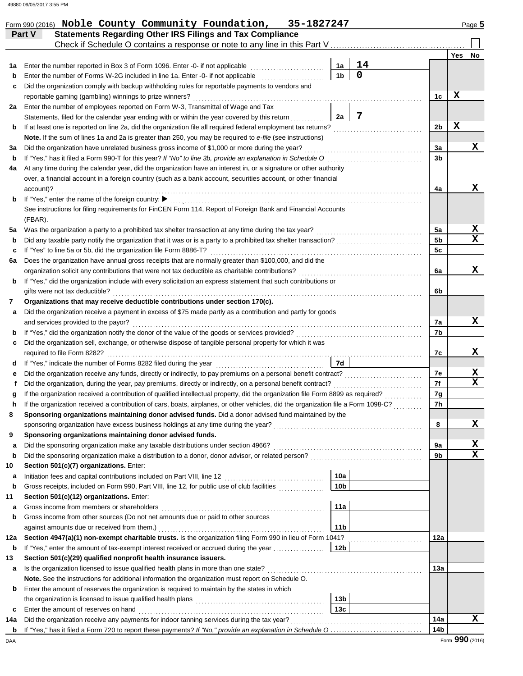| Part V    | <b>Statements Regarding Other IRS Filings and Tax Compliance</b><br>Check if Schedule O contains a response or note to any line in this Part V |                 |                   |          |            |    |
|-----------|------------------------------------------------------------------------------------------------------------------------------------------------|-----------------|-------------------|----------|------------|----|
|           |                                                                                                                                                |                 |                   |          | <b>Yes</b> | No |
| 1a        | Enter the number reported in Box 3 of Form 1096. Enter -0- if not applicable                                                                   | 1а              | 14<br>$\mathbf 0$ |          |            |    |
| b         | Enter the number of Forms W-2G included in line 1a. Enter -0- if not applicable                                                                | 1 <sub>b</sub>  |                   |          |            |    |
| c         | Did the organization comply with backup withholding rules for reportable payments to vendors and                                               |                 |                   |          |            |    |
|           | reportable gaming (gambling) winnings to prize winners?                                                                                        |                 |                   | 1c       | X          |    |
| 2a        | Enter the number of employees reported on Form W-3, Transmittal of Wage and Tax                                                                |                 |                   |          |            |    |
|           | Statements, filed for the calendar year ending with or within the year covered by this return                                                  | 2a              | $\overline{7}$    |          |            |    |
| b         | If at least one is reported on line 2a, did the organization file all required federal employment tax returns?                                 |                 |                   | 2b       | X          |    |
|           | Note. If the sum of lines 1a and 2a is greater than 250, you may be required to e-file (see instructions)                                      |                 |                   |          |            |    |
| за        | Did the organization have unrelated business gross income of \$1,000 or more during the year?                                                  |                 |                   | 3a       |            | X  |
| b         | If "Yes," has it filed a Form 990-T for this year? If "No" to line 3b, provide an explanation in Schedule O                                    |                 |                   | 3b       |            |    |
| 4a        | At any time during the calendar year, did the organization have an interest in, or a signature or other authority                              |                 |                   |          |            |    |
| account)? | over, a financial account in a foreign country (such as a bank account, securities account, or other financial                                 |                 |                   | 4a       |            | x  |
| b         | If "Yes," enter the name of the foreign country: ▶                                                                                             |                 |                   |          |            |    |
| (FBAR).   | See instructions for filing requirements for FinCEN Form 114, Report of Foreign Bank and Financial Accounts                                    |                 |                   |          |            |    |
| 5а        | Was the organization a party to a prohibited tax shelter transaction at any time during the tax year?                                          |                 |                   | 5a       |            | X  |
| b         |                                                                                                                                                |                 |                   | 5b       |            | x  |
| c         | If "Yes" to line 5a or 5b, did the organization file Form 8886-T?                                                                              |                 |                   | 5c       |            |    |
| 6а        | Does the organization have annual gross receipts that are normally greater than \$100,000, and did the                                         |                 |                   |          |            |    |
|           | organization solicit any contributions that were not tax deductible as charitable contributions?                                               |                 |                   | 6a       |            | x  |
| b         | If "Yes," did the organization include with every solicitation an express statement that such contributions or                                 |                 |                   |          |            |    |
|           | gifts were not tax deductible?                                                                                                                 |                 |                   | 6b       |            |    |
| 7         | Organizations that may receive deductible contributions under section 170(c).                                                                  |                 |                   |          |            |    |
| а         | Did the organization receive a payment in excess of \$75 made partly as a contribution and partly for goods                                    |                 |                   |          |            |    |
|           | and services provided to the payor?                                                                                                            |                 |                   | 7a       |            | x  |
| b         |                                                                                                                                                |                 |                   | 7b       |            |    |
| c         | Did the organization sell, exchange, or otherwise dispose of tangible personal property for which it was                                       |                 |                   |          |            |    |
|           | required to file Form 8282?                                                                                                                    |                 |                   | 7c       |            | x  |
| d         |                                                                                                                                                | 7d              |                   |          |            |    |
| е         |                                                                                                                                                |                 |                   | 7e       |            | X  |
| f         | Did the organization, during the year, pay premiums, directly or indirectly, on a personal benefit contract?                                   |                 |                   | 7f       |            | x  |
|           | If the organization received a contribution of qualified intellectual property, did the organization file Form 8899 as required?               |                 |                   |          |            |    |
|           | If the organization received a contribution of cars, boats, airplanes, or other vehicles, did the organization file a Form 1098-C?             |                 |                   | 7g<br>7h |            |    |
| h         | Sponsoring organizations maintaining donor advised funds. Did a donor advised fund maintained by the                                           |                 |                   |          |            |    |
|           |                                                                                                                                                |                 |                   | 8        |            | х  |
|           |                                                                                                                                                |                 |                   |          |            |    |
| 9         | Sponsoring organizations maintaining donor advised funds.                                                                                      |                 |                   |          |            | X  |
| a         |                                                                                                                                                |                 |                   | 9а       |            | X  |
| b         | Did the sponsoring organization make a distribution to a donor, donor advisor, or related person?                                              |                 |                   | 9b       |            |    |
| 10        | Section 501(c)(7) organizations. Enter:                                                                                                        |                 |                   |          |            |    |
| а         |                                                                                                                                                | 10a             |                   |          |            |    |
| b         | Gross receipts, included on Form 990, Part VIII, line 12, for public use of club facilities                                                    | 10 <sub>b</sub> |                   |          |            |    |
| 11        | Section 501(c)(12) organizations. Enter:                                                                                                       |                 |                   |          |            |    |
| a         | Gross income from members or shareholders                                                                                                      | 11a             |                   |          |            |    |
| b         | Gross income from other sources (Do not net amounts due or paid to other sources                                                               |                 |                   |          |            |    |
|           | against amounts due or received from them.)                                                                                                    | 11 <sub>b</sub> |                   |          |            |    |
| 12a       | Section 4947(a)(1) non-exempt charitable trusts. Is the organization filing Form 990 in lieu of Form 1041?                                     |                 |                   | 12a      |            |    |
| b         | If "Yes," enter the amount of tax-exempt interest received or accrued during the year                                                          | 12 <sub>b</sub> |                   |          |            |    |
| 13        | Section 501(c)(29) qualified nonprofit health insurance issuers.                                                                               |                 |                   |          |            |    |
| а         | Is the organization licensed to issue qualified health plans in more than one state?                                                           |                 |                   | 13a      |            |    |
|           | <b>Note.</b> See the instructions for additional information the organization must report on Schedule O.                                       |                 |                   |          |            |    |
| b         | Enter the amount of reserves the organization is required to maintain by the states in which                                                   |                 |                   |          |            |    |
|           |                                                                                                                                                | 13b             |                   |          |            |    |
| c         | Enter the amount of reserves on hand                                                                                                           | 13c             |                   |          |            |    |
| 14a       | Did the organization receive any payments for indoor tanning services during the tax year?                                                     |                 |                   | 14a      |            | X  |
|           |                                                                                                                                                |                 |                   | 14b      |            |    |

Form 990 (2016) Noble County Community Foundation, 35-1827247 Page 5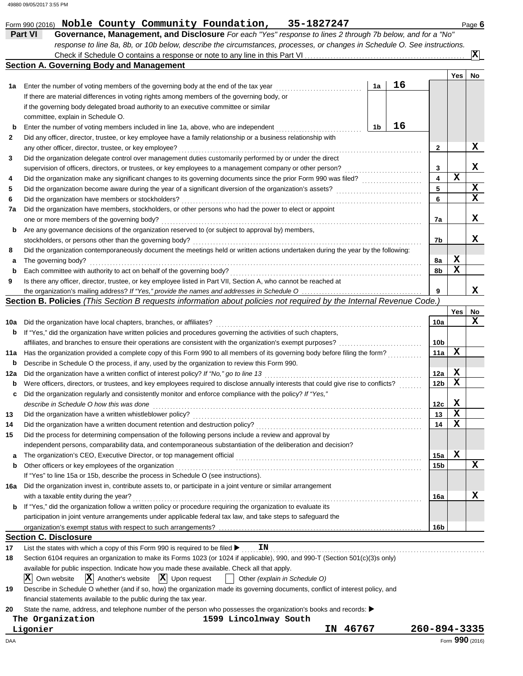|             | 35-1827247<br>Form 990 (2016) Noble County Community Foundation,                                                                                                 |    |    |                              |             | Page 6         |
|-------------|------------------------------------------------------------------------------------------------------------------------------------------------------------------|----|----|------------------------------|-------------|----------------|
|             | <b>Part VI</b><br>Governance, Management, and Disclosure For each "Yes" response to lines 2 through 7b below, and for a "No"                                     |    |    |                              |             |                |
|             | response to line 8a, 8b, or 10b below, describe the circumstances, processes, or changes in Schedule O. See instructions.                                        |    |    |                              |             |                |
|             |                                                                                                                                                                  |    |    |                              |             | $ \mathbf{x} $ |
|             | <b>Section A. Governing Body and Management</b>                                                                                                                  |    |    |                              |             |                |
|             |                                                                                                                                                                  |    |    |                              | Yes         | No             |
| 1а          | Enter the number of voting members of the governing body at the end of the tax year                                                                              | 1a | 16 |                              |             |                |
|             | If there are material differences in voting rights among members of the governing body, or                                                                       |    |    |                              |             |                |
|             | if the governing body delegated broad authority to an executive committee or similar                                                                             |    |    |                              |             |                |
|             | committee, explain in Schedule O.                                                                                                                                |    |    |                              |             |                |
| b           | Enter the number of voting members included in line 1a, above, who are independent                                                                               | 1b | 16 |                              |             |                |
| 2           | Did any officer, director, trustee, or key employee have a family relationship or a business relationship with                                                   |    |    |                              |             |                |
|             | any other officer, director, trustee, or key employee?                                                                                                           |    |    | 2                            |             | x              |
| 3           | Did the organization delegate control over management duties customarily performed by or under the direct                                                        |    |    |                              |             | x              |
|             | supervision of officers, directors, or trustees, or key employees to a management company or other person?                                                       |    |    | 3<br>$\overline{\mathbf{4}}$ | $\mathbf x$ |                |
| 4           | Did the organization make any significant changes to its governing documents since the prior Form 990 was filed?                                                 |    |    | 5                            |             | X              |
| 5           | Did the organization become aware during the year of a significant diversion of the organization's assets?<br>Did the organization have members or stockholders? |    |    | 6                            |             | X              |
| 6           |                                                                                                                                                                  |    |    |                              |             |                |
| 7а          | Did the organization have members, stockholders, or other persons who had the power to elect or appoint<br>one or more members of the governing body?            |    |    | 7a                           |             | x              |
| b           | Are any governance decisions of the organization reserved to (or subject to approval by) members,                                                                |    |    |                              |             |                |
|             | stockholders, or persons other than the governing body?                                                                                                          |    |    | 7b                           |             | x              |
| 8           | Did the organization contemporaneously document the meetings held or written actions undertaken during the year by the following:                                |    |    |                              |             |                |
| а           | The governing body?                                                                                                                                              |    |    | 8a                           | x           |                |
| $\mathbf b$ | Each committee with authority to act on behalf of the governing body?                                                                                            |    |    | 8b                           | X           |                |
| 9           | Is there any officer, director, trustee, or key employee listed in Part VII, Section A, who cannot be reached at                                                 |    |    |                              |             |                |
|             |                                                                                                                                                                  |    |    | 9                            |             | x              |
|             | Section B. Policies (This Section B requests information about policies not required by the Internal Revenue Code.)                                              |    |    |                              |             |                |
|             |                                                                                                                                                                  |    |    |                              | Yes         | No             |
| 10a         | Did the organization have local chapters, branches, or affiliates?                                                                                               |    |    | 10a                          |             | x              |
| b           | If "Yes," did the organization have written policies and procedures governing the activities of such chapters,                                                   |    |    |                              |             |                |
|             | affiliates, and branches to ensure their operations are consistent with the organization's exempt purposes?                                                      |    |    | 10b                          |             |                |
| 11a         | Has the organization provided a complete copy of this Form 990 to all members of its governing body before filing the form?                                      |    |    | 11a                          | X           |                |
| b           | Describe in Schedule O the process, if any, used by the organization to review this Form 990.                                                                    |    |    |                              |             |                |
| 12a         | Did the organization have a written conflict of interest policy? If "No," go to line 13                                                                          |    |    | 12a                          | X           |                |
| b           | Were officers, directors, or trustees, and key employees required to disclose annually interests that could give rise to conflicts?                              |    |    | 12b                          | х           |                |
| c           | Did the organization regularly and consistently monitor and enforce compliance with the policy? If "Yes,"                                                        |    |    |                              |             |                |
|             | describe in Schedule O how this was done                                                                                                                         |    |    | 12c                          | X           |                |
| 13          | Did the organization have a written whistleblower policy?                                                                                                        |    |    | 13                           | X           |                |
| 14          | Did the organization have a written document retention and destruction policy?                                                                                   |    |    | 14                           | X           |                |
| 15          | Did the process for determining compensation of the following persons include a review and approval by                                                           |    |    |                              |             |                |
|             | independent persons, comparability data, and contemporaneous substantiation of the deliberation and decision?                                                    |    |    |                              |             |                |
| а           | The organization's CEO, Executive Director, or top management official                                                                                           |    |    | 15a                          | х           |                |
| b           | Other officers or key employees of the organization                                                                                                              |    |    | 15b                          |             | x              |
|             | If "Yes" to line 15a or 15b, describe the process in Schedule O (see instructions).                                                                              |    |    |                              |             |                |
| 16a         | Did the organization invest in, contribute assets to, or participate in a joint venture or similar arrangement                                                   |    |    |                              |             |                |
|             | with a taxable entity during the year?                                                                                                                           |    |    | <b>16a</b>                   |             | x              |
| b           | If "Yes," did the organization follow a written policy or procedure requiring the organization to evaluate its                                                   |    |    |                              |             |                |
|             | participation in joint venture arrangements under applicable federal tax law, and take steps to safeguard the                                                    |    |    |                              |             |                |
|             |                                                                                                                                                                  |    |    | 16b                          |             |                |
|             | <b>Section C. Disclosure</b>                                                                                                                                     |    |    |                              |             |                |
| 17          | List the states with which a copy of this Form 990 is required to be filed ><br>ΙN                                                                               |    |    |                              |             |                |
| 18          | Section 6104 requires an organization to make its Forms 1023 (or 1024 if applicable), 990, and 990-T (Section 501(c)(3)s only)                                   |    |    |                              |             |                |
|             | available for public inspection. Indicate how you made these available. Check all that apply.                                                                    |    |    |                              |             |                |
|             | $ \mathbf{X} $ Upon request<br>IX.<br>$ \mathbf{X} $ Another's website<br>Own website<br>Other (explain in Schedule O)                                           |    |    |                              |             |                |
| 19          | Describe in Schedule O whether (and if so, how) the organization made its governing documents, conflict of interest policy, and                                  |    |    |                              |             |                |
|             | financial statements available to the public during the tax year.                                                                                                |    |    |                              |             |                |
| 20          | State the name, address, and telephone number of the person who possesses the organization's books and records: ▶<br>The Organization<br>1599 Lincolnway South   |    |    |                              |             |                |
|             | 46767<br>Ligonier<br>IN                                                                                                                                          |    |    | 260-894-3335                 |             |                |
|             |                                                                                                                                                                  |    |    |                              |             |                |

DAA Form **990** (2016)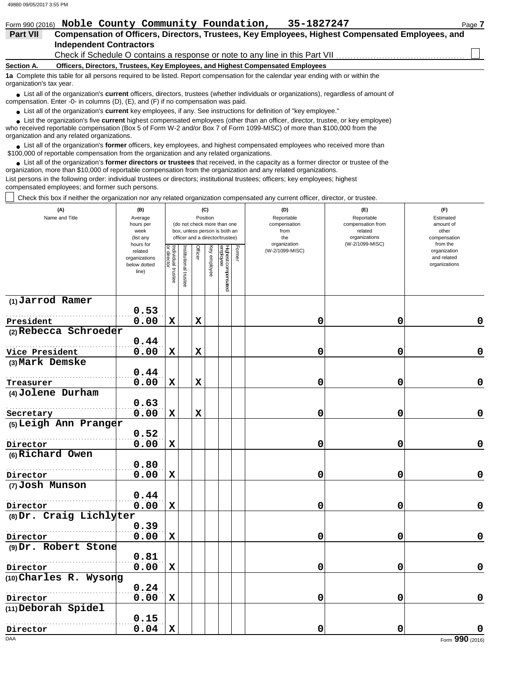| Form 990 (2016)          | Noble County Community Foundation,                                                                                                                                                                                          | 35-1827247 | Page 7 |  |  |  |  |  |  |  |
|--------------------------|-----------------------------------------------------------------------------------------------------------------------------------------------------------------------------------------------------------------------------|------------|--------|--|--|--|--|--|--|--|
| <b>Part VII</b>          | Compensation of Officers, Directors, Trustees, Key Employees, Highest Compensated Employees, and                                                                                                                            |            |        |  |  |  |  |  |  |  |
|                          | <b>Independent Contractors</b>                                                                                                                                                                                              |            |        |  |  |  |  |  |  |  |
|                          | Check if Schedule O contains a response or note to any line in this Part VII                                                                                                                                                |            |        |  |  |  |  |  |  |  |
| Section A.               | Officers, Directors, Trustees, Key Employees, and Highest Compensated Employees                                                                                                                                             |            |        |  |  |  |  |  |  |  |
| organization's tax year. | 1a Complete this table for all persons required to be listed. Report compensation for the calendar year ending with or within the                                                                                           |            |        |  |  |  |  |  |  |  |
|                          | • List all of the organization's current officers, directors, trustees (whether individuals or organizations), regardless of amount of<br>compensation. Enter -0- in columns (D), (E), and (F) if no compensation was paid. |            |        |  |  |  |  |  |  |  |

● List all of the organization's **current** key employees, if any. See instructions for definition of "key employee."

who received reportable compensation (Box 5 of Form W-2 and/or Box 7 of Form 1099-MISC) of more than \$100,000 from the organization and any related organizations. ■ List the organization's five **current** highest compensated employees (other than an officer, director, trustee, or key employee)<br> **•** Presented constable compensation (Boy 5 of Ferm W 2 and/or Boy 7 of Ferm 1000 MISC) o

■ List all of the organization's **former** officers, key employees, and highest compensated employees who received more than<br> **•** 00.00 of repartable compensation from the examination and any related erganizations \$100,000 of reportable compensation from the organization and any related organizations.

● List all of the organization's **former directors or trustees** that received, in the capacity as a former director or trustee of the principle and provided arguments of the principle and provided arguments of the princip organization, more than \$10,000 of reportable compensation from the organization and any related organizations.

List persons in the following order: individual trustees or directors; institutional trustees; officers; key employees; highest compensated employees; and former such persons.

Check this box if neither the organization nor any related organization compensated any current officer, director, or trustee.

| (A)<br>Name and Title                 | (B)<br>Average<br>hours per<br>week<br>(list any               |                                   |                      |             | (C)<br>Position | (do not check more than one<br>box, unless person is both an<br>officer and a director/trustee) |        | (D)<br>Reportable<br>compensation<br>from<br>the<br>organization | (E)<br>Reportable<br>compensation from<br>related<br>organizations<br>(W-2/1099-MISC) | (F)<br>Estimated<br>amount of<br>other<br>compensation<br>from the |  |  |
|---------------------------------------|----------------------------------------------------------------|-----------------------------------|----------------------|-------------|-----------------|-------------------------------------------------------------------------------------------------|--------|------------------------------------------------------------------|---------------------------------------------------------------------------------------|--------------------------------------------------------------------|--|--|
|                                       | hours for<br>related<br>organizations<br>below dotted<br>line) | Individual trustee<br>or director | nstitutional trustee | Officer     | Key<br>employee | Highest compensated<br>employee                                                                 | Former | (W-2/1099-MISC)                                                  |                                                                                       | organization<br>and related<br>organizations                       |  |  |
| $(1)$ Jarrod Ramer                    |                                                                |                                   |                      |             |                 |                                                                                                 |        |                                                                  |                                                                                       |                                                                    |  |  |
|                                       | 0.53                                                           |                                   |                      |             |                 |                                                                                                 |        |                                                                  |                                                                                       |                                                                    |  |  |
| President                             | 0.00                                                           | $\mathbf x$                       |                      | $\mathbf x$ |                 |                                                                                                 |        | 0                                                                | 0                                                                                     | 0                                                                  |  |  |
| (2) Rebecca Schroeder                 |                                                                |                                   |                      |             |                 |                                                                                                 |        |                                                                  |                                                                                       |                                                                    |  |  |
|                                       | 0.44<br>0.00                                                   | $\mathbf x$                       |                      | $\mathbf x$ |                 |                                                                                                 |        | 0                                                                | 0                                                                                     | 0                                                                  |  |  |
| Vice President<br>(3) Mark Demske     |                                                                |                                   |                      |             |                 |                                                                                                 |        |                                                                  |                                                                                       |                                                                    |  |  |
|                                       | 0.44                                                           |                                   |                      |             |                 |                                                                                                 |        |                                                                  |                                                                                       |                                                                    |  |  |
| Treasurer                             | 0.00                                                           | $\mathbf x$                       |                      | X           |                 |                                                                                                 |        | 0                                                                | 0                                                                                     | 0                                                                  |  |  |
| (4) Jolene Durham                     |                                                                |                                   |                      |             |                 |                                                                                                 |        |                                                                  |                                                                                       |                                                                    |  |  |
|                                       | 0.63                                                           |                                   |                      |             |                 |                                                                                                 |        |                                                                  |                                                                                       |                                                                    |  |  |
| Secretary                             | 0.00                                                           | $\mathbf x$                       |                      | X           |                 |                                                                                                 |        | 0                                                                | 0                                                                                     | 0                                                                  |  |  |
| (5) Leigh Ann Pranger                 |                                                                |                                   |                      |             |                 |                                                                                                 |        |                                                                  |                                                                                       |                                                                    |  |  |
|                                       | 0.52                                                           |                                   |                      |             |                 |                                                                                                 |        |                                                                  |                                                                                       |                                                                    |  |  |
| Director                              | 0.00                                                           | $\mathbf x$                       |                      |             |                 |                                                                                                 |        | 0                                                                | 0                                                                                     | 0                                                                  |  |  |
| (6) Richard Owen                      |                                                                |                                   |                      |             |                 |                                                                                                 |        |                                                                  |                                                                                       |                                                                    |  |  |
|                                       | 0.80                                                           |                                   |                      |             |                 |                                                                                                 |        |                                                                  |                                                                                       |                                                                    |  |  |
| Director                              | 0.00                                                           | $\mathbf x$                       |                      |             |                 |                                                                                                 |        | 0                                                                | 0                                                                                     | $\mathbf 0$                                                        |  |  |
| (7) Josh Munson                       |                                                                |                                   |                      |             |                 |                                                                                                 |        |                                                                  |                                                                                       |                                                                    |  |  |
|                                       | 0.44                                                           |                                   |                      |             |                 |                                                                                                 |        |                                                                  |                                                                                       |                                                                    |  |  |
| Director<br>$(8)$ Dr. Craig Lichlyter | 0.00                                                           | $\mathbf x$                       |                      |             |                 |                                                                                                 |        | 0                                                                | 0                                                                                     | 0                                                                  |  |  |
|                                       | 0.39                                                           |                                   |                      |             |                 |                                                                                                 |        |                                                                  |                                                                                       |                                                                    |  |  |
| Director                              | 0.00                                                           | $\mathbf x$                       |                      |             |                 |                                                                                                 |        | 0                                                                | $\mathbf 0$                                                                           | 0                                                                  |  |  |
| (9) Dr. Robert Stone                  |                                                                |                                   |                      |             |                 |                                                                                                 |        |                                                                  |                                                                                       |                                                                    |  |  |
|                                       | 0.81                                                           |                                   |                      |             |                 |                                                                                                 |        |                                                                  |                                                                                       |                                                                    |  |  |
| Director                              | 0.00                                                           | $\mathbf x$                       |                      |             |                 |                                                                                                 |        | 0                                                                | 0                                                                                     | 0                                                                  |  |  |
| (10) Charles R. Wysong                |                                                                |                                   |                      |             |                 |                                                                                                 |        |                                                                  |                                                                                       |                                                                    |  |  |
|                                       | 0.24                                                           |                                   |                      |             |                 |                                                                                                 |        |                                                                  |                                                                                       |                                                                    |  |  |
| Director                              | 0.00                                                           | X                                 |                      |             |                 |                                                                                                 |        | 0                                                                | 0                                                                                     | 0                                                                  |  |  |
| (11) Deborah Spidel                   |                                                                |                                   |                      |             |                 |                                                                                                 |        |                                                                  |                                                                                       |                                                                    |  |  |
|                                       | 0.15                                                           |                                   |                      |             |                 |                                                                                                 |        |                                                                  |                                                                                       |                                                                    |  |  |
| Director                              | 0.04                                                           | $\mathbf x$                       |                      |             |                 |                                                                                                 |        | 0                                                                | 0                                                                                     | O                                                                  |  |  |
| DAA                                   |                                                                |                                   |                      |             |                 |                                                                                                 |        |                                                                  |                                                                                       | Form 990 (2016)                                                    |  |  |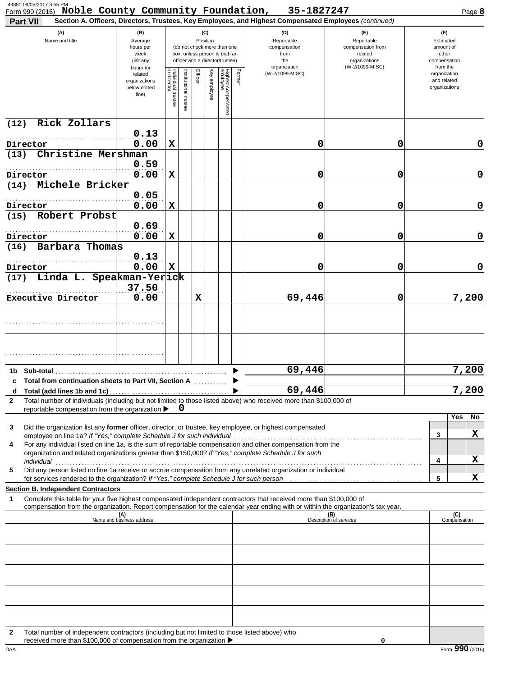| 49880 09/05/2017 3:55 PM<br>Form 990 (2016) Noble County Community Foundation, 35-1827247                                                                                                                                                                                                                                                                                                                                                                  |                                                                |                                   |                      |         |                 |                                                                                                 |        |                                                                                                                                                            |                                                                    | Page 8                                                   |
|------------------------------------------------------------------------------------------------------------------------------------------------------------------------------------------------------------------------------------------------------------------------------------------------------------------------------------------------------------------------------------------------------------------------------------------------------------|----------------------------------------------------------------|-----------------------------------|----------------------|---------|-----------------|-------------------------------------------------------------------------------------------------|--------|------------------------------------------------------------------------------------------------------------------------------------------------------------|--------------------------------------------------------------------|----------------------------------------------------------|
| <b>Part VII</b><br>(A)<br>Name and title                                                                                                                                                                                                                                                                                                                                                                                                                   | (B)<br>Average<br>hours per<br>week<br>(list any               |                                   |                      |         | (C)<br>Position | (do not check more than one<br>box, unless person is both an<br>officer and a director/trustee) |        | Section A. Officers, Directors, Trustees, Key Employees, and Highest Compensated Employees (continued)<br>(D)<br>Reportable<br>compensation<br>from<br>the | (E)<br>Reportable<br>compensation from<br>related<br>organizations | (F)<br>Estimated<br>amount of<br>other<br>compensation   |
|                                                                                                                                                                                                                                                                                                                                                                                                                                                            | hours for<br>related<br>organizations<br>below dotted<br>line) | Individual trustee<br>or director | nstitutional trustee | Officer | Key<br>employee | Highest compensated<br>employee                                                                 | Former | organization<br>(W-2/1099-MISC)                                                                                                                            | (W-2/1099-MISC)                                                    | from the<br>organization<br>and related<br>organizations |
| Rick Zollars<br>(12)                                                                                                                                                                                                                                                                                                                                                                                                                                       |                                                                |                                   |                      |         |                 |                                                                                                 |        |                                                                                                                                                            |                                                                    |                                                          |
| Director                                                                                                                                                                                                                                                                                                                                                                                                                                                   | 0.13<br>0.00                                                   | X                                 |                      |         |                 |                                                                                                 |        | 0                                                                                                                                                          | 0                                                                  | 0                                                        |
| Christine Mershman<br>(13)                                                                                                                                                                                                                                                                                                                                                                                                                                 |                                                                |                                   |                      |         |                 |                                                                                                 |        |                                                                                                                                                            |                                                                    |                                                          |
|                                                                                                                                                                                                                                                                                                                                                                                                                                                            | 0.59                                                           |                                   |                      |         |                 |                                                                                                 |        |                                                                                                                                                            |                                                                    |                                                          |
| Director<br>Michele Bricker<br>(14)                                                                                                                                                                                                                                                                                                                                                                                                                        | 0.00                                                           | X                                 |                      |         |                 |                                                                                                 |        | 0                                                                                                                                                          | 0                                                                  | 0                                                        |
|                                                                                                                                                                                                                                                                                                                                                                                                                                                            | 0.05                                                           |                                   |                      |         |                 |                                                                                                 |        |                                                                                                                                                            |                                                                    |                                                          |
| Director                                                                                                                                                                                                                                                                                                                                                                                                                                                   | 0.00                                                           | X                                 |                      |         |                 |                                                                                                 |        | 0                                                                                                                                                          | 0                                                                  | 0                                                        |
| Robert Probst<br>(15)                                                                                                                                                                                                                                                                                                                                                                                                                                      | 0.69                                                           |                                   |                      |         |                 |                                                                                                 |        |                                                                                                                                                            |                                                                    |                                                          |
| Director                                                                                                                                                                                                                                                                                                                                                                                                                                                   | 0.00                                                           | X                                 |                      |         |                 |                                                                                                 |        | 0                                                                                                                                                          | 0                                                                  | 0                                                        |
| Barbara Thomas<br>(16)                                                                                                                                                                                                                                                                                                                                                                                                                                     |                                                                |                                   |                      |         |                 |                                                                                                 |        |                                                                                                                                                            |                                                                    |                                                          |
|                                                                                                                                                                                                                                                                                                                                                                                                                                                            | 0.13<br>0.00                                                   | X                                 |                      |         |                 |                                                                                                 |        | 0                                                                                                                                                          | 0                                                                  | 0                                                        |
| Director<br>Linda L. Speakman-Yerick<br>(17)                                                                                                                                                                                                                                                                                                                                                                                                               |                                                                |                                   |                      |         |                 |                                                                                                 |        |                                                                                                                                                            |                                                                    |                                                          |
|                                                                                                                                                                                                                                                                                                                                                                                                                                                            | 37.50                                                          |                                   |                      |         |                 |                                                                                                 |        |                                                                                                                                                            |                                                                    |                                                          |
| Executive Director                                                                                                                                                                                                                                                                                                                                                                                                                                         | 0.00                                                           |                                   |                      | X       |                 |                                                                                                 |        | 69,446                                                                                                                                                     | 0                                                                  | 7,200                                                    |
|                                                                                                                                                                                                                                                                                                                                                                                                                                                            |                                                                |                                   |                      |         |                 |                                                                                                 |        |                                                                                                                                                            |                                                                    |                                                          |
|                                                                                                                                                                                                                                                                                                                                                                                                                                                            |                                                                |                                   |                      |         |                 |                                                                                                 |        |                                                                                                                                                            |                                                                    |                                                          |
|                                                                                                                                                                                                                                                                                                                                                                                                                                                            |                                                                |                                   |                      |         |                 |                                                                                                 |        | 69,446                                                                                                                                                     |                                                                    | 7,200                                                    |
| c Total from continuation sheets to Part VII, Section A<br>d                                                                                                                                                                                                                                                                                                                                                                                               |                                                                |                                   |                      |         |                 |                                                                                                 |        | 69,446                                                                                                                                                     |                                                                    | 7,200                                                    |
| Total number of individuals (including but not limited to those listed above) who received more than \$100,000 of<br>$\mathbf{2}$                                                                                                                                                                                                                                                                                                                          |                                                                |                                   |                      |         |                 |                                                                                                 |        |                                                                                                                                                            |                                                                    |                                                          |
| reportable compensation from the organization ▶                                                                                                                                                                                                                                                                                                                                                                                                            |                                                                |                                   | U                    |         |                 |                                                                                                 |        |                                                                                                                                                            |                                                                    | Yes<br>No                                                |
| Did the organization list any former officer, director, or trustee, key employee, or highest compensated<br>3                                                                                                                                                                                                                                                                                                                                              |                                                                |                                   |                      |         |                 |                                                                                                 |        |                                                                                                                                                            |                                                                    |                                                          |
| employee on line 1a? If "Yes," complete Schedule J for such individual manufactured content to the succession of the state of the employee on line 1a? If "Yes," complete Schedule J for such individual manufactured and the<br>For any individual listed on line 1a, is the sum of reportable compensation and other compensation from the<br>4<br>organization and related organizations greater than \$150,000? If "Yes," complete Schedule J for such |                                                                |                                   |                      |         |                 |                                                                                                 |        |                                                                                                                                                            |                                                                    | X<br>3<br>X<br>4                                         |
| Did any person listed on line 1a receive or accrue compensation from any unrelated organization or individual<br>5                                                                                                                                                                                                                                                                                                                                         |                                                                |                                   |                      |         |                 |                                                                                                 |        |                                                                                                                                                            |                                                                    |                                                          |
| <b>Section B. Independent Contractors</b>                                                                                                                                                                                                                                                                                                                                                                                                                  |                                                                |                                   |                      |         |                 |                                                                                                 |        |                                                                                                                                                            |                                                                    | X<br>5                                                   |
| Complete this table for your five highest compensated independent contractors that received more than \$100,000 of<br>1                                                                                                                                                                                                                                                                                                                                    |                                                                |                                   |                      |         |                 |                                                                                                 |        |                                                                                                                                                            |                                                                    |                                                          |
| compensation from the organization. Report compensation for the calendar year ending with or within the organization's tax year.                                                                                                                                                                                                                                                                                                                           | (A)<br>Name and business address                               |                                   |                      |         |                 |                                                                                                 |        |                                                                                                                                                            | (B)<br>Description of services                                     | (C)<br>Compensation                                      |
|                                                                                                                                                                                                                                                                                                                                                                                                                                                            |                                                                |                                   |                      |         |                 |                                                                                                 |        |                                                                                                                                                            |                                                                    |                                                          |
|                                                                                                                                                                                                                                                                                                                                                                                                                                                            |                                                                |                                   |                      |         |                 |                                                                                                 |        |                                                                                                                                                            |                                                                    |                                                          |
|                                                                                                                                                                                                                                                                                                                                                                                                                                                            |                                                                |                                   |                      |         |                 |                                                                                                 |        |                                                                                                                                                            |                                                                    |                                                          |
|                                                                                                                                                                                                                                                                                                                                                                                                                                                            |                                                                |                                   |                      |         |                 |                                                                                                 |        |                                                                                                                                                            |                                                                    |                                                          |
|                                                                                                                                                                                                                                                                                                                                                                                                                                                            |                                                                |                                   |                      |         |                 |                                                                                                 |        |                                                                                                                                                            |                                                                    |                                                          |
|                                                                                                                                                                                                                                                                                                                                                                                                                                                            |                                                                |                                   |                      |         |                 |                                                                                                 |        |                                                                                                                                                            |                                                                    |                                                          |
|                                                                                                                                                                                                                                                                                                                                                                                                                                                            |                                                                |                                   |                      |         |                 |                                                                                                 |        |                                                                                                                                                            |                                                                    |                                                          |
| Total number of independent contractors (including but not limited to those listed above) who<br>2                                                                                                                                                                                                                                                                                                                                                         |                                                                |                                   |                      |         |                 |                                                                                                 |        |                                                                                                                                                            |                                                                    |                                                          |

received more than \$100,000 of compensation from the organization  $\blacktriangleright$ 

**0**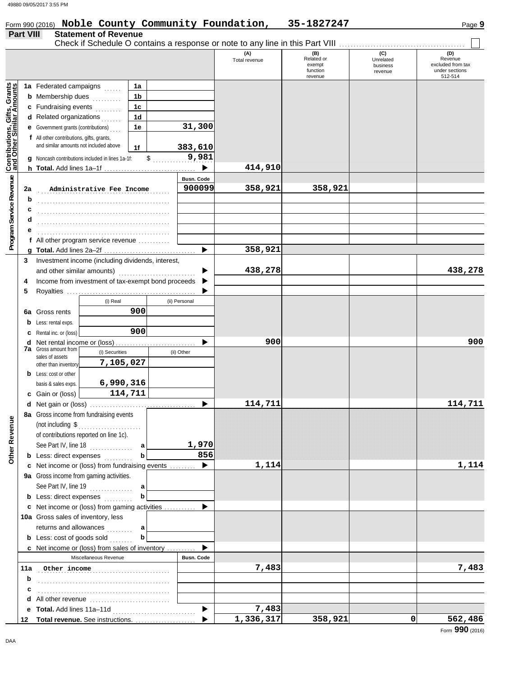#### Form 990 (2016) Page **9 Noble County Community Foundation, 35-1827247**

| <b>Part VIII</b> |  | <b>Statement of Revenue</b> |  |
|------------------|--|-----------------------------|--|
|                  |  |                             |  |

|                                                           |     |                                                                                     |                                                       |                |                   | Check if Schedule O contains a response or note to any line in this Part VIII |                                                    |                                         |                                                                  |
|-----------------------------------------------------------|-----|-------------------------------------------------------------------------------------|-------------------------------------------------------|----------------|-------------------|-------------------------------------------------------------------------------|----------------------------------------------------|-----------------------------------------|------------------------------------------------------------------|
|                                                           |     |                                                                                     |                                                       |                |                   | (A)<br>Total revenue                                                          | (B)<br>Related or<br>exempt<br>function<br>revenue | (C)<br>Unrelated<br>business<br>revenue | (D)<br>Revenue<br>excluded from tax<br>under sections<br>512-514 |
|                                                           |     | 1a Federated campaigns                                                              | .                                                     | 1a             |                   |                                                                               |                                                    |                                         |                                                                  |
|                                                           |     | <b>b</b> Membership dues                                                            | de de la poblac                                       | 1b             |                   |                                                                               |                                                    |                                         |                                                                  |
|                                                           |     | c Fundraising events                                                                | .                                                     | 1 <sub>c</sub> |                   |                                                                               |                                                    |                                         |                                                                  |
|                                                           |     | <b>d</b> Related organizations $\ldots$                                             |                                                       | 1 <sub>d</sub> |                   |                                                                               |                                                    |                                         |                                                                  |
|                                                           |     | <b>e</b> Government grants (contributions)                                          |                                                       | 1e             | 31,300            |                                                                               |                                                    |                                         |                                                                  |
| Contributions, Gifts, Grants<br>and Other Similar Amounts |     | f All other contributions, gifts, grants,<br>and similar amounts not included above |                                                       | 1f             | 383,610           |                                                                               |                                                    |                                         |                                                                  |
|                                                           |     |                                                                                     | Noncash contributions included in lines 1a-1f:        | \$             | 9,981             |                                                                               |                                                    |                                         |                                                                  |
|                                                           |     |                                                                                     |                                                       |                |                   | 414,910                                                                       |                                                    |                                         |                                                                  |
|                                                           |     |                                                                                     |                                                       |                | <b>Busn. Code</b> |                                                                               |                                                    |                                         |                                                                  |
| Program Service Revenue                                   | 2a  |                                                                                     | Administrative Fee Income                             |                | 900099            | 358,921                                                                       | 358,921                                            |                                         |                                                                  |
|                                                           | b   |                                                                                     |                                                       |                |                   |                                                                               |                                                    |                                         |                                                                  |
|                                                           | c   |                                                                                     |                                                       |                |                   |                                                                               |                                                    |                                         |                                                                  |
|                                                           | d   |                                                                                     |                                                       |                |                   |                                                                               |                                                    |                                         |                                                                  |
|                                                           |     |                                                                                     |                                                       |                |                   |                                                                               |                                                    |                                         |                                                                  |
|                                                           |     |                                                                                     | f All other program service revenue $\ldots$          |                |                   |                                                                               |                                                    |                                         |                                                                  |
|                                                           |     |                                                                                     |                                                       |                |                   | 358,921                                                                       |                                                    |                                         |                                                                  |
|                                                           | 3   |                                                                                     | Investment income (including dividends, interest,     |                |                   |                                                                               |                                                    |                                         |                                                                  |
|                                                           |     | and other similar amounts)                                                          |                                                       |                |                   | 438,278                                                                       |                                                    |                                         | 438,278                                                          |
|                                                           | 4   |                                                                                     | Income from investment of tax-exempt bond proceeds    |                |                   |                                                                               |                                                    |                                         |                                                                  |
|                                                           | 5   |                                                                                     |                                                       |                |                   |                                                                               |                                                    |                                         |                                                                  |
|                                                           |     |                                                                                     | (i) Real                                              |                | (ii) Personal     |                                                                               |                                                    |                                         |                                                                  |
|                                                           | 6a  | Gross rents                                                                         |                                                       | 900            |                   |                                                                               |                                                    |                                         |                                                                  |
|                                                           | b   | Less: rental exps.                                                                  |                                                       |                |                   |                                                                               |                                                    |                                         |                                                                  |
|                                                           | с   | Rental inc. or (loss)                                                               |                                                       | 900            |                   |                                                                               |                                                    |                                         |                                                                  |
|                                                           | d   |                                                                                     |                                                       |                |                   | 900                                                                           |                                                    |                                         | 900                                                              |
|                                                           |     | <b>7a</b> Gross amount from                                                         | (i) Securities                                        |                | (ii) Other        |                                                                               |                                                    |                                         |                                                                  |
|                                                           |     | sales of assets<br>other than inventory                                             | 7,105,027                                             |                |                   |                                                                               |                                                    |                                         |                                                                  |
|                                                           | b   | Less: cost or other                                                                 |                                                       |                |                   |                                                                               |                                                    |                                         |                                                                  |
|                                                           |     | basis & sales exps.                                                                 | 6,990,316                                             |                |                   |                                                                               |                                                    |                                         |                                                                  |
|                                                           | c   | Gain or (loss)                                                                      |                                                       | 114,711        |                   |                                                                               |                                                    |                                         |                                                                  |
|                                                           |     |                                                                                     |                                                       |                | ▶                 | 114,711                                                                       |                                                    |                                         | 114,711                                                          |
|                                                           |     |                                                                                     | 8a Gross income from fundraising events               |                |                   |                                                                               |                                                    |                                         |                                                                  |
| g                                                         |     |                                                                                     | (not including $\, \$                                 |                |                   |                                                                               |                                                    |                                         |                                                                  |
|                                                           |     |                                                                                     | of contributions reported on line 1c).                |                |                   |                                                                               |                                                    |                                         |                                                                  |
|                                                           |     |                                                                                     | See Part IV, line 18                                  | аl             | 1,970             |                                                                               |                                                    |                                         |                                                                  |
| Other Reven                                               |     |                                                                                     | <b>b</b> Less: direct expenses                        | b              | 856               |                                                                               |                                                    |                                         |                                                                  |
|                                                           |     |                                                                                     | c Net income or (loss) from fundraising events        |                | ▶                 | 1,114                                                                         |                                                    |                                         | 1,114                                                            |
|                                                           |     |                                                                                     | 9a Gross income from gaming activities.               |                |                   |                                                                               |                                                    |                                         |                                                                  |
|                                                           |     |                                                                                     | See Part IV, line 19                                  | a              |                   |                                                                               |                                                    |                                         |                                                                  |
|                                                           |     |                                                                                     | <b>b</b> Less: direct expenses                        | b              |                   |                                                                               |                                                    |                                         |                                                                  |
|                                                           |     |                                                                                     | c Net income or (loss) from gaming activities         |                | ▶                 |                                                                               |                                                    |                                         |                                                                  |
|                                                           |     |                                                                                     | 10a Gross sales of inventory, less                    |                |                   |                                                                               |                                                    |                                         |                                                                  |
|                                                           |     |                                                                                     | returns and allowances                                | a              |                   |                                                                               |                                                    |                                         |                                                                  |
|                                                           |     |                                                                                     | <b>b</b> Less: cost of goods sold                     | b              |                   |                                                                               |                                                    |                                         |                                                                  |
|                                                           |     |                                                                                     | <b>c</b> Net income or (loss) from sales of inventory |                |                   |                                                                               |                                                    |                                         |                                                                  |
|                                                           |     |                                                                                     | Miscellaneous Revenue                                 |                | <b>Busn. Code</b> |                                                                               |                                                    |                                         |                                                                  |
|                                                           | 11a |                                                                                     | Other income                                          |                |                   | 7,483                                                                         |                                                    |                                         | 7,483                                                            |
|                                                           | b   |                                                                                     |                                                       |                |                   |                                                                               |                                                    |                                         |                                                                  |
|                                                           | c   |                                                                                     |                                                       |                |                   |                                                                               |                                                    |                                         |                                                                  |
|                                                           | d   |                                                                                     |                                                       |                |                   |                                                                               |                                                    |                                         |                                                                  |
|                                                           | е   |                                                                                     |                                                       |                | ▶                 | 7,483                                                                         |                                                    |                                         |                                                                  |
|                                                           | 12  |                                                                                     | Total revenue. See instructions.                      |                | ▶                 | 1,336,317                                                                     | 358,921                                            | 0                                       | 562,486                                                          |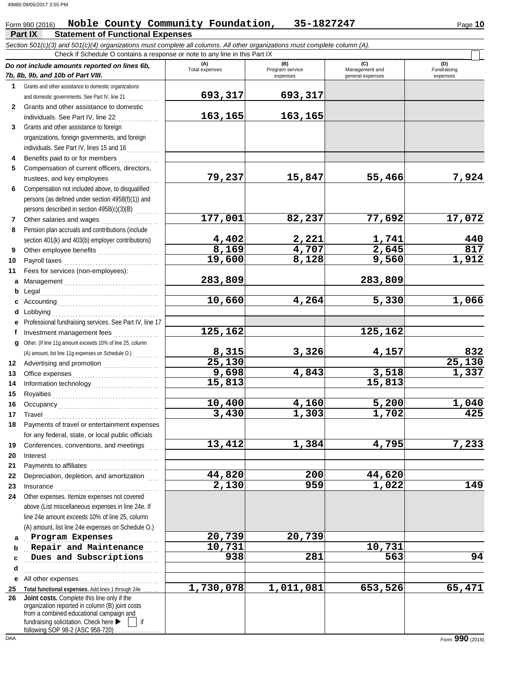## **Part IX Statement of Functional Expenses** Form 990 (2016) Noble County Community Foundation, 35-1827247 Page 10

*Section 501(c)(3) and 501(c)(4) organizations must complete all columns. All other organizations must complete column (A).*

|              | Check if Schedule O contains a response or note to any line in this Part IX                                                                                                                                              |                       |                                    |                                    |                                |  |  |  |
|--------------|--------------------------------------------------------------------------------------------------------------------------------------------------------------------------------------------------------------------------|-----------------------|------------------------------------|------------------------------------|--------------------------------|--|--|--|
|              | Do not include amounts reported on lines 6b,<br>7b, 8b, 9b, and 10b of Part VIII.                                                                                                                                        | (A)<br>Total expenses | (B)<br>Program service<br>expenses | Management and<br>general expenses | (D)<br>Fundraising<br>expenses |  |  |  |
| 1            | Grants and other assistance to domestic organizations                                                                                                                                                                    |                       |                                    |                                    |                                |  |  |  |
|              | and domestic governments. See Part IV, line 21                                                                                                                                                                           | 693,317               | 693,317                            |                                    |                                |  |  |  |
| $\mathbf{2}$ | Grants and other assistance to domestic                                                                                                                                                                                  |                       |                                    |                                    |                                |  |  |  |
|              | individuals. See Part IV, line 22                                                                                                                                                                                        | 163,165               | 163,165                            |                                    |                                |  |  |  |
| 3            | Grants and other assistance to foreign                                                                                                                                                                                   |                       |                                    |                                    |                                |  |  |  |
|              | organizations, foreign governments, and foreign                                                                                                                                                                          |                       |                                    |                                    |                                |  |  |  |
|              | individuals. See Part IV, lines 15 and 16                                                                                                                                                                                |                       |                                    |                                    |                                |  |  |  |
|              | Benefits paid to or for members                                                                                                                                                                                          |                       |                                    |                                    |                                |  |  |  |
| 5            | Compensation of current officers, directors,                                                                                                                                                                             |                       |                                    |                                    |                                |  |  |  |
|              | trustees, and key employees                                                                                                                                                                                              | 79,237                | 15,847                             | 55,466                             | 7,924                          |  |  |  |
| 6            | Compensation not included above, to disqualified                                                                                                                                                                         |                       |                                    |                                    |                                |  |  |  |
|              | persons (as defined under section 4958(f)(1)) and                                                                                                                                                                        |                       |                                    |                                    |                                |  |  |  |
|              | persons described in section 4958(c)(3)(B)                                                                                                                                                                               |                       |                                    |                                    |                                |  |  |  |
| $\mathbf{7}$ | Other salaries and wages                                                                                                                                                                                                 | 177,001               | 82,237                             | 77,692                             | 17,072                         |  |  |  |
| 8            | Pension plan accruals and contributions (include                                                                                                                                                                         |                       |                                    |                                    |                                |  |  |  |
|              | section 401(k) and 403(b) employer contributions)                                                                                                                                                                        | 4,402                 | 2,221                              | 1,741                              | 440                            |  |  |  |
| 9            | Other employee benefits                                                                                                                                                                                                  | 8,169                 | 4,707                              | 2,645                              | 817                            |  |  |  |
| 10           | Payroll taxes [11] [11] Payroll taxes [11] [11] Mayroll taxes [11] Mayroll taxes [11] Mayroll Taxes                                                                                                                      | 19,600                | 8,128                              | 9,560                              | 1,912                          |  |  |  |
| 11           | Fees for services (non-employees):                                                                                                                                                                                       |                       |                                    |                                    |                                |  |  |  |
| a            |                                                                                                                                                                                                                          | 283,809               |                                    | 283,809                            |                                |  |  |  |
| b            |                                                                                                                                                                                                                          |                       |                                    |                                    |                                |  |  |  |
| c            |                                                                                                                                                                                                                          | 10,660                | 4,264                              | 5,330                              | 1,066                          |  |  |  |
| d            | Lobbying                                                                                                                                                                                                                 |                       |                                    |                                    |                                |  |  |  |
|              | Professional fundraising services. See Part IV, line 17                                                                                                                                                                  |                       |                                    |                                    |                                |  |  |  |
|              | f Investment management fees<br>an an Dùbhlachd a bhaile an Dùbhail an Dùbhail an Dùbhail an Dùbhail an Dùbhail an Dùbhail an Dùbhail an Dùbha                                                                           | 125,162               |                                    | 125,162                            |                                |  |  |  |
| q            | Other. (If line 11g amount exceeds 10% of line 25, column                                                                                                                                                                |                       |                                    |                                    |                                |  |  |  |
|              | (A) amount, list line 11g expenses on Schedule O.)                                                                                                                                                                       | 8,315                 | 3,326                              | 4,157                              | 832                            |  |  |  |
| 12           |                                                                                                                                                                                                                          | 25,130                |                                    |                                    | 25,130                         |  |  |  |
| 13           |                                                                                                                                                                                                                          | 9,698                 | 4,843                              | 3,518                              | 1,337                          |  |  |  |
| 14           |                                                                                                                                                                                                                          | 15,813                |                                    | 15,813                             |                                |  |  |  |
| 15           |                                                                                                                                                                                                                          |                       |                                    |                                    |                                |  |  |  |
| 16           |                                                                                                                                                                                                                          | 10,400                | 4,160                              | 5,200                              | 1,040                          |  |  |  |
| 17           |                                                                                                                                                                                                                          | 3,430                 | 1,303                              | 1,702                              | 425                            |  |  |  |
| 18           | Payments of travel or entertainment expenses                                                                                                                                                                             |                       |                                    |                                    |                                |  |  |  |
|              | for any federal, state, or local public officials                                                                                                                                                                        |                       |                                    |                                    |                                |  |  |  |
| 19           | Conferences, conventions, and meetings                                                                                                                                                                                   | 13,412                | 1,384                              | 4,795                              | 7,233                          |  |  |  |
| 20           | Interest                                                                                                                                                                                                                 |                       |                                    |                                    |                                |  |  |  |
| 21           | Payments to affiliates                                                                                                                                                                                                   |                       |                                    |                                    |                                |  |  |  |
| 22           | Depreciation, depletion, and amortization                                                                                                                                                                                | 44,820                | 200                                | 44,620                             |                                |  |  |  |
| 23           | Insurance <b>Insurance Insurance Insurance Insurance Insurance</b>                                                                                                                                                       | 2,130                 | 959                                | 1,022                              | 149                            |  |  |  |
| 24           | Other expenses. Itemize expenses not covered                                                                                                                                                                             |                       |                                    |                                    |                                |  |  |  |
|              | above (List miscellaneous expenses in line 24e. If                                                                                                                                                                       |                       |                                    |                                    |                                |  |  |  |
|              | line 24e amount exceeds 10% of line 25, column                                                                                                                                                                           |                       |                                    |                                    |                                |  |  |  |
|              | (A) amount, list line 24e expenses on Schedule O.)                                                                                                                                                                       |                       |                                    |                                    |                                |  |  |  |
| a            | Program Expenses                                                                                                                                                                                                         | 20,739                | 20,739                             |                                    |                                |  |  |  |
| b            | Repair and Maintenance                                                                                                                                                                                                   | 10,731                |                                    | 10,731                             |                                |  |  |  |
| c            | Dues and Subscriptions                                                                                                                                                                                                   | 938                   | 281                                | 563                                | 94                             |  |  |  |
| d            |                                                                                                                                                                                                                          |                       |                                    |                                    |                                |  |  |  |
| е            | All other expenses                                                                                                                                                                                                       |                       |                                    |                                    |                                |  |  |  |
| 25           | Total functional expenses. Add lines 1 through 24e                                                                                                                                                                       | 1,730,078             | 1,011,081                          | 653,526                            | 65,471                         |  |  |  |
| 26           | Joint costs. Complete this line only if the<br>organization reported in column (B) joint costs<br>from a combined educational campaign and<br>fundraising solicitation. Check here ▶<br>following SOP 98-2 (ASC 958-720) |                       |                                    |                                    |                                |  |  |  |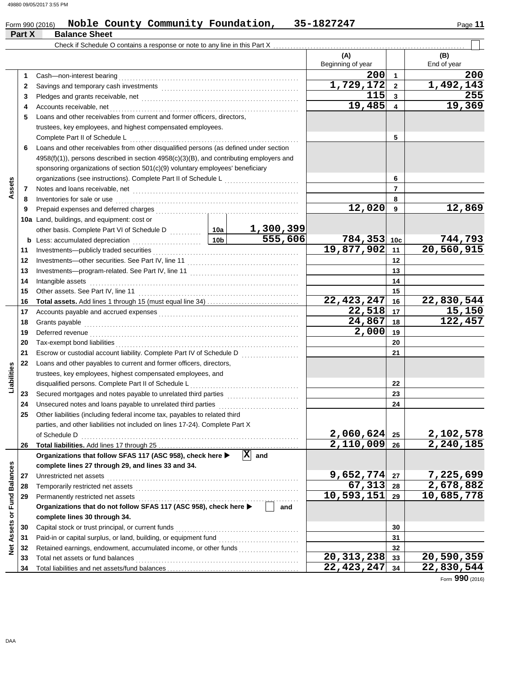## Form 990 (2016) Noble County Community Foundation, 35-1827247 Page 11

|                             | Part X   | $-$ 01111 990 (2010)<br>102220000<br><b>Balance Sheet</b>                               |           |                               |                                      |                            | raye <b>II</b>         |
|-----------------------------|----------|-----------------------------------------------------------------------------------------|-----------|-------------------------------|--------------------------------------|----------------------------|------------------------|
|                             |          |                                                                                         |           |                               |                                      |                            |                        |
|                             |          |                                                                                         |           |                               | (A)                                  |                            | (B)                    |
|                             |          |                                                                                         |           |                               | Beginning of year                    |                            | End of year            |
|                             | 1        |                                                                                         |           | 200                           | $\overline{1}$                       | 200                        |                        |
|                             | 2        |                                                                                         |           |                               | 1,729,172                            | $\overline{\mathbf{2}}$    | 1,492,143              |
|                             | 3        |                                                                                         |           |                               | 115                                  | $\mathbf{3}$               | 255                    |
|                             | 4        | Accounts receivable, net                                                                |           |                               | 19,485                               | 4                          | 19,369                 |
|                             | 5        | Loans and other receivables from current and former officers, directors,                |           |                               |                                      |                            |                        |
|                             |          | trustees, key employees, and highest compensated employees.                             |           |                               |                                      |                            |                        |
|                             |          | Complete Part II of Schedule L                                                          |           |                               |                                      | 5                          |                        |
|                             | 6        | Loans and other receivables from other disqualified persons (as defined under section   |           |                               |                                      |                            |                        |
|                             |          | 4958(f)(1)), persons described in section 4958(c)(3)(B), and contributing employers and |           |                               |                                      |                            |                        |
|                             |          | sponsoring organizations of section 501(c)(9) voluntary employees' beneficiary          |           |                               |                                      |                            |                        |
|                             |          | organizations (see instructions). Complete Part II of Schedule L                        |           |                               |                                      | 6                          |                        |
| Assets                      | 7        |                                                                                         |           |                               |                                      | $\overline{7}$             |                        |
|                             | 8        | Inventories for sale or use                                                             |           |                               |                                      | 8                          |                        |
|                             | 9        | Prepaid expenses and deferred charges                                                   |           |                               | $\overline{12}$ ,020                 | 9                          | 12,869                 |
|                             |          | 10a Land, buildings, and equipment: cost or                                             |           |                               |                                      |                            |                        |
|                             |          |                                                                                         |           | 1,300,399<br>555,606          |                                      |                            |                        |
|                             | b        |                                                                                         |           |                               | 784,353 10c<br>19,877,902            |                            | 744,793<br>20,560,915  |
|                             | 11       | Investments-publicly traded securities                                                  |           |                               |                                      | 11                         |                        |
|                             | 12       | Investments-other securities. See Part IV, line 11                                      |           |                               |                                      | 12                         |                        |
|                             | 13       |                                                                                         |           |                               |                                      | 13                         |                        |
|                             | 14       | Intangible assets                                                                       |           |                               | 14                                   |                            |                        |
|                             | 15       | Other assets. See Part IV, line 11                                                      |           |                               | 22, 423, 247                         | 15<br>16                   | 22,830,544             |
|                             | 16<br>17 |                                                                                         |           |                               | $22,518$ 17                          |                            | 15,150                 |
|                             | 18       | Accounts payable and accrued expenses<br>Grants payable                                 |           |                               | 24,867                               | 18                         | 122,457                |
|                             | 19       | Deferred revenue                                                                        |           |                               | 2,000                                | 19                         |                        |
|                             | 20       | Tax-exempt bond liabilities                                                             |           |                               |                                      | 20                         |                        |
|                             | 21       | Escrow or custodial account liability. Complete Part IV of Schedule D                   |           |                               |                                      | 21                         |                        |
|                             | 22       | Loans and other payables to current and former officers, directors,                     |           |                               |                                      |                            |                        |
| Liabilities                 |          | trustees, key employees, highest compensated employees, and                             |           |                               |                                      |                            |                        |
|                             |          | disqualified persons. Complete Part II of Schedule L                                    |           |                               |                                      | 22                         |                        |
|                             | 23       | Secured mortgages and notes payable to unrelated third parties                          |           |                               |                                      | 23                         |                        |
|                             | 24       | Unsecured notes and loans payable to unrelated third parties                            |           |                               |                                      | 24                         |                        |
|                             | 25       | Other liabilities (including federal income tax, payables to related third              |           |                               |                                      |                            |                        |
|                             |          | parties, and other liabilities not included on lines 17-24). Complete Part X            |           |                               |                                      |                            |                        |
|                             |          | of Schedule D                                                                           |           |                               | $2,060,624$ 25                       |                            |                        |
|                             | 26       |                                                                                         |           |                               | $\overline{2,110,009}$ <sub>26</sub> |                            | 2,102,578<br>2,240,185 |
|                             |          | Organizations that follow SFAS 117 (ASC 958), check here ▶                              |           | $ \mathbf{\overline{X}} $ and |                                      |                            |                        |
|                             |          | complete lines 27 through 29, and lines 33 and 34.                                      |           |                               |                                      |                            |                        |
|                             | 27       | Unrestricted net assets                                                                 | 9,652,774 | 27                            | 7,225,699                            |                            |                        |
|                             | 28       | Temporarily restricted net assets                                                       |           | 67,313                        | 28                                   | 2,678,882                  |                        |
|                             | 29       | Permanently restricted net assets                                                       |           | 10,593,151                    | 29                                   | $\overline{10}$ , 685, 778 |                        |
|                             |          | Organizations that do not follow SFAS 117 (ASC 958), check here >                       |           | and                           |                                      |                            |                        |
|                             |          | complete lines 30 through 34.                                                           |           |                               |                                      |                            |                        |
| Net Assets or Fund Balances | 30       | Capital stock or trust principal, or current funds                                      |           |                               |                                      | 30                         |                        |
|                             | 31       | Paid-in or capital surplus, or land, building, or equipment fund                        |           |                               |                                      | 31                         |                        |
|                             | 32       | Retained earnings, endowment, accumulated income, or other funds                        |           |                               |                                      | 32                         |                        |
|                             | 33       | Total net assets or fund balances                                                       |           |                               | 20, 313, 238                         | 33                         | 20,590,359             |
|                             | 34       |                                                                                         |           |                               | $22,423,247$ 34                      |                            | 22,830,544             |

Form **990** (2016)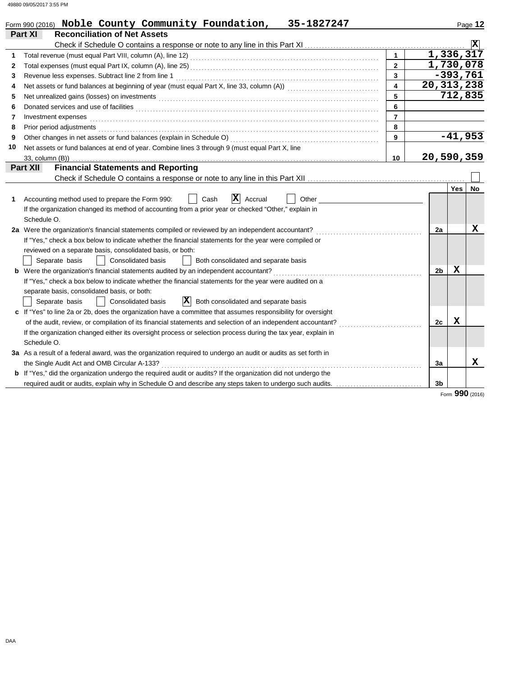|    | 35-1827247<br>Form 990 (2016) Noble County Community Foundation,                                                                                                                                                                     |                         |                |                        | Page 12         |
|----|--------------------------------------------------------------------------------------------------------------------------------------------------------------------------------------------------------------------------------------|-------------------------|----------------|------------------------|-----------------|
|    | Part XI<br><b>Reconciliation of Net Assets</b>                                                                                                                                                                                       |                         |                |                        |                 |
|    |                                                                                                                                                                                                                                      |                         |                |                        | $ \mathbf{x} $  |
| 1  |                                                                                                                                                                                                                                      | $\mathbf{1}$            |                | 1,336,317              |                 |
| 2  |                                                                                                                                                                                                                                      | $\overline{2}$          |                | $\overline{1,730,078}$ |                 |
| 3  | Revenue less expenses. Subtract line 2 from line 1                                                                                                                                                                                   | 3                       |                | $-393,761$             |                 |
| 4  | Net assets or fund balances at beginning of year (must equal Part X, line 33, column (A)) [[[[[[[[[[[[[[[[[[[                                                                                                                        | $\overline{\mathbf{A}}$ |                | 20, 313, 238           |                 |
| 5  |                                                                                                                                                                                                                                      | 5                       |                | 712,835                |                 |
| 6  | Donated services and use of facilities <b>constants and interview of a constant of a constant of a constant of a constant of a constant of a constant of a constant of a constant of a constant of a constant of a constant of a</b> | 6                       |                |                        |                 |
| 7  | Investment expenses                                                                                                                                                                                                                  | $\overline{7}$          |                |                        |                 |
| 8  | Prior period adjustments <b>construction and construction</b> and construction of the construction of the construction of the construction of the construction of the construction of the construction of the construction of the c  | 8                       |                |                        |                 |
| 9  |                                                                                                                                                                                                                                      | 9                       |                |                        | $-41,953$       |
| 10 | Net assets or fund balances at end of year. Combine lines 3 through 9 (must equal Part X, line                                                                                                                                       |                         |                |                        |                 |
|    | 33, column (B))                                                                                                                                                                                                                      | 10                      |                | 20,590,359             |                 |
|    | <b>Financial Statements and Reporting</b><br>Part XII                                                                                                                                                                                |                         |                |                        |                 |
|    |                                                                                                                                                                                                                                      |                         |                |                        |                 |
|    |                                                                                                                                                                                                                                      |                         |                | Yes                    | No              |
| 1  | $ \mathbf{X} $ Accrual<br>Accounting method used to prepare the Form 990:<br>Cash<br>Other                                                                                                                                           |                         |                |                        |                 |
|    | If the organization changed its method of accounting from a prior year or checked "Other," explain in                                                                                                                                |                         |                |                        |                 |
|    | Schedule O.                                                                                                                                                                                                                          |                         |                |                        |                 |
|    | 2a Were the organization's financial statements compiled or reviewed by an independent accountant?                                                                                                                                   |                         | 2a             |                        | х               |
|    | If "Yes," check a box below to indicate whether the financial statements for the year were compiled or                                                                                                                               |                         |                |                        |                 |
|    | reviewed on a separate basis, consolidated basis, or both:                                                                                                                                                                           |                         |                |                        |                 |
|    | <b>Consolidated basis</b><br>Separate basis<br>Both consolidated and separate basis                                                                                                                                                  |                         |                |                        |                 |
|    | <b>b</b> Were the organization's financial statements audited by an independent accountant?                                                                                                                                          |                         | 2 <sub>b</sub> | x                      |                 |
|    | If "Yes," check a box below to indicate whether the financial statements for the year were audited on a                                                                                                                              |                         |                |                        |                 |
|    | separate basis, consolidated basis, or both:                                                                                                                                                                                         |                         |                |                        |                 |
|    | $ {\bf X} $<br><b>Consolidated basis</b><br>Both consolidated and separate basis<br>Separate basis                                                                                                                                   |                         |                |                        |                 |
|    | c If "Yes" to line 2a or 2b, does the organization have a committee that assumes responsibility for oversight                                                                                                                        |                         |                |                        |                 |
|    | of the audit, review, or compilation of its financial statements and selection of an independent accountant?                                                                                                                         |                         | 2c             | X                      |                 |
|    | If the organization changed either its oversight process or selection process during the tax year, explain in                                                                                                                        |                         |                |                        |                 |
|    | Schedule O.                                                                                                                                                                                                                          |                         |                |                        |                 |
|    | 3a As a result of a federal award, was the organization required to undergo an audit or audits as set forth in                                                                                                                       |                         |                |                        |                 |
|    | the Single Audit Act and OMB Circular A-133?                                                                                                                                                                                         |                         | За             |                        | x               |
|    | <b>b</b> If "Yes," did the organization undergo the required audit or audits? If the organization did not undergo the                                                                                                                |                         |                |                        |                 |
|    | required audit or audits, explain why in Schedule O and describe any steps taken to undergo such audits.                                                                                                                             |                         | 3b             |                        |                 |
|    |                                                                                                                                                                                                                                      |                         |                |                        | Form 990 (2016) |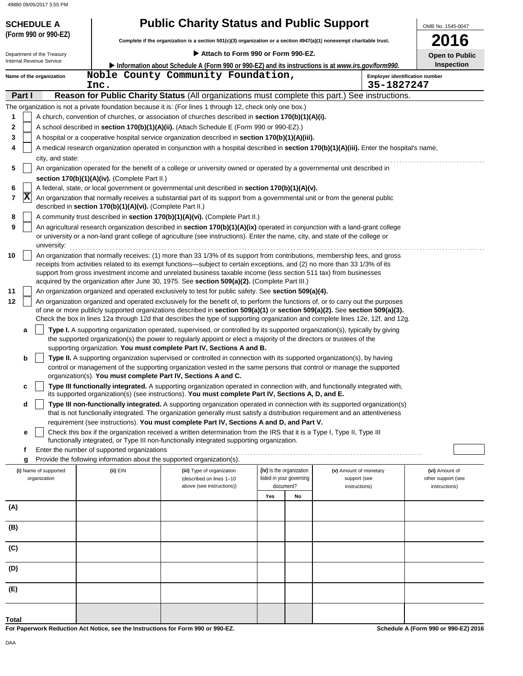## **(Form 990 or 990-EZ) SCHEDULE A Public Charity Status and Public Support**

| Complete if the organization is a section 501(c)(3) organization or a section $4947(a)(1)$ nonexempt charitable trust. |  |
|------------------------------------------------------------------------------------------------------------------------|--|
|------------------------------------------------------------------------------------------------------------------------|--|

| Department of the Treasury |                          |                                                                                                   | <b>Open to Public</b>                                                                                                                                                                                                                                                                                                                                                                                                                                                            |     |                          |                        |  |                    |  |
|----------------------------|--------------------------|---------------------------------------------------------------------------------------------------|----------------------------------------------------------------------------------------------------------------------------------------------------------------------------------------------------------------------------------------------------------------------------------------------------------------------------------------------------------------------------------------------------------------------------------------------------------------------------------|-----|--------------------------|------------------------|--|--------------------|--|
| Internal Revenue Service   |                          | Information about Schedule A (Form 990 or 990-EZ) and its instructions is at www.irs.gov/form990. | <b>Inspection</b>                                                                                                                                                                                                                                                                                                                                                                                                                                                                |     |                          |                        |  |                    |  |
|                            | Name of the organization | Inc.                                                                                              | Noble County Community Foundation,<br><b>Employer identification number</b><br>35-1827247                                                                                                                                                                                                                                                                                                                                                                                        |     |                          |                        |  |                    |  |
| Part I                     |                          |                                                                                                   | Reason for Public Charity Status (All organizations must complete this part.) See instructions.                                                                                                                                                                                                                                                                                                                                                                                  |     |                          |                        |  |                    |  |
|                            |                          |                                                                                                   | The organization is not a private foundation because it is: (For lines 1 through 12, check only one box.)                                                                                                                                                                                                                                                                                                                                                                        |     |                          |                        |  |                    |  |
| 1                          |                          |                                                                                                   | A church, convention of churches, or association of churches described in <b>section 170(b)(1)(A)(i).</b>                                                                                                                                                                                                                                                                                                                                                                        |     |                          |                        |  |                    |  |
| 2                          |                          |                                                                                                   | A school described in <b>section 170(b)(1)(A)(ii).</b> (Attach Schedule E (Form 990 or 990-EZ).)                                                                                                                                                                                                                                                                                                                                                                                 |     |                          |                        |  |                    |  |
| 3                          |                          |                                                                                                   | A hospital or a cooperative hospital service organization described in section 170(b)(1)(A)(iii).                                                                                                                                                                                                                                                                                                                                                                                |     |                          |                        |  |                    |  |
| 4                          | city, and state:         |                                                                                                   | A medical research organization operated in conjunction with a hospital described in section 170(b)(1)(A)(iii). Enter the hospital's name,                                                                                                                                                                                                                                                                                                                                       |     |                          |                        |  |                    |  |
| 5                          |                          | section 170(b)(1)(A)(iv). (Complete Part II.)                                                     | An organization operated for the benefit of a college or university owned or operated by a governmental unit described in                                                                                                                                                                                                                                                                                                                                                        |     |                          |                        |  |                    |  |
| 6                          |                          |                                                                                                   | A federal, state, or local government or governmental unit described in section 170(b)(1)(A)(v).                                                                                                                                                                                                                                                                                                                                                                                 |     |                          |                        |  |                    |  |
| ΙX<br>7                    |                          | described in section 170(b)(1)(A)(vi). (Complete Part II.)                                        | An organization that normally receives a substantial part of its support from a governmental unit or from the general public                                                                                                                                                                                                                                                                                                                                                     |     |                          |                        |  |                    |  |
| 8                          |                          |                                                                                                   | A community trust described in section 170(b)(1)(A)(vi). (Complete Part II.)                                                                                                                                                                                                                                                                                                                                                                                                     |     |                          |                        |  |                    |  |
| 9                          |                          |                                                                                                   | An agricultural research organization described in section 170(b)(1)(A)(ix) operated in conjunction with a land-grant college                                                                                                                                                                                                                                                                                                                                                    |     |                          |                        |  |                    |  |
|                            | university:              |                                                                                                   | or university or a non-land grant college of agriculture (see instructions). Enter the name, city, and state of the college or                                                                                                                                                                                                                                                                                                                                                   |     |                          |                        |  |                    |  |
| 10                         |                          |                                                                                                   | An organization that normally receives: (1) more than 33 1/3% of its support from contributions, membership fees, and gross<br>receipts from activities related to its exempt functions—subject to certain exceptions, and (2) no more than 33 1/3% of its<br>support from gross investment income and unrelated business taxable income (less section 511 tax) from businesses<br>acquired by the organization after June 30, 1975. See section 509(a)(2). (Complete Part III.) |     |                          |                        |  |                    |  |
| 11                         |                          |                                                                                                   | An organization organized and operated exclusively to test for public safety. See section 509(a)(4).                                                                                                                                                                                                                                                                                                                                                                             |     |                          |                        |  |                    |  |
| 12                         |                          |                                                                                                   | An organization organized and operated exclusively for the benefit of, to perform the functions of, or to carry out the purposes                                                                                                                                                                                                                                                                                                                                                 |     |                          |                        |  |                    |  |
|                            |                          |                                                                                                   | of one or more publicly supported organizations described in section 509(a)(1) or section 509(a)(2). See section 509(a)(3).<br>Check the box in lines 12a through 12d that describes the type of supporting organization and complete lines 12e, 12f, and 12g.                                                                                                                                                                                                                   |     |                          |                        |  |                    |  |
| а                          |                          |                                                                                                   | Type I. A supporting organization operated, supervised, or controlled by its supported organization(s), typically by giving                                                                                                                                                                                                                                                                                                                                                      |     |                          |                        |  |                    |  |
|                            |                          |                                                                                                   | the supported organization(s) the power to regularly appoint or elect a majority of the directors or trustees of the                                                                                                                                                                                                                                                                                                                                                             |     |                          |                        |  |                    |  |
|                            |                          |                                                                                                   | supporting organization. You must complete Part IV, Sections A and B.                                                                                                                                                                                                                                                                                                                                                                                                            |     |                          |                        |  |                    |  |
| b                          |                          |                                                                                                   | Type II. A supporting organization supervised or controlled in connection with its supported organization(s), by having                                                                                                                                                                                                                                                                                                                                                          |     |                          |                        |  |                    |  |
|                            |                          |                                                                                                   | control or management of the supporting organization vested in the same persons that control or manage the supported                                                                                                                                                                                                                                                                                                                                                             |     |                          |                        |  |                    |  |
| c                          |                          |                                                                                                   | organization(s). You must complete Part IV, Sections A and C.<br>Type III functionally integrated. A supporting organization operated in connection with, and functionally integrated with,                                                                                                                                                                                                                                                                                      |     |                          |                        |  |                    |  |
|                            |                          |                                                                                                   | its supported organization(s) (see instructions). You must complete Part IV, Sections A, D, and E.                                                                                                                                                                                                                                                                                                                                                                               |     |                          |                        |  |                    |  |
| d                          |                          |                                                                                                   | Type III non-functionally integrated. A supporting organization operated in connection with its supported organization(s)<br>that is not functionally integrated. The organization generally must satisfy a distribution requirement and an attentiveness                                                                                                                                                                                                                        |     |                          |                        |  |                    |  |
|                            |                          |                                                                                                   | requirement (see instructions). You must complete Part IV, Sections A and D, and Part V.<br>Check this box if the organization received a written determination from the IRS that it is a Type I, Type II, Type III                                                                                                                                                                                                                                                              |     |                          |                        |  |                    |  |
|                            |                          |                                                                                                   | functionally integrated, or Type III non-functionally integrated supporting organization.                                                                                                                                                                                                                                                                                                                                                                                        |     |                          |                        |  |                    |  |
| f                          |                          | Enter the number of supported organizations                                                       |                                                                                                                                                                                                                                                                                                                                                                                                                                                                                  |     |                          |                        |  |                    |  |
| g                          |                          | Provide the following information about the supported organization(s).                            |                                                                                                                                                                                                                                                                                                                                                                                                                                                                                  |     |                          |                        |  |                    |  |
|                            | (i) Name of supported    | (ii) EIN                                                                                          | (iii) Type of organization                                                                                                                                                                                                                                                                                                                                                                                                                                                       |     | (iv) Is the organization | (v) Amount of monetary |  | (vi) Amount of     |  |
|                            | organization             |                                                                                                   | (described on lines 1-10                                                                                                                                                                                                                                                                                                                                                                                                                                                         |     | listed in your governing | support (see           |  | other support (see |  |
|                            |                          |                                                                                                   | above (see instructions))                                                                                                                                                                                                                                                                                                                                                                                                                                                        |     | document?                | instructions)          |  | instructions)      |  |
| (A)                        |                          |                                                                                                   |                                                                                                                                                                                                                                                                                                                                                                                                                                                                                  | Yes | No                       |                        |  |                    |  |
|                            |                          |                                                                                                   |                                                                                                                                                                                                                                                                                                                                                                                                                                                                                  |     |                          |                        |  |                    |  |
| (B)                        |                          |                                                                                                   |                                                                                                                                                                                                                                                                                                                                                                                                                                                                                  |     |                          |                        |  |                    |  |
| (C)                        |                          |                                                                                                   |                                                                                                                                                                                                                                                                                                                                                                                                                                                                                  |     |                          |                        |  |                    |  |
| (D)                        |                          |                                                                                                   |                                                                                                                                                                                                                                                                                                                                                                                                                                                                                  |     |                          |                        |  |                    |  |
| (E)                        |                          |                                                                                                   |                                                                                                                                                                                                                                                                                                                                                                                                                                                                                  |     |                          |                        |  |                    |  |
|                            |                          |                                                                                                   |                                                                                                                                                                                                                                                                                                                                                                                                                                                                                  |     |                          |                        |  |                    |  |
| <b>Total</b>               |                          |                                                                                                   |                                                                                                                                                                                                                                                                                                                                                                                                                                                                                  |     |                          |                        |  |                    |  |

**For Paperwork Reduction Act Notice, see the Instructions for Form 990 or 990-EZ.**

**Schedule A (Form 990 or 990-EZ) 2016**

OMB No. 1545-0047

**2016**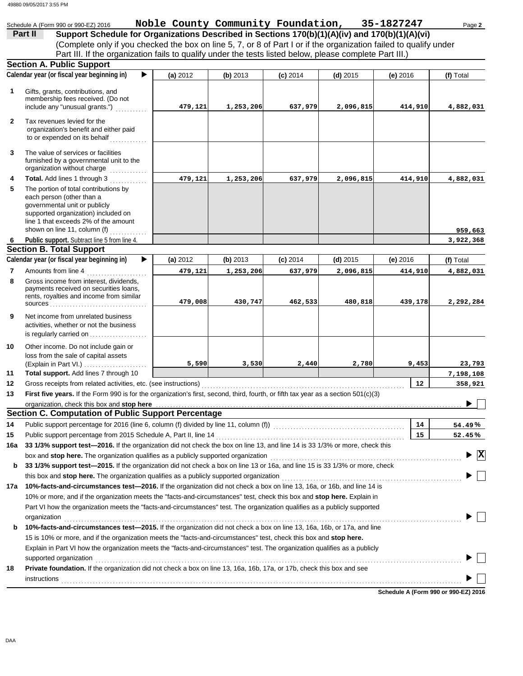|              | Schedule A (Form 990 or 990-EZ) 2016                                                                                               | Noble County Community Foundation, |           |            |            | 35-1827247      | Page 2                                        |
|--------------|------------------------------------------------------------------------------------------------------------------------------------|------------------------------------|-----------|------------|------------|-----------------|-----------------------------------------------|
|              | Support Schedule for Organizations Described in Sections 170(b)(1)(A)(iv) and 170(b)(1)(A)(vi)<br>Part II                          |                                    |           |            |            |                 |                                               |
|              | (Complete only if you checked the box on line 5, 7, or 8 of Part I or if the organization failed to qualify under                  |                                    |           |            |            |                 |                                               |
|              | Part III. If the organization fails to qualify under the tests listed below, please complete Part III.)                            |                                    |           |            |            |                 |                                               |
|              | <b>Section A. Public Support</b>                                                                                                   |                                    |           |            |            |                 |                                               |
|              | Calendar year (or fiscal year beginning in)<br>▶                                                                                   | (a) 2012                           | (b) 2013  | $(c)$ 2014 | $(d)$ 2015 | $(e)$ 2016      | (f) Total                                     |
| $\mathbf 1$  | Gifts, grants, contributions, and                                                                                                  |                                    |           |            |            |                 |                                               |
|              | membership fees received. (Do not                                                                                                  |                                    |           |            |            |                 |                                               |
|              | include any "unusual grants.")                                                                                                     | 479,121                            | 1,253,206 | 637,979    | 2,096,815  | 414,910         | 4,882,031                                     |
| $\mathbf{2}$ | Tax revenues levied for the                                                                                                        |                                    |           |            |            |                 |                                               |
|              | organization's benefit and either paid                                                                                             |                                    |           |            |            |                 |                                               |
|              | to or expended on its behalf                                                                                                       |                                    |           |            |            |                 |                                               |
| 3            | The value of services or facilities                                                                                                |                                    |           |            |            |                 |                                               |
|              | furnished by a governmental unit to the                                                                                            |                                    |           |            |            |                 |                                               |
|              | organization without charge<br>.                                                                                                   |                                    |           |            |            |                 |                                               |
| 4            | Total. Add lines 1 through 3                                                                                                       | 479,121                            | 1,253,206 | 637,979    | 2,096,815  | 414,910         | 4,882,031                                     |
| 5            | The portion of total contributions by                                                                                              |                                    |           |            |            |                 |                                               |
|              | each person (other than a<br>governmental unit or publicly                                                                         |                                    |           |            |            |                 |                                               |
|              | supported organization) included on                                                                                                |                                    |           |            |            |                 |                                               |
|              | line 1 that exceeds 2% of the amount                                                                                               |                                    |           |            |            |                 |                                               |
|              | shown on line 11, column (f)                                                                                                       |                                    |           |            |            |                 | 959,663                                       |
| 6            | Public support. Subtract line 5 from line 4.<br><b>Section B. Total Support</b>                                                    |                                    |           |            |            |                 | 3,922,368                                     |
|              | Calendar year (or fiscal year beginning in)<br>▶                                                                                   | (a) 2012                           | (b) 2013  |            | $(d)$ 2015 |                 |                                               |
|              |                                                                                                                                    |                                    |           | $(c)$ 2014 |            | $(e)$ 2016      | (f) Total                                     |
| 7<br>8       | Amounts from line 4<br>.                                                                                                           | 479,121                            | 1,253,206 | 637,979    | 2,096,815  | 414,910         | 4,882,031                                     |
|              | Gross income from interest, dividends,<br>payments received on securities loans,                                                   |                                    |           |            |            |                 |                                               |
|              | rents, royalties and income from similar                                                                                           |                                    |           |            |            |                 |                                               |
|              |                                                                                                                                    | 479,008                            | 430,747   | 462,533    | 480,818    | 439,178         | 2,292,284                                     |
| 9            | Net income from unrelated business                                                                                                 |                                    |           |            |            |                 |                                               |
|              | activities, whether or not the business                                                                                            |                                    |           |            |            |                 |                                               |
|              | is regularly carried on $\ldots$ , $\ldots$ , $\ldots$                                                                             |                                    |           |            |            |                 |                                               |
| 10           | Other income. Do not include gain or                                                                                               |                                    |           |            |            |                 |                                               |
|              | loss from the sale of capital assets<br>(Explain in Part VI.)                                                                      | 5,590                              | 3,530     | 2,440      | 2,780      | 9,453           | 23,793                                        |
| 11           | Total support. Add lines 7 through 10                                                                                              |                                    |           |            |            |                 | 7,198,108                                     |
| 12           | Gross receipts from related activities, etc. (see instructions)                                                                    |                                    |           |            |            | 12 <sup>°</sup> | 358,921                                       |
| 13           | First five years. If the Form 990 is for the organization's first, second, third, fourth, or fifth tax year as a section 501(c)(3) |                                    |           |            |            |                 |                                               |
|              | organization, check this box and stop here                                                                                         |                                    |           |            |            |                 |                                               |
|              | <b>Section C. Computation of Public Support Percentage</b>                                                                         |                                    |           |            |            |                 |                                               |
| 14           | Public support percentage for 2016 (line 6, column (f) divided by line 11, column (f)) [[[[[[[[[[[[[[[[[[[[[[                      |                                    |           |            |            | 14              | 54.49%                                        |
| 15           | Public support percentage from 2015 Schedule A, Part II, line 14                                                                   |                                    |           |            |            | 15              | 52.45%                                        |
| 16a          | 33 1/3% support test-2016. If the organization did not check the box on line 13, and line 14 is 33 1/3% or more, check this        |                                    |           |            |            |                 |                                               |
|              | box and stop here. The organization qualifies as a publicly supported organization                                                 |                                    |           |            |            |                 | $\blacktriangleright$ $\overline{\mathbf{X}}$ |
| b            | 33 1/3% support test-2015. If the organization did not check a box on line 13 or 16a, and line 15 is 33 1/3% or more, check        |                                    |           |            |            |                 |                                               |
|              |                                                                                                                                    |                                    |           |            |            |                 |                                               |
| 17a          | 10%-facts-and-circumstances test-2016. If the organization did not check a box on line 13, 16a, or 16b, and line 14 is             |                                    |           |            |            |                 |                                               |
|              | 10% or more, and if the organization meets the "facts-and-circumstances" test, check this box and stop here. Explain in            |                                    |           |            |            |                 |                                               |
|              | Part VI how the organization meets the "facts-and-circumstances" test. The organization qualifies as a publicly supported          |                                    |           |            |            |                 |                                               |
|              | organization                                                                                                                       |                                    |           |            |            |                 |                                               |
| b            | 10%-facts-and-circumstances test-2015. If the organization did not check a box on line 13, 16a, 16b, or 17a, and line              |                                    |           |            |            |                 |                                               |
|              | 15 is 10% or more, and if the organization meets the "facts-and-circumstances" test, check this box and stop here.                 |                                    |           |            |            |                 |                                               |
|              | Explain in Part VI how the organization meets the "facts-and-circumstances" test. The organization qualifies as a publicly         |                                    |           |            |            |                 |                                               |
|              | supported organization                                                                                                             |                                    |           |            |            |                 |                                               |
| 18           | Private foundation. If the organization did not check a box on line 13, 16a, 16b, 17a, or 17b, check this box and see              |                                    |           |            |            |                 |                                               |
|              |                                                                                                                                    |                                    |           |            |            |                 |                                               |

**Schedule A (Form 990 or 990-EZ) 2016**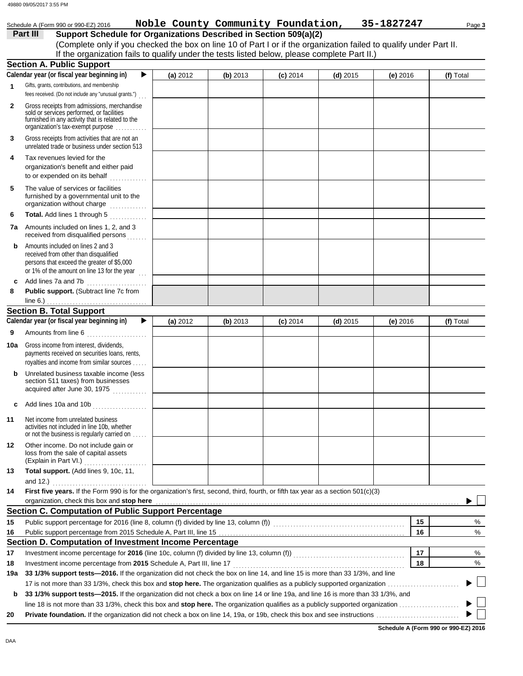|              | Schedule A (Form 990 or 990-EZ) 2016                                                                                                                                                    |          |          | Noble County Community Foundation, |            | 35-1827247 | Page 3    |
|--------------|-----------------------------------------------------------------------------------------------------------------------------------------------------------------------------------------|----------|----------|------------------------------------|------------|------------|-----------|
|              | Part III<br>Support Schedule for Organizations Described in Section 509(a)(2)                                                                                                           |          |          |                                    |            |            |           |
|              | (Complete only if you checked the box on line 10 of Part I or if the organization failed to qualify under Part II.                                                                      |          |          |                                    |            |            |           |
|              | If the organization fails to qualify under the tests listed below, please complete Part II.)                                                                                            |          |          |                                    |            |            |           |
|              | <b>Section A. Public Support</b>                                                                                                                                                        |          |          |                                    |            |            |           |
|              | Calendar year (or fiscal year beginning in)<br>▶                                                                                                                                        | (a) 2012 | (b) 2013 | $(c)$ 2014                         | $(d)$ 2015 | (e) $2016$ | (f) Total |
| $\mathbf{1}$ | Gifts, grants, contributions, and membership<br>fees received. (Do not include any "unusual grants.")                                                                                   |          |          |                                    |            |            |           |
| $\mathbf{2}$ | Gross receipts from admissions, merchandise<br>sold or services performed, or facilities<br>furnished in any activity that is related to the<br>organization's tax-exempt purpose       |          |          |                                    |            |            |           |
| 3            | Gross receipts from activities that are not an<br>unrelated trade or business under section 513                                                                                         |          |          |                                    |            |            |           |
| 4            | Tax revenues levied for the<br>organization's benefit and either paid<br>to or expended on its behalf                                                                                   |          |          |                                    |            |            |           |
| 5            | The value of services or facilities<br>furnished by a governmental unit to the<br>organization without charge                                                                           |          |          |                                    |            |            |           |
| 6            | Total. Add lines 1 through 5                                                                                                                                                            |          |          |                                    |            |            |           |
| 7a           | Amounts included on lines 1, 2, and 3<br>received from disqualified persons                                                                                                             |          |          |                                    |            |            |           |
| b            | Amounts included on lines 2 and 3<br>received from other than disqualified<br>persons that exceed the greater of \$5,000<br>or 1% of the amount on line 13 for the year $\frac{1}{100}$ |          |          |                                    |            |            |           |
| c            | Add lines 7a and 7b                                                                                                                                                                     |          |          |                                    |            |            |           |
| 8            | Public support. (Subtract line 7c from<br>line $6.$ )                                                                                                                                   |          |          |                                    |            |            |           |
|              | <b>Section B. Total Support</b>                                                                                                                                                         |          |          |                                    |            |            |           |
|              | Calendar year (or fiscal year beginning in)<br>▶                                                                                                                                        | (a) 2012 | (b) 2013 | $(c)$ 2014                         | $(d)$ 2015 | (e) 2016   | (f) Total |
| 9            | Amounts from line 6                                                                                                                                                                     |          |          |                                    |            |            |           |
| 10a          | Gross income from interest, dividends.<br>payments received on securities loans, rents,<br>royalties and income from similar sources                                                    |          |          |                                    |            |            |           |
| b            | Unrelated business taxable income (less<br>section 511 taxes) from businesses<br>acquired after June 30, 1975                                                                           |          |          |                                    |            |            |           |
| c            | Add lines 10a and 10b                                                                                                                                                                   |          |          |                                    |            |            |           |
| 11           | Net income from unrelated business<br>activities not included in line 10b, whether<br>or not the business is regularly carried on                                                       |          |          |                                    |            |            |           |
| 12           | Other income. Do not include gain or<br>loss from the sale of capital assets                                                                                                            |          |          |                                    |            |            |           |
| 13           | Total support. (Add lines 9, 10c, 11,                                                                                                                                                   |          |          |                                    |            |            |           |
| 14           | First five years. If the Form 990 is for the organization's first, second, third, fourth, or fifth tax year as a section 501(c)(3)                                                      |          |          |                                    |            |            |           |
|              | organization, check this box and stop here <i>manufactured contained and a contained and a contained and stop</i> here                                                                  |          |          |                                    |            |            |           |
|              | <b>Section C. Computation of Public Support Percentage</b>                                                                                                                              |          |          |                                    |            |            |           |
| 15           | Public support percentage for 2016 (line 8, column (f) divided by line 13, column (f)) [[[[[ [ [ ]]                                                                                     |          |          |                                    |            | 15         | %         |
| 16           |                                                                                                                                                                                         |          |          |                                    |            | 16         | $\%$      |
|              | Section D. Computation of Investment Income Percentage                                                                                                                                  |          |          |                                    |            |            |           |
| 17           |                                                                                                                                                                                         |          |          |                                    |            | 17         | %         |
| 18           |                                                                                                                                                                                         |          |          |                                    |            | 18         | $\%$      |
| 19a          | 33 1/3% support tests-2016. If the organization did not check the box on line 14, and line 15 is more than 33 1/3%, and line                                                            |          |          |                                    |            |            |           |
| b            | 33 1/3% support tests-2015. If the organization did not check a box on line 14 or line 19a, and line 16 is more than 33 1/3%, and                                                       |          |          |                                    |            |            |           |
|              |                                                                                                                                                                                         |          |          |                                    |            |            |           |
|              |                                                                                                                                                                                         |          |          |                                    |            |            |           |

**Schedule A (Form 990 or 990-EZ) 2016**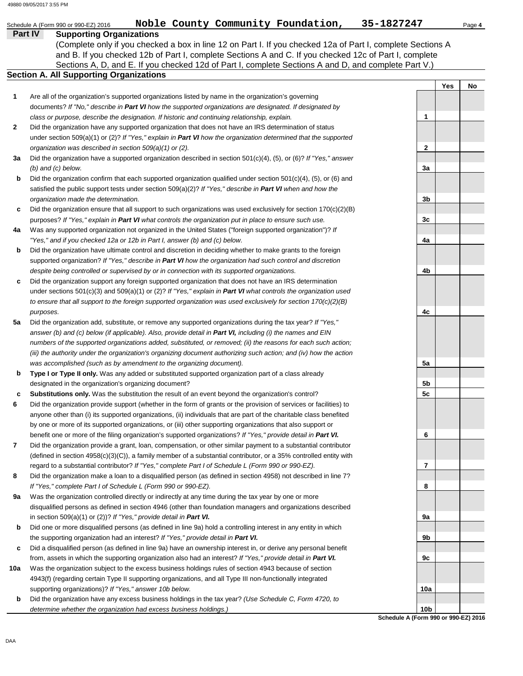**Yes No**

**1**

**2**

**3a**

**3b**

**3c**

**4a**

**4b**

**4c**

**5a**

**5b 5c**

**6**

**7**

**8**

**9a**

**9b**

**9c**

**10a**

**Part IV Supporting Organizations** Sections A, D, and E. If you checked 12d of Part I, complete Sections A and D, and complete Part V.) Schedule A (Form 990 or 990-EZ) 2016 **Noble County Community Foundation,** 35-1827247 Page 4 **Section A. All Supporting Organizations** (Complete only if you checked a box in line 12 on Part I. If you checked 12a of Part I, complete Sections A and B. If you checked 12b of Part I, complete Sections A and C. If you checked 12c of Part I, complete Are all of the organization's supported organizations listed by name in the organization's governing documents? *If "No," describe in Part VI how the supported organizations are designated. If designated by class or purpose, describe the designation. If historic and continuing relationship, explain.* Did the organization have any supported organization that does not have an IRS determination of status under section 509(a)(1) or (2)? *If "Yes," explain in Part VI how the organization determined that the supported organization was described in section 509(a)(1) or (2).* **1 2 3a b c 4a b c 5a b c 6 7 8 9a b c 10a b** Did the organization have a supported organization described in section 501(c)(4), (5), or (6)? *If "Yes," answer (b) and (c) below.* Did the organization confirm that each supported organization qualified under section 501(c)(4), (5), or (6) and satisfied the public support tests under section 509(a)(2)? *If "Yes," describe in Part VI when and how the organization made the determination.* Did the organization ensure that all support to such organizations was used exclusively for section  $170(c)(2)(B)$ purposes? *If "Yes," explain in Part VI what controls the organization put in place to ensure such use.* Was any supported organization not organized in the United States ("foreign supported organization")? *If "Yes," and if you checked 12a or 12b in Part I, answer (b) and (c) below.* Did the organization have ultimate control and discretion in deciding whether to make grants to the foreign supported organization? *If "Yes," describe in Part VI how the organization had such control and discretion despite being controlled or supervised by or in connection with its supported organizations.* Did the organization support any foreign supported organization that does not have an IRS determination under sections 501(c)(3) and 509(a)(1) or (2)? *If "Yes," explain in Part VI what controls the organization used to ensure that all support to the foreign supported organization was used exclusively for section 170(c)(2)(B) purposes.* Did the organization add, substitute, or remove any supported organizations during the tax year? *If "Yes," answer (b) and (c) below (if applicable). Also, provide detail in Part VI, including (i) the names and EIN numbers of the supported organizations added, substituted, or removed; (ii) the reasons for each such action; (iii) the authority under the organization's organizing document authorizing such action; and (iv) how the action was accomplished (such as by amendment to the organizing document).* **Type I or Type II only.** Was any added or substituted supported organization part of a class already designated in the organization's organizing document? **Substitutions only.** Was the substitution the result of an event beyond the organization's control? Did the organization provide support (whether in the form of grants or the provision of services or facilities) to anyone other than (i) its supported organizations, (ii) individuals that are part of the charitable class benefited by one or more of its supported organizations, or (iii) other supporting organizations that also support or benefit one or more of the filing organization's supported organizations? *If "Yes," provide detail in Part VI.* Did the organization provide a grant, loan, compensation, or other similar payment to a substantial contributor (defined in section 4958(c)(3)(C)), a family member of a substantial contributor, or a 35% controlled entity with regard to a substantial contributor? *If "Yes," complete Part I of Schedule L (Form 990 or 990-EZ).* Did the organization make a loan to a disqualified person (as defined in section 4958) not described in line 7? *If "Yes," complete Part I of Schedule L (Form 990 or 990-EZ).* Was the organization controlled directly or indirectly at any time during the tax year by one or more disqualified persons as defined in section 4946 (other than foundation managers and organizations described in section 509(a)(1) or (2))? *If "Yes," provide detail in Part VI.* Did one or more disqualified persons (as defined in line 9a) hold a controlling interest in any entity in which the supporting organization had an interest? *If "Yes," provide detail in Part VI.* Did a disqualified person (as defined in line 9a) have an ownership interest in, or derive any personal benefit from, assets in which the supporting organization also had an interest? *If "Yes," provide detail in Part VI.* Was the organization subject to the excess business holdings rules of section 4943 because of section 4943(f) (regarding certain Type II supporting organizations, and all Type III non-functionally integrated supporting organizations)? *If "Yes," answer 10b below.* Did the organization have any excess business holdings in the tax year? *(Use Schedule C, Form 4720, to*  49880 09/05/2017 3:55 PM

> **Schedule A (Form 990 or 990-EZ) 2016 10b**

*determine whether the organization had excess business holdings.)*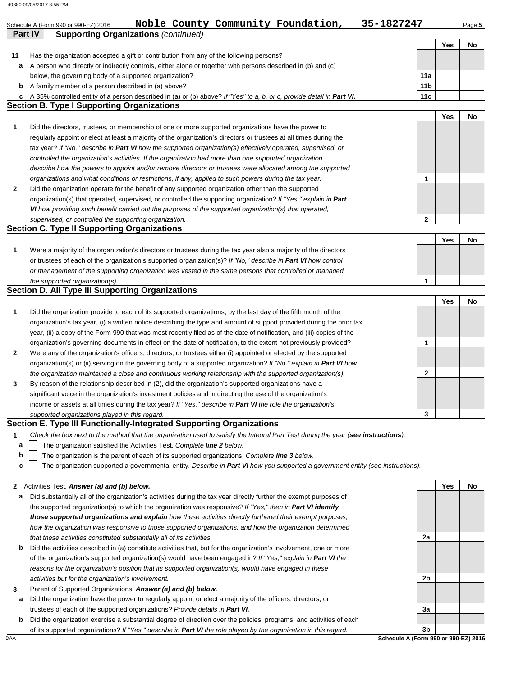### **Part IV Supporting Organizations** *(continued)* Schedule A (Form 990 or 990-EZ) 2016 **Noble County Community Foundation,** 35-1827247 Page 5 **Yes No 2 1** *organizations and what conditions or restrictions, if any, applied to such powers during the tax year. describe how the powers to appoint and/or remove directors or trustees were allocated among the supported controlled the organization's activities. If the organization had more than one supported organization,* tax year? *If "No," describe in Part VI how the supported organization(s) effectively operated, supervised, or* regularly appoint or elect at least a majority of the organization's directors or trustees at all times during the **Section B. Type I Supporting Organizations 11 c b** A family member of a person described in (a) above? **a** A person who directly or indirectly controls, either alone or together with persons described in (b) and (c) Has the organization accepted a gift or contribution from any of the following persons? below, the governing body of a supported organization? A 35% controlled entity of a person described in (a) or (b) above? *If "Yes" to a, b, or c, provide detail in Part VI.* **11a 11b 11c** Did the directors, trustees, or membership of one or more supported organizations have the power to Did the organization operate for the benefit of any supported organization other than the supported organization(s) that operated, supervised, or controlled the supporting organization? *If "Yes," explain in Part VI how providing such benefit carried out the purposes of the supported organization(s) that operated, supervised, or controlled the supporting organization.* **Section C. Type II Supporting Organizations** Were a majority of the organization's directors or trustees during the tax year also a majority of the directors or trustees of each of the organization's supported organization(s)? *If "No," describe in Part VI how control* **1** *or management of the supporting organization was vested in the same persons that controlled or managed the supported organization(s).* **Section D. All Type III Supporting Organizations** Did the organization provide to each of its supported organizations, by the last day of the fifth month of the organization's tax year, (i) a written notice describing the type and amount of support provided during the prior tax **1** year, (ii) a copy of the Form 990 that was most recently filed as of the date of notification, and (iii) copies of the organization's governing documents in effect on the date of notification, to the extent not previously provided? **2** Were any of the organization's officers, directors, or trustees either (i) appointed or elected by the supported *the organization maintained a close and continuous working relationship with the supported organization(s).* organization(s) or (ii) serving on the governing body of a supported organization? *If "No," explain in Part VI how supported organizations played in this regard.* income or assets at all times during the tax year? *If "Yes," describe in Part VI the role the organization's* **3** significant voice in the organization's investment policies and in directing the use of the organization's By reason of the relationship described in (2), did the organization's supported organizations have a **Section E. Type III Functionally-Integrated Supporting Organizations 2** Activities Test. *Answer (a) and (b) below.* **1** *Check the box next to the method that the organization used to satisfy the Integral Part Test during the year (see instructions).* The organization satisfied the Activities Test. *Complete line 2 below.* The organization is the parent of each of its supported organizations. *Complete line 3 below.* The organization supported a governmental entity. *Describe in Part VI how you supported a government entity (see instructions).* **a c b a** Did substantially all of the organization's activities during the tax year directly further the exempt purposes of the supported organization(s) to which the organization was responsive? *If "Yes," then in Part VI identify those supported organizations and explain how these activities directly furthered their exempt purposes, how the organization was responsive to those supported organizations, and how the organization determined that these activities constituted substantially all of its activities.* **Yes No 1 2 1 Yes No Yes No 1 2 3 Yes No 2a** 49880 09/05/2017 3:55 PM

- **b** Did the activities described in (a) constitute activities that, but for the organization's involvement, one or more of the organization's supported organization(s) would have been engaged in? *If "Yes," explain in Part VI the reasons for the organization's position that its supported organization(s) would have engaged in these activities but for the organization's involvement.*
- **3** Parent of Supported Organizations. *Answer (a) and (b) below.*
- **a** Did the organization have the power to regularly appoint or elect a majority of the officers, directors, or trustees of each of the supported organizations? *Provide details in Part VI.*
- **b** Did the organization exercise a substantial degree of direction over the policies, programs, and activities of each of its supported organizations? *If "Yes," describe in Part VI the role played by the organization in this regard.*



DAA **Schedule A (Form 990 or 990-EZ) 2016**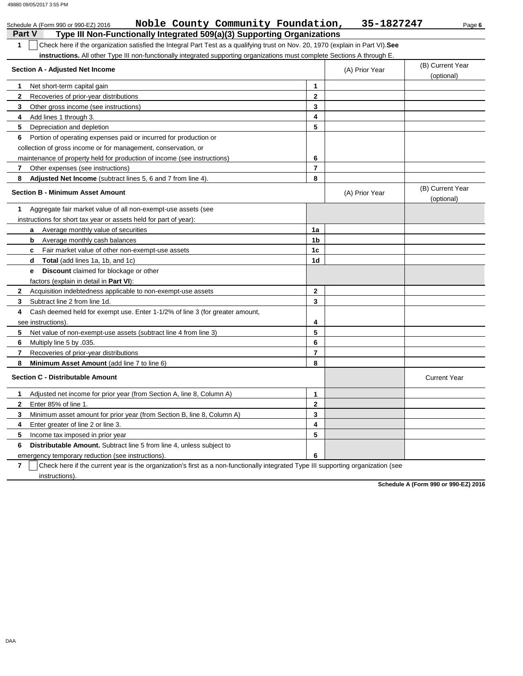|                | Noble County Community Foundation,<br>Schedule A (Form 990 or 990-EZ) 2016                                                        |                | 35-1827247     | Page 6                         |
|----------------|-----------------------------------------------------------------------------------------------------------------------------------|----------------|----------------|--------------------------------|
| <b>Part V</b>  | Type III Non-Functionally Integrated 509(a)(3) Supporting Organizations                                                           |                |                |                                |
| 1              | Check here if the organization satisfied the Integral Part Test as a qualifying trust on Nov. 20, 1970 (explain in Part VI). See  |                |                |                                |
|                | instructions. All other Type III non-functionally integrated supporting organizations must complete Sections A through E.         |                |                |                                |
|                | Section A - Adjusted Net Income                                                                                                   |                | (A) Prior Year | (B) Current Year<br>(optional) |
| 1              | Net short-term capital gain                                                                                                       | $\mathbf{1}$   |                |                                |
| 2              | Recoveries of prior-year distributions                                                                                            | $\mathbf{2}$   |                |                                |
| 3              | Other gross income (see instructions)                                                                                             | 3              |                |                                |
| 4              | Add lines 1 through 3.                                                                                                            | 4              |                |                                |
| 5              | Depreciation and depletion                                                                                                        | 5              |                |                                |
| 6              | Portion of operating expenses paid or incurred for production or                                                                  |                |                |                                |
|                | collection of gross income or for management, conservation, or                                                                    |                |                |                                |
|                | maintenance of property held for production of income (see instructions)                                                          | 6              |                |                                |
| 7              | Other expenses (see instructions)                                                                                                 | $\overline{7}$ |                |                                |
| 8              | Adjusted Net Income (subtract lines 5, 6 and 7 from line 4).                                                                      | 8              |                |                                |
|                | <b>Section B - Minimum Asset Amount</b>                                                                                           |                | (A) Prior Year | (B) Current Year<br>(optional) |
| 1              | Aggregate fair market value of all non-exempt-use assets (see                                                                     |                |                |                                |
|                | instructions for short tax year or assets held for part of year):                                                                 |                |                |                                |
|                | Average monthly value of securities                                                                                               | 1a             |                |                                |
|                | Average monthly cash balances<br>b                                                                                                | 1b             |                |                                |
|                | Fair market value of other non-exempt-use assets<br>C                                                                             | 1c             |                |                                |
|                | <b>Total</b> (add lines 1a, 1b, and 1c)<br>d                                                                                      | 1d             |                |                                |
|                | <b>Discount</b> claimed for blockage or other<br>е                                                                                |                |                |                                |
|                | factors (explain in detail in Part VI):                                                                                           |                |                |                                |
| 2              | Acquisition indebtedness applicable to non-exempt-use assets                                                                      | $\mathbf{2}$   |                |                                |
| 3              | Subtract line 2 from line 1d.                                                                                                     | 3              |                |                                |
| 4              | Cash deemed held for exempt use. Enter 1-1/2% of line 3 (for greater amount,                                                      |                |                |                                |
|                | see instructions).                                                                                                                | 4              |                |                                |
| 5              | Net value of non-exempt-use assets (subtract line 4 from line 3)                                                                  | 5              |                |                                |
| 6              | Multiply line 5 by .035.                                                                                                          | 6              |                |                                |
| 7              | Recoveries of prior-year distributions                                                                                            | $\overline{7}$ |                |                                |
| 8              | Minimum Asset Amount (add line 7 to line 6)                                                                                       | 8              |                |                                |
|                | <b>Section C - Distributable Amount</b>                                                                                           |                |                | <b>Current Year</b>            |
| 1              | Adjusted net income for prior year (from Section A, line 8, Column A)                                                             | 1              |                |                                |
| 2              | Enter 85% of line 1.                                                                                                              | 2              |                |                                |
| 3              | Minimum asset amount for prior year (from Section B, line 8, Column A)                                                            | 3              |                |                                |
| 4              | Enter greater of line 2 or line 3.                                                                                                | 4              |                |                                |
| 5              | Income tax imposed in prior year                                                                                                  | 5              |                |                                |
| 6              | Distributable Amount. Subtract line 5 from line 4, unless subject to                                                              |                |                |                                |
|                | emergency temporary reduction (see instructions).                                                                                 | 6              |                |                                |
| $\overline{7}$ | Check here if the current year is the organization's first as a non-functionally integrated Type III supporting organization (see |                |                |                                |

instructions).

**Schedule A (Form 990 or 990-EZ) 2016**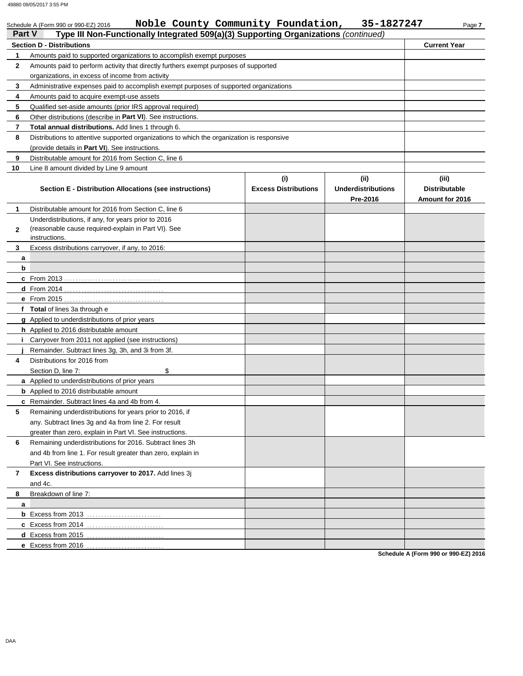|               | Noble County Community Foundation,<br>Schedule A (Form 990 or 990-EZ) 2016                 |                                    | 35-1827247                                    | Page 7                                           |  |  |
|---------------|--------------------------------------------------------------------------------------------|------------------------------------|-----------------------------------------------|--------------------------------------------------|--|--|
| <b>Part V</b> | Type III Non-Functionally Integrated 509(a)(3) Supporting Organizations (continued)        |                                    |                                               |                                                  |  |  |
|               | <b>Section D - Distributions</b>                                                           |                                    |                                               | <b>Current Year</b>                              |  |  |
| 1             | Amounts paid to supported organizations to accomplish exempt purposes                      |                                    |                                               |                                                  |  |  |
| $\mathbf{2}$  | Amounts paid to perform activity that directly furthers exempt purposes of supported       |                                    |                                               |                                                  |  |  |
|               | organizations, in excess of income from activity                                           |                                    |                                               |                                                  |  |  |
| 3             | Administrative expenses paid to accomplish exempt purposes of supported organizations      |                                    |                                               |                                                  |  |  |
| 4             | Amounts paid to acquire exempt-use assets                                                  |                                    |                                               |                                                  |  |  |
| 5             | Qualified set-aside amounts (prior IRS approval required)                                  |                                    |                                               |                                                  |  |  |
| 6             | Other distributions (describe in Part VI). See instructions.                               |                                    |                                               |                                                  |  |  |
| 7             | <b>Total annual distributions.</b> Add lines 1 through 6.                                  |                                    |                                               |                                                  |  |  |
| 8             | Distributions to attentive supported organizations to which the organization is responsive |                                    |                                               |                                                  |  |  |
|               | (provide details in Part VI). See instructions.                                            |                                    |                                               |                                                  |  |  |
| 9             | Distributable amount for 2016 from Section C, line 6                                       |                                    |                                               |                                                  |  |  |
| 10            | Line 8 amount divided by Line 9 amount                                                     |                                    |                                               |                                                  |  |  |
|               | Section E - Distribution Allocations (see instructions)                                    | (i)<br><b>Excess Distributions</b> | (ii)<br><b>Underdistributions</b><br>Pre-2016 | (iii)<br><b>Distributable</b><br>Amount for 2016 |  |  |
| 1             | Distributable amount for 2016 from Section C, line 6                                       |                                    |                                               |                                                  |  |  |
|               | Underdistributions, if any, for years prior to 2016                                        |                                    |                                               |                                                  |  |  |
| 2             | (reasonable cause required-explain in Part VI). See                                        |                                    |                                               |                                                  |  |  |
|               | instructions.                                                                              |                                    |                                               |                                                  |  |  |
| 3             | Excess distributions carryover, if any, to 2016:                                           |                                    |                                               |                                                  |  |  |
| a             |                                                                                            |                                    |                                               |                                                  |  |  |
| b             |                                                                                            |                                    |                                               |                                                  |  |  |
|               |                                                                                            |                                    |                                               |                                                  |  |  |
|               |                                                                                            |                                    |                                               |                                                  |  |  |
|               |                                                                                            |                                    |                                               |                                                  |  |  |
|               | f Total of lines 3a through e                                                              |                                    |                                               |                                                  |  |  |
|               | <b>g</b> Applied to underdistributions of prior years                                      |                                    |                                               |                                                  |  |  |
|               | h Applied to 2016 distributable amount                                                     |                                    |                                               |                                                  |  |  |
|               | Carryover from 2011 not applied (see instructions)                                         |                                    |                                               |                                                  |  |  |
|               | Remainder. Subtract lines 3q, 3h, and 3i from 3f.                                          |                                    |                                               |                                                  |  |  |
| 4             | Distributions for 2016 from                                                                |                                    |                                               |                                                  |  |  |
|               | Section D. line 7:<br>\$                                                                   |                                    |                                               |                                                  |  |  |
|               | a Applied to underdistributions of prior years                                             |                                    |                                               |                                                  |  |  |
|               | <b>b</b> Applied to 2016 distributable amount                                              |                                    |                                               |                                                  |  |  |
|               | c Remainder. Subtract lines 4a and 4b from 4                                               |                                    |                                               |                                                  |  |  |
| 5             | Remaining underdistributions for years prior to 2016, if                                   |                                    |                                               |                                                  |  |  |
|               | any. Subtract lines 3g and 4a from line 2. For result                                      |                                    |                                               |                                                  |  |  |
|               | greater than zero, explain in Part VI. See instructions.                                   |                                    |                                               |                                                  |  |  |
| 6             | Remaining underdistributions for 2016. Subtract lines 3h                                   |                                    |                                               |                                                  |  |  |
|               | and 4b from line 1. For result greater than zero, explain in                               |                                    |                                               |                                                  |  |  |
|               | Part VI. See instructions.                                                                 |                                    |                                               |                                                  |  |  |
| 7             | Excess distributions carryover to 2017. Add lines 3j                                       |                                    |                                               |                                                  |  |  |
|               | and 4c.                                                                                    |                                    |                                               |                                                  |  |  |
| 8             | Breakdown of line 7:                                                                       |                                    |                                               |                                                  |  |  |
| a             |                                                                                            |                                    |                                               |                                                  |  |  |
|               |                                                                                            |                                    |                                               |                                                  |  |  |
|               |                                                                                            |                                    |                                               |                                                  |  |  |
|               |                                                                                            |                                    |                                               |                                                  |  |  |
|               | e Excess from 2016                                                                         |                                    |                                               | Schedule A (Form 990 or 990-F7) 2016             |  |  |

**Schedule A (Form 990 or 990-EZ) 2016**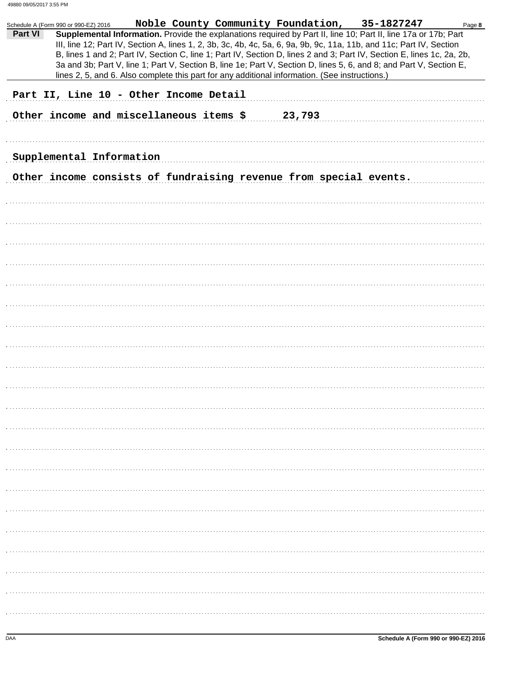| Noble County Community Foundation, 35-1827247<br>Page 8<br>Schedule A (Form 990 or 990-EZ) 2016                                                                                                                                                                                                                                                                                                                                                                                                                                                                                                       |
|-------------------------------------------------------------------------------------------------------------------------------------------------------------------------------------------------------------------------------------------------------------------------------------------------------------------------------------------------------------------------------------------------------------------------------------------------------------------------------------------------------------------------------------------------------------------------------------------------------|
| Part VI<br>Supplemental Information. Provide the explanations required by Part II, line 10; Part II, line 17a or 17b; Part<br>III, line 12; Part IV, Section A, lines 1, 2, 3b, 3c, 4b, 4c, 5a, 6, 9a, 9b, 9c, 11a, 11b, and 11c; Part IV, Section<br>B, lines 1 and 2; Part IV, Section C, line 1; Part IV, Section D, lines 2 and 3; Part IV, Section E, lines 1c, 2a, 2b,<br>3a and 3b; Part V, line 1; Part V, Section B, line 1e; Part V, Section D, lines 5, 6, and 8; and Part V, Section E,<br>lines 2, 5, and 6. Also complete this part for any additional information. (See instructions.) |
| Part II, Line 10 - Other Income Detail                                                                                                                                                                                                                                                                                                                                                                                                                                                                                                                                                                |
| Other income and miscellaneous items \$<br>23,793                                                                                                                                                                                                                                                                                                                                                                                                                                                                                                                                                     |
|                                                                                                                                                                                                                                                                                                                                                                                                                                                                                                                                                                                                       |
|                                                                                                                                                                                                                                                                                                                                                                                                                                                                                                                                                                                                       |
| Supplemental Information                                                                                                                                                                                                                                                                                                                                                                                                                                                                                                                                                                              |
| Other income consists of fundraising revenue from special events.                                                                                                                                                                                                                                                                                                                                                                                                                                                                                                                                     |
|                                                                                                                                                                                                                                                                                                                                                                                                                                                                                                                                                                                                       |
|                                                                                                                                                                                                                                                                                                                                                                                                                                                                                                                                                                                                       |
|                                                                                                                                                                                                                                                                                                                                                                                                                                                                                                                                                                                                       |
|                                                                                                                                                                                                                                                                                                                                                                                                                                                                                                                                                                                                       |
|                                                                                                                                                                                                                                                                                                                                                                                                                                                                                                                                                                                                       |
|                                                                                                                                                                                                                                                                                                                                                                                                                                                                                                                                                                                                       |
|                                                                                                                                                                                                                                                                                                                                                                                                                                                                                                                                                                                                       |
|                                                                                                                                                                                                                                                                                                                                                                                                                                                                                                                                                                                                       |
|                                                                                                                                                                                                                                                                                                                                                                                                                                                                                                                                                                                                       |
|                                                                                                                                                                                                                                                                                                                                                                                                                                                                                                                                                                                                       |
|                                                                                                                                                                                                                                                                                                                                                                                                                                                                                                                                                                                                       |
|                                                                                                                                                                                                                                                                                                                                                                                                                                                                                                                                                                                                       |
|                                                                                                                                                                                                                                                                                                                                                                                                                                                                                                                                                                                                       |
|                                                                                                                                                                                                                                                                                                                                                                                                                                                                                                                                                                                                       |
|                                                                                                                                                                                                                                                                                                                                                                                                                                                                                                                                                                                                       |
|                                                                                                                                                                                                                                                                                                                                                                                                                                                                                                                                                                                                       |
|                                                                                                                                                                                                                                                                                                                                                                                                                                                                                                                                                                                                       |
|                                                                                                                                                                                                                                                                                                                                                                                                                                                                                                                                                                                                       |
|                                                                                                                                                                                                                                                                                                                                                                                                                                                                                                                                                                                                       |
|                                                                                                                                                                                                                                                                                                                                                                                                                                                                                                                                                                                                       |
|                                                                                                                                                                                                                                                                                                                                                                                                                                                                                                                                                                                                       |
|                                                                                                                                                                                                                                                                                                                                                                                                                                                                                                                                                                                                       |
|                                                                                                                                                                                                                                                                                                                                                                                                                                                                                                                                                                                                       |
|                                                                                                                                                                                                                                                                                                                                                                                                                                                                                                                                                                                                       |
|                                                                                                                                                                                                                                                                                                                                                                                                                                                                                                                                                                                                       |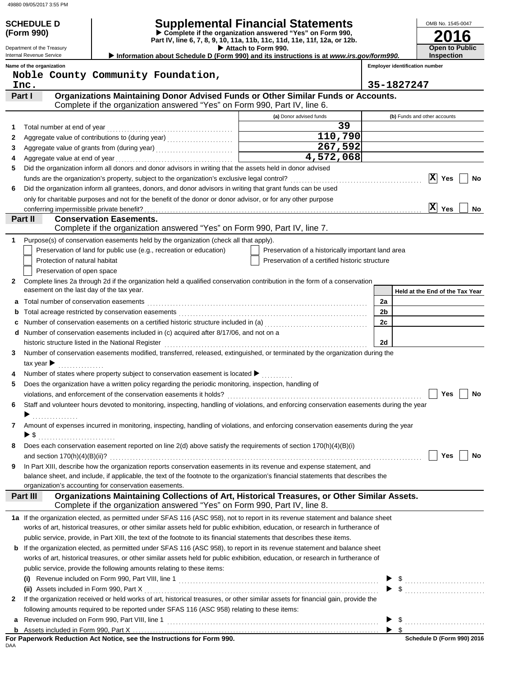**(Form 990)**

 $\ddot{\phantom{a}}$ 

J.

| <b>SCHEDULE D</b> | <b>Supplemental Financial Statements</b>                   |
|-------------------|------------------------------------------------------------|
| (Form 990)        | ▶ Complete if the organization answered "Yes" on Form 990. |

 **Attach to Form 990. Part IV, line 6, 7, 8, 9, 10, 11a, 11b, 11c, 11d, 11e, 11f, 12a, or 12b.**

| OMB No. 1545-0047     |
|-----------------------|
| 2016                  |
| <b>Open to Public</b> |

Department of the Treasury Internal Revenue Service  **Information about Schedule D (Form 990) and its instructions is at** *www.irs.gov/form990.*

**Name of the organization**

**Employer identification number Inspection**

|   | Noble County Community Foundation,                                                                                                                                                                                                                                  |                                                    |                                 |
|---|---------------------------------------------------------------------------------------------------------------------------------------------------------------------------------------------------------------------------------------------------------------------|----------------------------------------------------|---------------------------------|
|   | Inc.                                                                                                                                                                                                                                                                |                                                    | 35-1827247                      |
|   | Organizations Maintaining Donor Advised Funds or Other Similar Funds or Accounts.<br>Part I                                                                                                                                                                         |                                                    |                                 |
|   | Complete if the organization answered "Yes" on Form 990, Part IV, line 6.                                                                                                                                                                                           |                                                    |                                 |
|   |                                                                                                                                                                                                                                                                     | (a) Donor advised funds                            | (b) Funds and other accounts    |
| 1 | Total number at end of year                                                                                                                                                                                                                                         | 39                                                 |                                 |
| 2 | Aggregate value of contributions to (during year) [11] Aggregate value of contributions to (during year)                                                                                                                                                            | 110,790                                            |                                 |
| 3 | Aggregate value of grants from (during year)                                                                                                                                                                                                                        | 267,592                                            |                                 |
| 4 | Aggregate value at end of year                                                                                                                                                                                                                                      | $\overline{4,572,068}$                             |                                 |
| 5 | Did the organization inform all donors and donor advisors in writing that the assets held in donor advised                                                                                                                                                          |                                                    |                                 |
|   | funds are the organization's property, subject to the organization's exclusive legal control?                                                                                                                                                                       |                                                    | $ \mathbf{X} $<br>Yes<br>No     |
| 6 | Did the organization inform all grantees, donors, and donor advisors in writing that grant funds can be used                                                                                                                                                        |                                                    |                                 |
|   | only for charitable purposes and not for the benefit of the donor or donor advisor, or for any other purpose                                                                                                                                                        |                                                    |                                 |
|   |                                                                                                                                                                                                                                                                     |                                                    | $ \mathbf{X} $<br>Yes<br>No.    |
|   | Part II<br><b>Conservation Easements.</b>                                                                                                                                                                                                                           |                                                    |                                 |
|   | Complete if the organization answered "Yes" on Form 990, Part IV, line 7.                                                                                                                                                                                           |                                                    |                                 |
| 1 | Purpose(s) of conservation easements held by the organization (check all that apply).                                                                                                                                                                               |                                                    |                                 |
|   | Preservation of land for public use (e.g., recreation or education)                                                                                                                                                                                                 | Preservation of a historically important land area |                                 |
|   | Protection of natural habitat                                                                                                                                                                                                                                       | Preservation of a certified historic structure     |                                 |
|   | Preservation of open space                                                                                                                                                                                                                                          |                                                    |                                 |
| 2 | Complete lines 2a through 2d if the organization held a qualified conservation contribution in the form of a conservation                                                                                                                                           |                                                    |                                 |
|   | easement on the last day of the tax year.                                                                                                                                                                                                                           |                                                    | Held at the End of the Tax Year |
| а | Total number of conservation easements                                                                                                                                                                                                                              |                                                    | 2a                              |
|   |                                                                                                                                                                                                                                                                     |                                                    | 2 <sub>b</sub>                  |
|   |                                                                                                                                                                                                                                                                     |                                                    | 2c                              |
| d | Number of conservation easements included in (c) acquired after 8/17/06, and not on a                                                                                                                                                                               |                                                    |                                 |
|   | historic structure listed in the National Register                                                                                                                                                                                                                  |                                                    | 2d                              |
| 3 | Number of conservation easements modified, transferred, released, extinguished, or terminated by the organization during the                                                                                                                                        |                                                    |                                 |
|   | tax year $\blacktriangleright$                                                                                                                                                                                                                                      |                                                    |                                 |
| 4 | Number of states where property subject to conservation easement is located $\blacktriangleright$                                                                                                                                                                   |                                                    |                                 |
| 5 | Does the organization have a written policy regarding the periodic monitoring, inspection, handling of                                                                                                                                                              |                                                    |                                 |
|   | violations, and enforcement of the conservation easements it holds?<br>[[11] matter conservation of the conservation easements it holds?<br>[22] matter conservations, and enforcement of the conservation easements it holds?<br>[2                                |                                                    | Yes<br>No                       |
| 6 | Staff and volunteer hours devoted to monitoring, inspecting, handling of violations, and enforcing conservation easements during the year                                                                                                                           |                                                    |                                 |
|   |                                                                                                                                                                                                                                                                     |                                                    |                                 |
|   | Amount of expenses incurred in monitoring, inspecting, handling of violations, and enforcing conservation easements during the year                                                                                                                                 |                                                    |                                 |
| 7 | ► \$                                                                                                                                                                                                                                                                |                                                    |                                 |
|   |                                                                                                                                                                                                                                                                     |                                                    |                                 |
| 8 | Does each conservation easement reported on line 2(d) above satisfy the requirements of section 170(h)(4)(B)(i)                                                                                                                                                     |                                                    | $\Box$ Yes $\Box$ No            |
|   |                                                                                                                                                                                                                                                                     |                                                    |                                 |
| 9 | In Part XIII, describe how the organization reports conservation easements in its revenue and expense statement, and<br>balance sheet, and include, if applicable, the text of the footnote to the organization's financial statements that describes the           |                                                    |                                 |
|   | organization's accounting for conservation easements.                                                                                                                                                                                                               |                                                    |                                 |
|   | Organizations Maintaining Collections of Art, Historical Treasures, or Other Similar Assets.<br>Part III                                                                                                                                                            |                                                    |                                 |
|   | Complete if the organization answered "Yes" on Form 990, Part IV, line 8.                                                                                                                                                                                           |                                                    |                                 |
|   |                                                                                                                                                                                                                                                                     |                                                    |                                 |
|   | 1a If the organization elected, as permitted under SFAS 116 (ASC 958), not to report in its revenue statement and balance sheet<br>works of art, historical treasures, or other similar assets held for public exhibition, education, or research in furtherance of |                                                    |                                 |
|   | public service, provide, in Part XIII, the text of the footnote to its financial statements that describes these items.                                                                                                                                             |                                                    |                                 |
|   |                                                                                                                                                                                                                                                                     |                                                    |                                 |
|   | <b>b</b> If the organization elected, as permitted under SFAS 116 (ASC 958), to report in its revenue statement and balance sheet                                                                                                                                   |                                                    |                                 |
|   | works of art, historical treasures, or other similar assets held for public exhibition, education, or research in furtherance of                                                                                                                                    |                                                    |                                 |
|   | public service, provide the following amounts relating to these items:                                                                                                                                                                                              |                                                    |                                 |
|   |                                                                                                                                                                                                                                                                     |                                                    |                                 |
|   | (ii) Assets included in Form 990, Part X                                                                                                                                                                                                                            |                                                    |                                 |
| 2 | If the organization received or held works of art, historical treasures, or other similar assets for financial gain, provide the                                                                                                                                    |                                                    |                                 |
|   | following amounts required to be reported under SFAS 116 (ASC 958) relating to these items:                                                                                                                                                                         |                                                    |                                 |
|   |                                                                                                                                                                                                                                                                     |                                                    | \$                              |
|   |                                                                                                                                                                                                                                                                     |                                                    |                                 |

DAA **For Paperwork Reduction Act Notice, see the Instructions for Form 990.**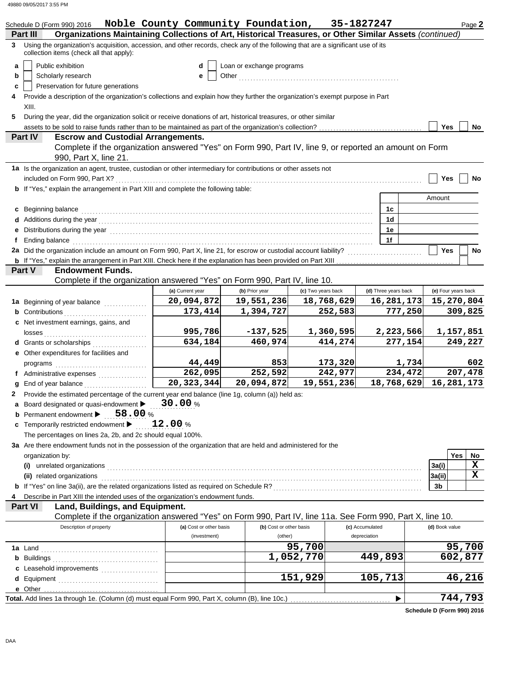|    | Schedule D (Form 990) 2016                                                                                                                                                                                                                              | Noble County Community Foundation, 35-1827247 |                           |                    |                      |         |                     | Page 2    |
|----|---------------------------------------------------------------------------------------------------------------------------------------------------------------------------------------------------------------------------------------------------------|-----------------------------------------------|---------------------------|--------------------|----------------------|---------|---------------------|-----------|
| 3  | Organizations Maintaining Collections of Art, Historical Treasures, or Other Similar Assets (continued)<br>Part III<br>Using the organization's acquisition, accession, and other records, check any of the following that are a significant use of its |                                               |                           |                    |                      |         |                     |           |
|    | collection items (check all that apply):                                                                                                                                                                                                                |                                               |                           |                    |                      |         |                     |           |
| a  | Public exhibition                                                                                                                                                                                                                                       | d                                             | Loan or exchange programs |                    |                      |         |                     |           |
| b  | Scholarly research                                                                                                                                                                                                                                      | е                                             | Other                     |                    |                      |         |                     |           |
| c  | Preservation for future generations                                                                                                                                                                                                                     |                                               |                           |                    |                      |         |                     |           |
| 4  | Provide a description of the organization's collections and explain how they further the organization's exempt purpose in Part                                                                                                                          |                                               |                           |                    |                      |         |                     |           |
|    | XIII.                                                                                                                                                                                                                                                   |                                               |                           |                    |                      |         |                     |           |
| 5  | During the year, did the organization solicit or receive donations of art, historical treasures, or other similar<br>assets to be sold to raise funds rather than to be maintained as part of the organization's collection?<br>                        |                                               |                           |                    |                      |         | <b>Yes</b>          | No        |
|    | <b>Part IV</b><br><b>Escrow and Custodial Arrangements.</b>                                                                                                                                                                                             |                                               |                           |                    |                      |         |                     |           |
|    | Complete if the organization answered "Yes" on Form 990, Part IV, line 9, or reported an amount on Form                                                                                                                                                 |                                               |                           |                    |                      |         |                     |           |
|    | 990, Part X, line 21.                                                                                                                                                                                                                                   |                                               |                           |                    |                      |         |                     |           |
|    | 1a Is the organization an agent, trustee, custodian or other intermediary for contributions or other assets not                                                                                                                                         |                                               |                           |                    |                      |         |                     |           |
|    | included on Form 990, Part X?                                                                                                                                                                                                                           |                                               |                           |                    |                      |         | Yes                 | No        |
|    | <b>b</b> If "Yes," explain the arrangement in Part XIII and complete the following table:                                                                                                                                                               |                                               |                           |                    |                      |         |                     |           |
|    |                                                                                                                                                                                                                                                         |                                               |                           |                    |                      |         | Amount              |           |
|    | c Beginning balance                                                                                                                                                                                                                                     |                                               |                           |                    | 1c                   |         |                     |           |
|    |                                                                                                                                                                                                                                                         |                                               |                           |                    | 1d                   |         |                     |           |
|    |                                                                                                                                                                                                                                                         |                                               |                           |                    | 1e                   |         |                     |           |
| Ť. | Ending balance <b>constructs</b> and constructs are a set of the construction of the construction of the construction of the construction of the construction of the construction of the construction of the construction of the co                     |                                               |                           |                    | 1f                   |         |                     |           |
|    | 2a Did the organization include an amount on Form 990, Part X, line 21, for escrow or custodial account liability?                                                                                                                                      |                                               |                           |                    |                      |         | Yes                 | No        |
|    | <b>Endowment Funds.</b><br>Part V                                                                                                                                                                                                                       |                                               |                           |                    |                      |         |                     |           |
|    | Complete if the organization answered "Yes" on Form 990, Part IV, line 10.                                                                                                                                                                              |                                               |                           |                    |                      |         |                     |           |
|    |                                                                                                                                                                                                                                                         | (a) Current year                              | (b) Prior year            | (c) Two years back | (d) Three years back |         | (e) Four years back |           |
|    | 1a Beginning of year balance                                                                                                                                                                                                                            | 20,094,872                                    | 19,551,236                | 18,768,629         | 16,281,173           |         | 15,270,804          |           |
|    | <b>b</b> Contributions                                                                                                                                                                                                                                  | 173,414                                       | 1,394,727                 | 252,583            |                      | 777,250 |                     | 309,825   |
|    | c Net investment earnings, gains, and                                                                                                                                                                                                                   |                                               |                           |                    |                      |         |                     |           |
|    |                                                                                                                                                                                                                                                         | 995,786                                       | $-137,525$                | 1,360,595          | 2,223,566            |         |                     | 1,157,851 |
|    | d Grants or scholarships                                                                                                                                                                                                                                | 634,184                                       | 460,974                   | 414,274            |                      | 277,154 |                     | 249,227   |
|    | e Other expenditures for facilities and                                                                                                                                                                                                                 |                                               |                           |                    |                      |         |                     |           |
|    | programs                                                                                                                                                                                                                                                | 44,449                                        | 853                       | 173,320            |                      | 1,734   |                     | 602       |
|    | f Administrative expenses                                                                                                                                                                                                                               | 262,095                                       | 252,592                   | 242,977            |                      | 234,472 |                     | 207,478   |
|    | g End of year balance <i>[[[[[[[[[[[[[[[[[[[[[[[[[[[]]]]</i> ]]                                                                                                                                                                                         | 20, 323, 344                                  | 20,094,872                | 19,551,236         | 18,768,629           |         | 16,281,173          |           |
|    | Provide the estimated percentage of the current year end balance (line 1g, column (a)) held as:                                                                                                                                                         |                                               |                           |                    |                      |         |                     |           |
|    | a Board designated or quasi-endowment                                                                                                                                                                                                                   | 30.00%                                        |                           |                    |                      |         |                     |           |
|    | <b>b</b> Permanent endowment $\triangleright$ 58.00 %                                                                                                                                                                                                   |                                               |                           |                    |                      |         |                     |           |
|    | c Temporarily restricted endowment >                                                                                                                                                                                                                    | $\mathtt{12.00}$ %                            |                           |                    |                      |         |                     |           |
|    | The percentages on lines 2a, 2b, and 2c should equal 100%.                                                                                                                                                                                              |                                               |                           |                    |                      |         |                     |           |
|    | 3a Are there endowment funds not in the possession of the organization that are held and administered for the                                                                                                                                           |                                               |                           |                    |                      |         |                     |           |
|    | organization by:                                                                                                                                                                                                                                        |                                               |                           |                    |                      |         | Yes                 | No        |
|    | (i) unrelated organizations <i>contraction</i> and contract or the contract of the contract of the contract of the contract of the contract of the contract of the contract of the contract of the contract of the contract of the                      |                                               |                           |                    |                      |         | 3a(i)               | x         |
|    | (ii) related organizations entertainment and all the contract of the contract of the contract or contract or contract or contract or contract or contract or contract or contract or contract or contract or contract or contr                          |                                               |                           |                    |                      |         | 3a(ii)              | x         |
|    |                                                                                                                                                                                                                                                         |                                               |                           |                    |                      |         | 3b                  |           |
| 4  | Describe in Part XIII the intended uses of the organization's endowment funds.<br>Land, Buildings, and Equipment.<br><b>Part VI</b>                                                                                                                     |                                               |                           |                    |                      |         |                     |           |
|    | Complete if the organization answered "Yes" on Form 990, Part IV, line 11a. See Form 990, Part X, line 10.                                                                                                                                              |                                               |                           |                    |                      |         |                     |           |
|    | Description of property                                                                                                                                                                                                                                 | (a) Cost or other basis                       | (b) Cost or other basis   |                    | (c) Accumulated      |         | (d) Book value      |           |
|    |                                                                                                                                                                                                                                                         | (investment)                                  | (other)                   |                    | depreciation         |         |                     |           |
|    |                                                                                                                                                                                                                                                         |                                               |                           | 95,700             |                      |         |                     | 95,700    |
|    |                                                                                                                                                                                                                                                         |                                               |                           | 1,052,770          | 449,893              |         |                     | 602,877   |
|    | c Leasehold improvements                                                                                                                                                                                                                                |                                               |                           |                    |                      |         |                     |           |
|    |                                                                                                                                                                                                                                                         |                                               |                           | 151,929            | 105,713              |         |                     | 46,216    |
|    |                                                                                                                                                                                                                                                         |                                               |                           |                    |                      |         |                     |           |
|    | Total. Add lines 1a through 1e. (Column (d) must equal Form 990, Part X, column (B), line 10c.)                                                                                                                                                         |                                               |                           |                    | ▶                    |         |                     | 744,793   |

**Schedule D (Form 990) 2016**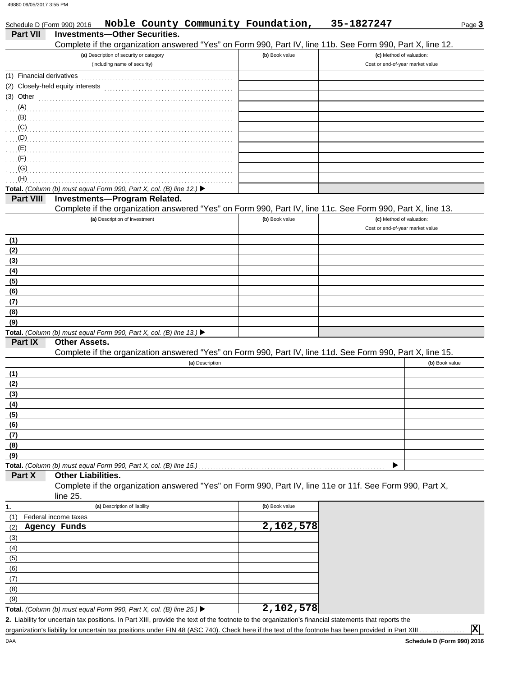Schedule D (Form 990) 2016

| <b>Part VII</b>           | <b>Investments-Other Securities.</b><br>Complete if the organization answered "Yes" on Form 990, Part IV, line 11b. See Form 990, Part X, line 12. |                |                                  |
|---------------------------|----------------------------------------------------------------------------------------------------------------------------------------------------|----------------|----------------------------------|
|                           | (a) Description of security or category                                                                                                            | (b) Book value | (c) Method of valuation:         |
|                           | (including name of security)                                                                                                                       |                | Cost or end-of-year market value |
| (1) Financial derivatives |                                                                                                                                                    |                |                                  |
|                           | (2) Closely-held equity interests                                                                                                                  |                |                                  |
|                           | $(3)$ Other                                                                                                                                        |                |                                  |
|                           |                                                                                                                                                    |                |                                  |
|                           |                                                                                                                                                    |                |                                  |
|                           | (C)                                                                                                                                                |                |                                  |
| (D)                       |                                                                                                                                                    |                |                                  |
|                           |                                                                                                                                                    |                |                                  |
| (F)                       |                                                                                                                                                    |                |                                  |
| (G)<br>(H)                |                                                                                                                                                    |                |                                  |
|                           | Total. (Column (b) must equal Form 990, Part X, col. (B) line 12.) $\blacktriangleright$                                                           |                |                                  |
| <b>Part VIII</b>          | Investments-Program Related.                                                                                                                       |                |                                  |
|                           | Complete if the organization answered "Yes" on Form 990, Part IV, line 11c. See Form 990, Part X, line 13.                                         |                |                                  |
|                           | (a) Description of investment                                                                                                                      | (b) Book value | (c) Method of valuation:         |
|                           |                                                                                                                                                    |                | Cost or end-of-year market value |
| (1)                       |                                                                                                                                                    |                |                                  |
| (2)                       |                                                                                                                                                    |                |                                  |
| (3)                       |                                                                                                                                                    |                |                                  |
| (4)                       |                                                                                                                                                    |                |                                  |
| (5)                       |                                                                                                                                                    |                |                                  |
| (6)                       |                                                                                                                                                    |                |                                  |
| (7)                       |                                                                                                                                                    |                |                                  |
| (8)                       |                                                                                                                                                    |                |                                  |
| (9)                       |                                                                                                                                                    |                |                                  |
|                           | Total. (Column (b) must equal Form 990, Part X, col. (B) line 13.) ▶                                                                               |                |                                  |
| Part IX                   | <b>Other Assets.</b>                                                                                                                               |                |                                  |
|                           | Complete if the organization answered "Yes" on Form 990, Part IV, line 11d. See Form 990, Part X, line 15.                                         |                |                                  |
|                           | (a) Description                                                                                                                                    |                | (b) Book value                   |
| (1)                       |                                                                                                                                                    |                |                                  |
| (2)                       |                                                                                                                                                    |                |                                  |
| (3)                       |                                                                                                                                                    |                |                                  |
| (4)<br>(5)                |                                                                                                                                                    |                |                                  |
| (6)                       |                                                                                                                                                    |                |                                  |
| (7)                       |                                                                                                                                                    |                |                                  |
| (8)                       |                                                                                                                                                    |                |                                  |
| (9)                       |                                                                                                                                                    |                |                                  |
|                           | Total. (Column (b) must equal Form 990, Part X, col. (B) line 15.)                                                                                 |                |                                  |
| Part X                    | <b>Other Liabilities.</b>                                                                                                                          |                |                                  |
|                           | Complete if the organization answered "Yes" on Form 990, Part IV, line 11e or 11f. See Form 990, Part X,                                           |                |                                  |
|                           | line $25$ .                                                                                                                                        |                |                                  |
| 1.                        | (a) Description of liability                                                                                                                       | (b) Book value |                                  |
| (1)                       | Federal income taxes                                                                                                                               |                |                                  |
| (2)                       | Agency Funds                                                                                                                                       | 2,102,578      |                                  |
| (3)                       |                                                                                                                                                    |                |                                  |
| (4)                       |                                                                                                                                                    |                |                                  |
| (5)                       |                                                                                                                                                    |                |                                  |
| (6)                       |                                                                                                                                                    |                |                                  |
| (7)                       |                                                                                                                                                    |                |                                  |
| (8)                       |                                                                                                                                                    |                |                                  |
| (9)                       |                                                                                                                                                    | 2,102,578      |                                  |
|                           | Total. (Column (b) must equal Form 990, Part X, col. (B) line 25.) $\blacktriangleright$                                                           |                |                                  |

organization's liability for uncertain tax positions under FIN 48 (ASC 740). Check here if the text of the footnote has been provided in Part XIII

|  | Noble County Community Foundation, | $, 35 - 1827247$ |
|--|------------------------------------|------------------|
|  |                                    |                  |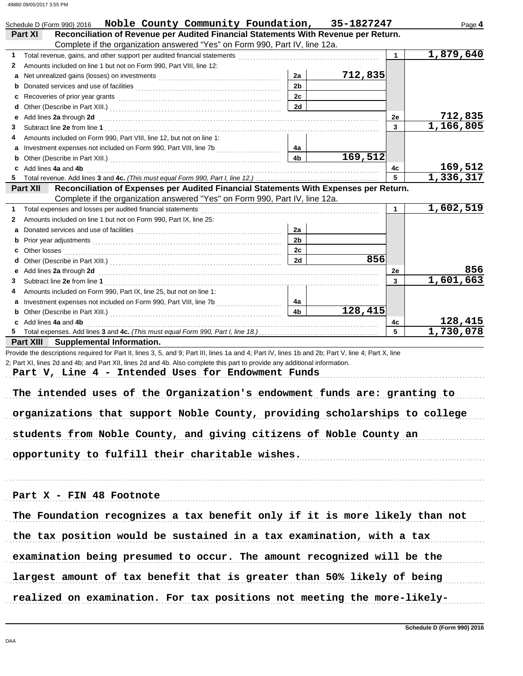| Noble County Community Foundation, 35-1827247<br>Schedule D (Form 990) 2016                                                                                                                                                               |                      |         |         | Page 4                 |
|-------------------------------------------------------------------------------------------------------------------------------------------------------------------------------------------------------------------------------------------|----------------------|---------|---------|------------------------|
| Reconciliation of Revenue per Audited Financial Statements With Revenue per Return.<br><b>Part XI</b>                                                                                                                                     |                      |         |         |                        |
| Complete if the organization answered "Yes" on Form 990, Part IV, line 12a.                                                                                                                                                               |                      |         |         |                        |
| Total revenue, gains, and other support per audited financial statements [11] [11] Total revenue controlled the statements [11] Total revenue of the statements [11] Total revenue of the statements and statements and statem<br>1.      |                      |         | 1       | 1,879,640              |
| Amounts included on line 1 but not on Form 990, Part VIII, line 12:<br>2                                                                                                                                                                  |                      |         |         |                        |
| Net unrealized gains (losses) on investments [11] with the contract of the state of the state of the state of the state of the state of the state of the state of the state of the state of the state of the state of the stat<br>a       | 2a                   | 712,835 |         |                        |
| b                                                                                                                                                                                                                                         | 2 <sub>b</sub><br>2c |         |         |                        |
| с                                                                                                                                                                                                                                         | 2d                   |         |         |                        |
| d<br>е                                                                                                                                                                                                                                    |                      |         | 2e      | 712,835                |
| Add lines 2a through 2d <b>contained a contained a contained a contained a contained a contained a contained a contained a contained a contained a contained a contained a contained a contained a contained a contained a conta</b><br>3 |                      |         | 3       | 1,166,805              |
| Amounts included on Form 990, Part VIII, line 12, but not on line 1:<br>4                                                                                                                                                                 |                      |         |         |                        |
| а                                                                                                                                                                                                                                         | 4a                   |         |         |                        |
| b                                                                                                                                                                                                                                         | 4b                   | 169,512 |         |                        |
| Add lines 4a and 4b<br>c                                                                                                                                                                                                                  |                      |         | 4c      | 169,512                |
| 5                                                                                                                                                                                                                                         |                      |         | 5       | 1,336,317              |
| Reconciliation of Expenses per Audited Financial Statements With Expenses per Return.<br><b>Part XII</b>                                                                                                                                  |                      |         |         |                        |
| Complete if the organization answered "Yes" on Form 990, Part IV, line 12a.                                                                                                                                                               |                      |         |         |                        |
| Total expenses and losses per audited financial statements<br>1                                                                                                                                                                           |                      |         | 1       | $\overline{1,602,519}$ |
| Amounts included on line 1 but not on Form 990. Part IX, line 25:<br>2                                                                                                                                                                    |                      |         |         |                        |
| а                                                                                                                                                                                                                                         | 2a                   |         |         |                        |
| b                                                                                                                                                                                                                                         | 2 <sub>b</sub>       |         |         |                        |
| Other losses <b>contracts Other losses contracts CO</b><br>С                                                                                                                                                                              | 2c                   |         |         |                        |
| d                                                                                                                                                                                                                                         | 2d                   | 856     |         |                        |
| Add lines 2a through 2d [11] March 20 [12] March 20 [12] March 20 [12] March 20 [12] March 20 [12] March 20 [12] March 20 [12] March 20 [12] March 20 [12] March 20 [12] March 20 [12] March 20 [12] March 20 [12] March 20 [1<br>е       |                      |         | 2e      | 856                    |
| 3                                                                                                                                                                                                                                         |                      |         | 3       | 1,601,663              |
| Amounts included on Form 990, Part IX, line 25, but not on line 1:<br>4                                                                                                                                                                   |                      |         |         |                        |
| а                                                                                                                                                                                                                                         | 4a                   | 128,415 |         |                        |
| b                                                                                                                                                                                                                                         | 4 <sub>b</sub>       |         |         |                        |
| Add lines 4a and 4b<br>c<br>5.                                                                                                                                                                                                            |                      |         | 4c<br>5 | 128,415<br>1,730,078   |
| Part XIII Supplemental Information.                                                                                                                                                                                                       |                      |         |         |                        |
| Provide the descriptions required for Part II, lines 3, 5, and 9; Part III, lines 1a and 4; Part IV, lines 1b and 2b; Part V, line 4; Part X, line                                                                                        |                      |         |         |                        |
| 2; Part XI, lines 2d and 4b; and Part XII, lines 2d and 4b. Also complete this part to provide any additional information.                                                                                                                |                      |         |         |                        |
| Part V, Line 4 - Intended Uses for Endowment Funds                                                                                                                                                                                        |                      |         |         |                        |
|                                                                                                                                                                                                                                           |                      |         |         |                        |
| The intended uses of the Organization's endowment funds are: granting to                                                                                                                                                                  |                      |         |         |                        |
|                                                                                                                                                                                                                                           |                      |         |         |                        |
| organizations that support Noble County, providing scholarships to college                                                                                                                                                                |                      |         |         |                        |
|                                                                                                                                                                                                                                           |                      |         |         |                        |
| students from Noble County, and giving citizens of Noble County an                                                                                                                                                                        |                      |         |         |                        |
|                                                                                                                                                                                                                                           |                      |         |         |                        |
| opportunity to fulfill their charitable wishes.                                                                                                                                                                                           |                      |         |         |                        |
|                                                                                                                                                                                                                                           |                      |         |         |                        |
|                                                                                                                                                                                                                                           |                      |         |         |                        |
|                                                                                                                                                                                                                                           |                      |         |         |                        |
| Part X - FIN 48 Footnote                                                                                                                                                                                                                  |                      |         |         |                        |
|                                                                                                                                                                                                                                           |                      |         |         |                        |
| The Foundation recognizes a tax benefit only if it is more likely than not                                                                                                                                                                |                      |         |         |                        |
| the tax position would be sustained in a tax examination, with a tax                                                                                                                                                                      |                      |         |         |                        |
| examination being presumed to occur. The amount recognized will be the                                                                                                                                                                    |                      |         |         |                        |
|                                                                                                                                                                                                                                           |                      |         |         |                        |
| largest amount of tax benefit that is greater than 50% likely of being                                                                                                                                                                    |                      |         |         |                        |
| realized on examination. For tax positions not meeting the more-likely-                                                                                                                                                                   |                      |         |         |                        |
|                                                                                                                                                                                                                                           |                      |         |         |                        |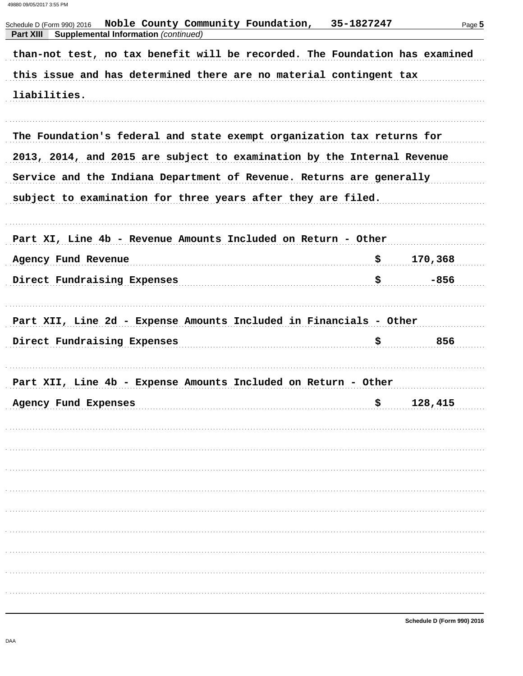Noble County Community Foundation, 35-1827247 Schedule D (Form 990) 2016 Page 5 **Part XIII** Supplemental Information (continued) than-not test, no tax benefit will be recorded. The Foundation has examined this issue and has determined there are no material contingent tax liabilities. The Foundation's federal and state exempt organization tax returns for 2013, 2014, and 2015 are subject to examination by the Internal Revenue Service and the Indiana Department of Revenue. Returns are generally subject to examination for three years after they are filed. Part XI, Line 4b - Revenue Amounts Included on Return - Other Agency Fund Revenue 170,368 Direct Fundraising Expenses  $\color{red} \clubsuit$ -856 Part XII, Line 2d - Expense Amounts Included in Financials - Other  $\ddot{\mathbf{S}}$ Direct Fundraising Expenses 856 Part XII, Line 4b - Expense Amounts Included on Return - Other Agency Fund Expenses  $$128,415$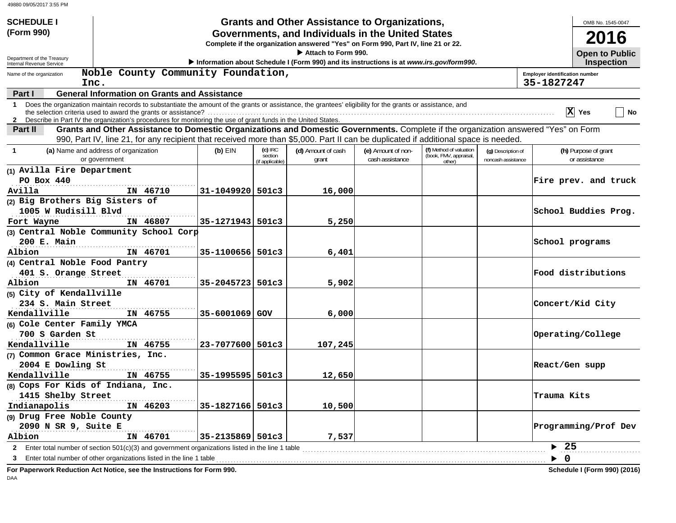| <b>SCHEDULE I</b>                                           |                                                                                                                                                                                                                                    |                  |                            | <b>Grants and Other Assistance to Organizations,</b>                                    |                    |                                  |                    | OMB No. 1545-0047                                          |  |
|-------------------------------------------------------------|------------------------------------------------------------------------------------------------------------------------------------------------------------------------------------------------------------------------------------|------------------|----------------------------|-----------------------------------------------------------------------------------------|--------------------|----------------------------------|--------------------|------------------------------------------------------------|--|
| (Form 990)                                                  | Governments, and Individuals in the United States                                                                                                                                                                                  |                  |                            |                                                                                         |                    |                                  |                    | <b>2016</b>                                                |  |
|                                                             | Complete if the organization answered "Yes" on Form 990, Part IV, line 21 or 22.                                                                                                                                                   |                  |                            |                                                                                         |                    |                                  |                    |                                                            |  |
| Department of the Treasury                                  |                                                                                                                                                                                                                                    |                  |                            | Attach to Form 990.                                                                     |                    |                                  |                    | <b>Open to Public</b>                                      |  |
| <b>Internal Revenue Service</b><br>Name of the organization | Noble County Community Foundation,                                                                                                                                                                                                 |                  |                            | Information about Schedule I (Form 990) and its instructions is at www.irs.gov/form990. |                    |                                  |                    | <b>Inspection</b><br><b>Employer identification number</b> |  |
| Inc.                                                        |                                                                                                                                                                                                                                    |                  |                            |                                                                                         |                    |                                  |                    | 35-1827247                                                 |  |
| Part I                                                      | <b>General Information on Grants and Assistance</b>                                                                                                                                                                                |                  |                            |                                                                                         |                    |                                  |                    |                                                            |  |
| $\mathbf 1$                                                 | Does the organization maintain records to substantiate the amount of the grants or assistance, the grantees' eligibility for the grants or assistance, and                                                                         |                  |                            |                                                                                         |                    |                                  |                    |                                                            |  |
|                                                             | 2 Describe in Part IV the organization's procedures for monitoring the use of grant funds in the United States.                                                                                                                    |                  |                            |                                                                                         |                    |                                  |                    | $ X $ Yes<br>No                                            |  |
| Part II                                                     | Grants and Other Assistance to Domestic Organizations and Domestic Governments. Complete if the organization answered "Yes" on Form                                                                                                |                  |                            |                                                                                         |                    |                                  |                    |                                                            |  |
|                                                             | 990, Part IV, line 21, for any recipient that received more than \$5,000. Part II can be duplicated if additional space is needed.                                                                                                 |                  |                            |                                                                                         |                    |                                  |                    |                                                            |  |
| $\mathbf 1$                                                 | (a) Name and address of organization                                                                                                                                                                                               | $(b)$ EIN        | $(c)$ IRC                  | (d) Amount of cash                                                                      | (e) Amount of non- | (f) Method of valuation          | (g) Description of | (h) Purpose of grant                                       |  |
|                                                             | or government                                                                                                                                                                                                                      |                  | section<br>(if applicable) | grant                                                                                   | cash assistance    | (book, FMV, appraisal,<br>other) | noncash assistance | or assistance                                              |  |
| (1) Avilla Fire Department                                  |                                                                                                                                                                                                                                    |                  |                            |                                                                                         |                    |                                  |                    |                                                            |  |
| $PO$ Box $440$                                              |                                                                                                                                                                                                                                    |                  |                            |                                                                                         |                    |                                  |                    | Fire prev. and truck                                       |  |
| Avilla                                                      | IN 46710                                                                                                                                                                                                                           | 31-1049920 501c3 |                            | 16,000                                                                                  |                    |                                  |                    |                                                            |  |
| (2) Big Brothers Big Sisters of                             |                                                                                                                                                                                                                                    |                  |                            |                                                                                         |                    |                                  |                    |                                                            |  |
| 1005 W Rudisill Blvd                                        |                                                                                                                                                                                                                                    |                  |                            |                                                                                         |                    |                                  |                    | School Buddies Prog.                                       |  |
| Fort Wayne                                                  | IN 46807                                                                                                                                                                                                                           | 35-1271943 501c3 |                            | 5,250                                                                                   |                    |                                  |                    |                                                            |  |
|                                                             | (3) Central Noble Community School Corp                                                                                                                                                                                            |                  |                            |                                                                                         |                    |                                  |                    |                                                            |  |
| 200 E. Main                                                 |                                                                                                                                                                                                                                    |                  |                            |                                                                                         |                    |                                  |                    | School programs                                            |  |
| Albion                                                      | IN 46701                                                                                                                                                                                                                           | 35-1100656 501c3 |                            | 6,401                                                                                   |                    |                                  |                    |                                                            |  |
| (4) Central Noble Food Pantry                               |                                                                                                                                                                                                                                    |                  |                            |                                                                                         |                    |                                  |                    |                                                            |  |
| 401 S. Orange Street                                        |                                                                                                                                                                                                                                    |                  |                            |                                                                                         |                    |                                  |                    | Food distributions                                         |  |
| Albion                                                      | IN 46701                                                                                                                                                                                                                           | 35-2045723 501c3 |                            | 5,902                                                                                   |                    |                                  |                    |                                                            |  |
| (5) City of Kendallville                                    |                                                                                                                                                                                                                                    |                  |                            |                                                                                         |                    |                                  |                    |                                                            |  |
| 234 S. Main Street                                          |                                                                                                                                                                                                                                    |                  |                            |                                                                                         |                    |                                  |                    | Concert/Kid City                                           |  |
| Kendallville                                                | IN 46755                                                                                                                                                                                                                           | 35-6001069 GOV   |                            | 6,000                                                                                   |                    |                                  |                    |                                                            |  |
| (6) Cole Center Family YMCA                                 |                                                                                                                                                                                                                                    |                  |                            |                                                                                         |                    |                                  |                    |                                                            |  |
| 700 S Garden St                                             |                                                                                                                                                                                                                                    |                  |                            |                                                                                         |                    |                                  |                    | Operating/College                                          |  |
| Kendallville                                                | IN 46755                                                                                                                                                                                                                           | 23-7077600 501c3 |                            | 107,245                                                                                 |                    |                                  |                    |                                                            |  |
| (7) Common Grace Ministries, Inc.<br>2004 E Dowling St      |                                                                                                                                                                                                                                    |                  |                            |                                                                                         |                    |                                  |                    | React/Gen supp                                             |  |
| Kendallville                                                | IN 46755                                                                                                                                                                                                                           | 35-1995595 501c3 |                            | 12,650                                                                                  |                    |                                  |                    |                                                            |  |
| (8) Cops For Kids of Indiana, Inc.                          |                                                                                                                                                                                                                                    |                  |                            |                                                                                         |                    |                                  |                    |                                                            |  |
| 1415 Shelby Street                                          |                                                                                                                                                                                                                                    |                  |                            |                                                                                         |                    |                                  |                    | Trauma Kits                                                |  |
| Indianapolis                                                | IN 46203                                                                                                                                                                                                                           | 35-1827166 501c3 |                            | 10,500                                                                                  |                    |                                  |                    |                                                            |  |
| (9) Drug Free Noble County                                  |                                                                                                                                                                                                                                    |                  |                            |                                                                                         |                    |                                  |                    |                                                            |  |
| 2090 N SR 9, Suite E                                        |                                                                                                                                                                                                                                    |                  |                            |                                                                                         |                    |                                  |                    | Programming/Prof Dev                                       |  |
| Albion                                                      | IN 46701                                                                                                                                                                                                                           | 35-2135869 501c3 |                            | 7,537                                                                                   |                    |                                  |                    |                                                            |  |
|                                                             |                                                                                                                                                                                                                                    |                  |                            |                                                                                         |                    |                                  |                    | $\blacktriangleright$ 25                                   |  |
| 3                                                           | Enter total number of other organizations listed in the line 1 table <i>manufacture in the content of other organizations</i> listed in the line 1 table manufacture in the content of the content of the line 1 table manufacture |                  |                            |                                                                                         |                    |                                  |                    | $\overline{\mathbf{0}}$<br>▶                               |  |
|                                                             | For Paperwork Reduction Act Notice, see the Instructions for Form 990.                                                                                                                                                             |                  |                            |                                                                                         |                    |                                  |                    | Schedule I (Form 990) (2016)                               |  |
| $\Gamma$ $\Delta$                                           |                                                                                                                                                                                                                                    |                  |                            |                                                                                         |                    |                                  |                    |                                                            |  |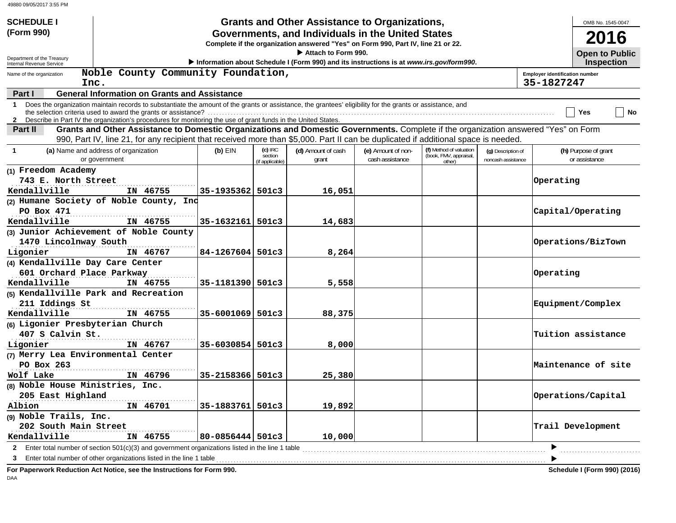| <b>SCHEDULE I</b>                                    |                                                                                                                                                                                                                              |                  |                                       | <b>Grants and Other Assistance to Organizations,</b>                                    |                    |                                                             |                                          |                                       | OMB No. 1545-0047     |
|------------------------------------------------------|------------------------------------------------------------------------------------------------------------------------------------------------------------------------------------------------------------------------------|------------------|---------------------------------------|-----------------------------------------------------------------------------------------|--------------------|-------------------------------------------------------------|------------------------------------------|---------------------------------------|-----------------------|
| (Form 990)                                           | Governments, and Individuals in the United States<br>Complete if the organization answered "Yes" on Form 990, Part IV, line 21 or 22.                                                                                        |                  |                                       |                                                                                         |                    |                                                             |                                          | 2016                                  |                       |
| Department of the Treasury                           |                                                                                                                                                                                                                              |                  |                                       | Attach to Form 990.                                                                     |                    |                                                             |                                          |                                       | <b>Open to Public</b> |
| Internal Revenue Service<br>Name of the organization | Noble County Community Foundation,                                                                                                                                                                                           |                  |                                       | Information about Schedule I (Form 990) and its instructions is at www.irs.gov/form990. |                    |                                                             |                                          | <b>Employer identification number</b> | <b>Inspection</b>     |
| Inc.                                                 |                                                                                                                                                                                                                              |                  |                                       |                                                                                         |                    |                                                             |                                          | 35-1827247                            |                       |
| Part I                                               | <b>General Information on Grants and Assistance</b>                                                                                                                                                                          |                  |                                       |                                                                                         |                    |                                                             |                                          |                                       |                       |
| $\mathbf 1$                                          | Does the organization maintain records to substantiate the amount of the grants or assistance, the grantees' eligibility for the grants or assistance, and<br>the selection criteria used to award the grants or assistance? |                  |                                       |                                                                                         |                    |                                                             |                                          | Yes                                   | No                    |
|                                                      | 2 Describe in Part IV the organization's procedures for monitoring the use of grant funds in the United States.                                                                                                              |                  |                                       |                                                                                         |                    |                                                             |                                          |                                       |                       |
| Part II                                              | Grants and Other Assistance to Domestic Organizations and Domestic Governments. Complete if the organization answered "Yes" on Form                                                                                          |                  |                                       |                                                                                         |                    |                                                             |                                          |                                       |                       |
|                                                      | 990, Part IV, line 21, for any recipient that received more than \$5,000. Part II can be duplicated if additional space is needed.<br>(a) Name and address of organization                                                   | $(b)$ EIN        |                                       | (d) Amount of cash                                                                      | (e) Amount of non- |                                                             |                                          | (h) Purpose of grant                  |                       |
|                                                      | or government                                                                                                                                                                                                                |                  | (c) IRC<br>section<br>(if applicable) | grant                                                                                   | cash assistance    | (f) Method of valuation<br>(book, FMV, appraisal,<br>other) | (g) Description of<br>noncash assistance | or assistance                         |                       |
| (1) Freedom Academy                                  |                                                                                                                                                                                                                              |                  |                                       |                                                                                         |                    |                                                             |                                          |                                       |                       |
| 743 E. North Street                                  |                                                                                                                                                                                                                              |                  |                                       |                                                                                         |                    |                                                             |                                          | Operating                             |                       |
| Kendallville                                         | IN 46755                                                                                                                                                                                                                     | 35-1935362 501c3 |                                       | 16,051                                                                                  |                    |                                                             |                                          |                                       |                       |
|                                                      | (2) Humane Society of Noble County, Ind                                                                                                                                                                                      |                  |                                       |                                                                                         |                    |                                                             |                                          |                                       |                       |
| PO Box 471                                           |                                                                                                                                                                                                                              |                  |                                       |                                                                                         |                    |                                                             |                                          | Capital/Operating                     |                       |
| Kendallville                                         | IN 46755                                                                                                                                                                                                                     | 35-1632161 501c3 |                                       | 14,683                                                                                  |                    |                                                             |                                          |                                       |                       |
|                                                      | (3) Junior Achievement of Noble County                                                                                                                                                                                       |                  |                                       |                                                                                         |                    |                                                             |                                          |                                       |                       |
| 1470 Lincolnway South                                |                                                                                                                                                                                                                              |                  |                                       |                                                                                         |                    |                                                             |                                          | Operations/BizTown                    |                       |
| Ligonier                                             | IN 46767                                                                                                                                                                                                                     | 84-1267604 501c3 |                                       | 8,264                                                                                   |                    |                                                             |                                          |                                       |                       |
| (4) Kendallville Day Care Center                     |                                                                                                                                                                                                                              |                  |                                       |                                                                                         |                    |                                                             |                                          |                                       |                       |
| 601 Orchard Place Parkway                            |                                                                                                                                                                                                                              |                  |                                       |                                                                                         |                    |                                                             |                                          | Operating                             |                       |
| Kendallville                                         | IN 46755                                                                                                                                                                                                                     | 35-1181390 501c3 |                                       | 5,558                                                                                   |                    |                                                             |                                          |                                       |                       |
| (5) Kendallville Park and Recreation                 |                                                                                                                                                                                                                              |                  |                                       |                                                                                         |                    |                                                             |                                          |                                       |                       |
| 211 Iddings St                                       |                                                                                                                                                                                                                              |                  |                                       |                                                                                         |                    |                                                             |                                          | Equipment/Complex                     |                       |
| Kendallville                                         | IN 46755                                                                                                                                                                                                                     | 35-6001069 501c3 |                                       | 88,375                                                                                  |                    |                                                             |                                          |                                       |                       |
| (6) Ligonier Presbyterian Church                     |                                                                                                                                                                                                                              |                  |                                       |                                                                                         |                    |                                                             |                                          |                                       |                       |
| 407 S Calvin St.                                     |                                                                                                                                                                                                                              |                  |                                       |                                                                                         |                    |                                                             |                                          | Tuition assistance                    |                       |
| Ligonier                                             | IN 46767                                                                                                                                                                                                                     | 35-6030854 501c3 |                                       | 8,000                                                                                   |                    |                                                             |                                          |                                       |                       |
| (7) Merry Lea Environmental Center                   |                                                                                                                                                                                                                              |                  |                                       |                                                                                         |                    |                                                             |                                          |                                       |                       |
| PO Box 263                                           |                                                                                                                                                                                                                              |                  |                                       |                                                                                         |                    |                                                             |                                          | Maintenance of site                   |                       |
| Wolf Lake                                            | IN 46796                                                                                                                                                                                                                     | 35-2158366 501c3 |                                       | 25,380                                                                                  |                    |                                                             |                                          |                                       |                       |
| (8) Noble House Ministries, Inc.                     |                                                                                                                                                                                                                              |                  |                                       |                                                                                         |                    |                                                             |                                          |                                       |                       |
| 205 East Highland                                    |                                                                                                                                                                                                                              | 35-1883761 501c3 |                                       |                                                                                         |                    |                                                             |                                          | Operations/Capital                    |                       |
| Albion<br>(9) Noble Trails, Inc.                     | IN 46701                                                                                                                                                                                                                     |                  |                                       | 19,892                                                                                  |                    |                                                             |                                          |                                       |                       |
| 202 South Main Street                                |                                                                                                                                                                                                                              |                  |                                       |                                                                                         |                    |                                                             |                                          | Trail Development                     |                       |
| Kendallville                                         | IN 46755                                                                                                                                                                                                                     | 80-0856444 501c3 |                                       | 10,000                                                                                  |                    |                                                             |                                          |                                       |                       |
|                                                      |                                                                                                                                                                                                                              |                  |                                       |                                                                                         |                    |                                                             |                                          |                                       |                       |
| 3                                                    |                                                                                                                                                                                                                              |                  |                                       |                                                                                         |                    |                                                             |                                          |                                       |                       |
|                                                      | For Paperwork Reduction Act Notice, see the Instructions for Form 990.                                                                                                                                                       |                  |                                       |                                                                                         |                    |                                                             |                                          |                                       |                       |
| $\Gamma$ $\Delta$                                    |                                                                                                                                                                                                                              |                  |                                       |                                                                                         |                    |                                                             |                                          | Schedule I (Form 990) (2016)          |                       |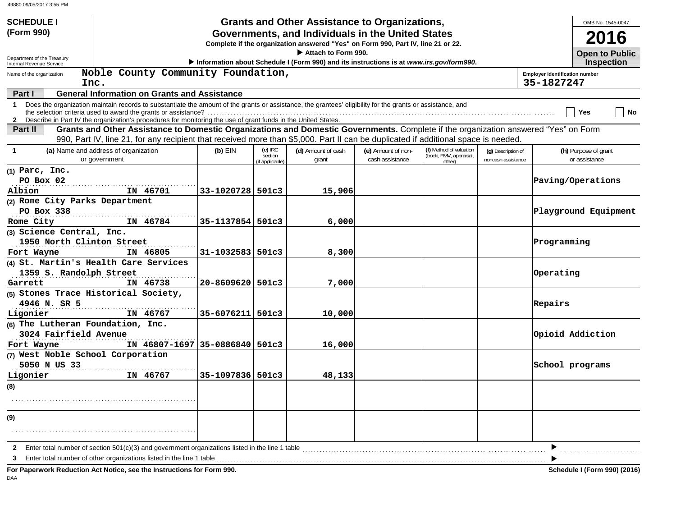| <b>SCHEDULE I</b><br>(Form 990)                      |                                                                                                                                                                                                                                                                                 |                  |                                         | <b>Grants and Other Assistance to Organizations,</b><br>Governments, and Individuals in the United States |                                       |                                                             |                                          | OMB No. 1545-0047<br>2016                                  |
|------------------------------------------------------|---------------------------------------------------------------------------------------------------------------------------------------------------------------------------------------------------------------------------------------------------------------------------------|------------------|-----------------------------------------|-----------------------------------------------------------------------------------------------------------|---------------------------------------|-------------------------------------------------------------|------------------------------------------|------------------------------------------------------------|
|                                                      |                                                                                                                                                                                                                                                                                 |                  |                                         | Complete if the organization answered "Yes" on Form 990, Part IV, line 21 or 22.                          |                                       |                                                             |                                          |                                                            |
| Department of the Treasury                           |                                                                                                                                                                                                                                                                                 |                  |                                         | Attach to Form 990.                                                                                       |                                       |                                                             |                                          | <b>Open to Public</b>                                      |
| Internal Revenue Service<br>Name of the organization | Noble County Community Foundation,                                                                                                                                                                                                                                              |                  |                                         | Information about Schedule I (Form 990) and its instructions is at www.irs.gov/form990.                   |                                       |                                                             |                                          | <b>Inspection</b><br><b>Employer identification number</b> |
| Inc.<br>Part I                                       | <b>General Information on Grants and Assistance</b>                                                                                                                                                                                                                             |                  |                                         |                                                                                                           |                                       |                                                             |                                          | 35-1827247                                                 |
|                                                      | 1 Does the organization maintain records to substantiate the amount of the grants or assistance, the grantees' eligibility for the grants or assistance, and<br>2 Describe in Part IV the organization's procedures for monitoring the use of grant funds in the United States. |                  |                                         |                                                                                                           |                                       |                                                             |                                          | No<br>Yes                                                  |
| Part II                                              | Grants and Other Assistance to Domestic Organizations and Domestic Governments. Complete if the organization answered "Yes" on Form                                                                                                                                             |                  |                                         |                                                                                                           |                                       |                                                             |                                          |                                                            |
|                                                      | 990, Part IV, line 21, for any recipient that received more than \$5,000. Part II can be duplicated if additional space is needed.                                                                                                                                              |                  |                                         |                                                                                                           |                                       |                                                             |                                          |                                                            |
| -1                                                   | (a) Name and address of organization<br>or government                                                                                                                                                                                                                           | $(b)$ EIN        | $(c)$ IRC<br>section<br>(if applicable) | (d) Amount of cash<br>grant                                                                               | (e) Amount of non-<br>cash assistance | (f) Method of valuation<br>(book, FMV, appraisal,<br>other) | (g) Description of<br>noncash assistance | (h) Purpose of grant<br>or assistance                      |
| $(1)$ Parc, Inc.<br>PO Box 02<br>Albion              | IN 46701                                                                                                                                                                                                                                                                        | 33-1020728 501c3 |                                         | 15,906                                                                                                    |                                       |                                                             |                                          | Paving/Operations                                          |
| (2) Rome City Parks Department                       |                                                                                                                                                                                                                                                                                 |                  |                                         |                                                                                                           |                                       |                                                             |                                          |                                                            |
| PO Box 338                                           |                                                                                                                                                                                                                                                                                 |                  |                                         |                                                                                                           |                                       |                                                             |                                          | Playground Equipment                                       |
| Rome City                                            | IN 46784                                                                                                                                                                                                                                                                        | 35-1137854 501c3 |                                         | 6,000                                                                                                     |                                       |                                                             |                                          |                                                            |
| (3) Science Central, Inc.                            |                                                                                                                                                                                                                                                                                 |                  |                                         |                                                                                                           |                                       |                                                             |                                          |                                                            |
| 1950 North Clinton Street                            |                                                                                                                                                                                                                                                                                 |                  |                                         |                                                                                                           |                                       |                                                             |                                          | Programming                                                |
| Fort Wayne                                           | IN 46805                                                                                                                                                                                                                                                                        | 31-1032583 501c3 |                                         | 8,300                                                                                                     |                                       |                                                             |                                          |                                                            |
|                                                      | (4) St. Martin's Health Care Services                                                                                                                                                                                                                                           |                  |                                         |                                                                                                           |                                       |                                                             |                                          |                                                            |
| 1359 S. Randolph Street                              |                                                                                                                                                                                                                                                                                 |                  |                                         |                                                                                                           |                                       |                                                             |                                          | Operating                                                  |
| Garrett                                              | IN 46738                                                                                                                                                                                                                                                                        | 20-8609620 501c3 |                                         | 7,000                                                                                                     |                                       |                                                             |                                          |                                                            |
|                                                      | (5) Stones Trace Historical Society,                                                                                                                                                                                                                                            |                  |                                         |                                                                                                           |                                       |                                                             |                                          |                                                            |
| 4946 N. SR 5                                         | IN 46767                                                                                                                                                                                                                                                                        | 35-6076211 501c3 |                                         |                                                                                                           |                                       |                                                             |                                          | Repairs                                                    |
| Ligonier<br>(6) The Lutheran Foundation, Inc.        |                                                                                                                                                                                                                                                                                 |                  |                                         | 10,000                                                                                                    |                                       |                                                             |                                          |                                                            |
| 3024 Fairfield Avenue                                |                                                                                                                                                                                                                                                                                 |                  |                                         |                                                                                                           |                                       |                                                             |                                          | Opioid Addiction                                           |
| Fort Wayne                                           | IN 46807-1697 35-0886840 501c3                                                                                                                                                                                                                                                  |                  |                                         | 16,000                                                                                                    |                                       |                                                             |                                          |                                                            |
| (7) West Noble School Corporation                    |                                                                                                                                                                                                                                                                                 |                  |                                         |                                                                                                           |                                       |                                                             |                                          |                                                            |
| 5050 N US 33                                         |                                                                                                                                                                                                                                                                                 |                  |                                         |                                                                                                           |                                       |                                                             |                                          | School programs                                            |
| Ligonier                                             | IN 46767                                                                                                                                                                                                                                                                        | 35-1097836 501c3 |                                         | 48,133                                                                                                    |                                       |                                                             |                                          |                                                            |
| (8)                                                  |                                                                                                                                                                                                                                                                                 |                  |                                         |                                                                                                           |                                       |                                                             |                                          |                                                            |
|                                                      |                                                                                                                                                                                                                                                                                 |                  |                                         |                                                                                                           |                                       |                                                             |                                          |                                                            |
| (9)                                                  |                                                                                                                                                                                                                                                                                 |                  |                                         |                                                                                                           |                                       |                                                             |                                          |                                                            |
|                                                      |                                                                                                                                                                                                                                                                                 |                  |                                         |                                                                                                           |                                       |                                                             |                                          |                                                            |
|                                                      | Enter total number of section 501(c)(3) and government organizations listed in the line 1 table                                                                                                                                                                                 |                  |                                         |                                                                                                           |                                       |                                                             |                                          |                                                            |
| 2<br>З                                               | Enter total number of other organizations listed in the line 1 table                                                                                                                                                                                                            |                  |                                         |                                                                                                           |                                       |                                                             |                                          |                                                            |
|                                                      | For Paperwork Reduction Act Notice, see the Instructions for Form 990.                                                                                                                                                                                                          |                  |                                         |                                                                                                           |                                       |                                                             |                                          | <b>Schedule I (Form 990) (2016)</b>                        |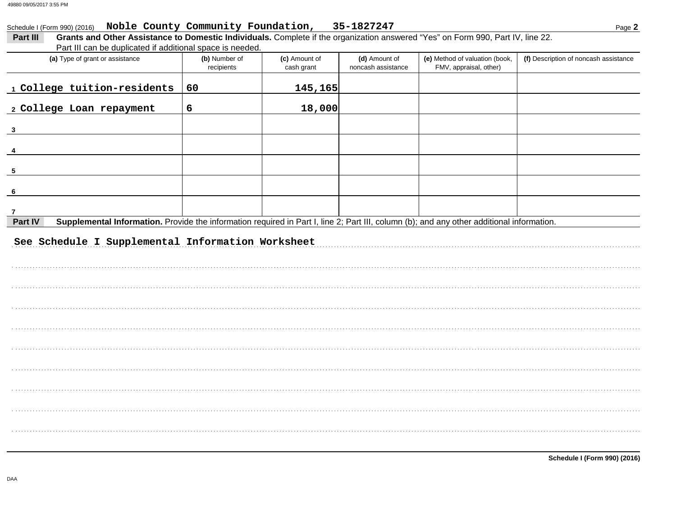#### Schedule I (Form 990) (2016) Noble County Community Foundation, 35-1827247

Part III can be duplicated if additional space is needed

| r art in carr be duplicated in additional space is needed.<br>(a) Type of grant or assistance                                                        | (b) Number of | (c) Amount of | (d) Amount of      | (e) Method of valuation (book, | (f) Description of noncash assistance |
|------------------------------------------------------------------------------------------------------------------------------------------------------|---------------|---------------|--------------------|--------------------------------|---------------------------------------|
|                                                                                                                                                      | recipients    | cash grant    | noncash assistance | FMV, appraisal, other)         |                                       |
| 1 College tuition-residents                                                                                                                          | 60            | 145,165       |                    |                                |                                       |
| 2 College Loan repayment                                                                                                                             | 6             | 18,000        |                    |                                |                                       |
| $\overline{\mathbf{3}}$                                                                                                                              |               |               |                    |                                |                                       |
|                                                                                                                                                      |               |               |                    |                                |                                       |
| 5                                                                                                                                                    |               |               |                    |                                |                                       |
| - 6                                                                                                                                                  |               |               |                    |                                |                                       |
| 7                                                                                                                                                    |               |               |                    |                                |                                       |
| Supplemental Information. Provide the information required in Part I, line 2; Part III, column (b); and any other additional information.<br>Part IV |               |               |                    |                                |                                       |
| See Schedule I Supplemental Information Worksheet                                                                                                    |               |               |                    |                                |                                       |
|                                                                                                                                                      |               |               |                    |                                |                                       |
|                                                                                                                                                      |               |               |                    |                                |                                       |
|                                                                                                                                                      |               |               |                    |                                |                                       |
|                                                                                                                                                      |               |               |                    |                                |                                       |
|                                                                                                                                                      |               |               |                    |                                |                                       |
|                                                                                                                                                      |               |               |                    |                                |                                       |
|                                                                                                                                                      |               |               |                    |                                |                                       |
|                                                                                                                                                      |               |               |                    |                                |                                       |
|                                                                                                                                                      |               |               |                    |                                |                                       |
|                                                                                                                                                      |               |               |                    |                                |                                       |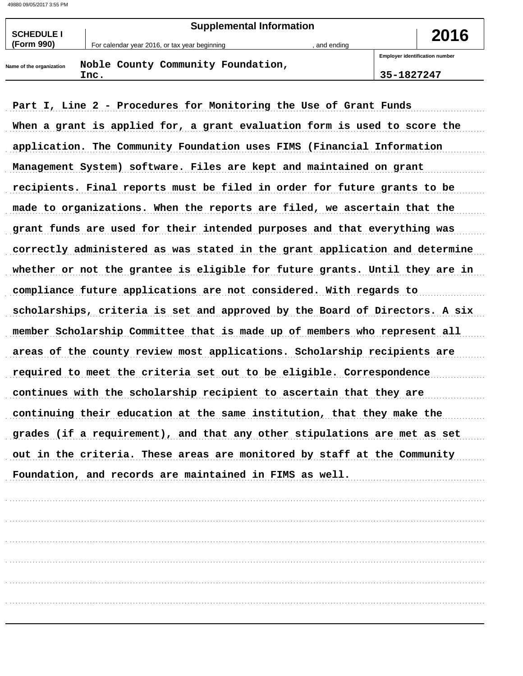| <b>SCHEDULE I</b>        | <b>Supplemental Information</b>               | 2016       |                                       |
|--------------------------|-----------------------------------------------|------------|---------------------------------------|
| (Form 990)               | For calendar year 2016, or tax year beginning | and ending |                                       |
|                          | Noble County Community Foundation,            |            | <b>Employer identification number</b> |
| Name of the organization | Inc.                                          |            | 35-1827247                            |

Part I, Line 2 - Procedures for Monitoring the Use of Grant Funds When a grant is applied for, a grant evaluation form is used to score the application. The Community Foundation uses FIMS (Financial Information Management System) software. Files are kept and maintained on grant recipients. Final reports must be filed in order for future grants to be made to organizations. When the reports are filed, we ascertain that the grant funds are used for their intended purposes and that everything was correctly administered as was stated in the grant application and determine whether or not the grantee is eligible for future grants. Until they are in compliance future applications are not considered. With regards to scholarships, criteria is set and approved by the Board of Directors. A six member Scholarship Committee that is made up of members who represent all areas of the county review most applications. Scholarship recipients are required to meet the criteria set out to be eligible. Correspondence continues with the scholarship recipient to ascertain that they are continuing their education at the same institution, that they make the grades (if a requirement), and that any other stipulations are met as set out in the criteria. These areas are monitored by staff at the Community Foundation, and records are maintained in FIMS as well.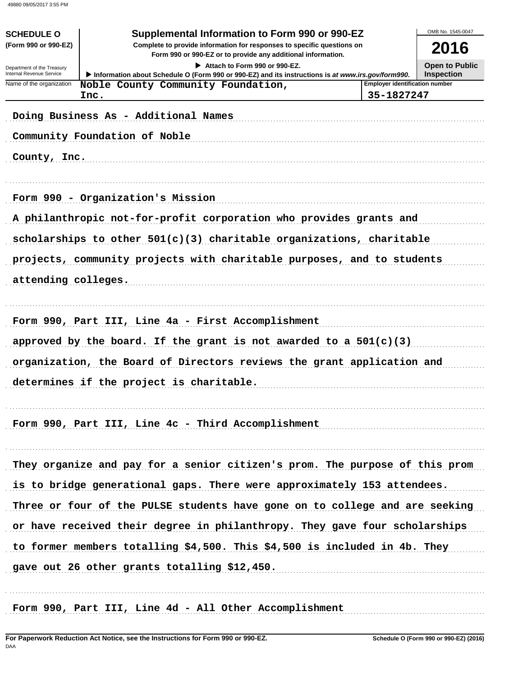|                                                      |                                                                                                                                                                                          |                                       | OMB No. 1545-0047     |
|------------------------------------------------------|------------------------------------------------------------------------------------------------------------------------------------------------------------------------------------------|---------------------------------------|-----------------------|
| <b>SCHEDULE O</b><br>(Form 990 or 990-EZ)            | Supplemental Information to Form 990 or 990-EZ<br>Complete to provide information for responses to specific questions on<br>Form 990 or 990-EZ or to provide any additional information. |                                       | 2016                  |
| Department of the Treasury                           | Attach to Form 990 or 990-EZ.                                                                                                                                                            |                                       | <b>Open to Public</b> |
| Internal Revenue Service<br>Name of the organization | Information about Schedule O (Form 990 or 990-EZ) and its instructions is at www.irs.gov/form990.                                                                                        | <b>Employer identification number</b> | <b>Inspection</b>     |
|                                                      | Noble County Community Foundation,<br>Inc.                                                                                                                                               | 35-1827247                            |                       |
| County, Inc.                                         | Doing Business As - Additional Names<br>Community Foundation of Noble                                                                                                                    |                                       |                       |
|                                                      | Form 990 - Organization's Mission                                                                                                                                                        |                                       |                       |
|                                                      | A philanthropic not-for-profit corporation who provides grants and                                                                                                                       |                                       |                       |
|                                                      | scholarships to other $501(c)(3)$ charitable organizations, charitable                                                                                                                   |                                       |                       |
|                                                      | projects, community projects with charitable purposes, and to students                                                                                                                   |                                       |                       |
| attending colleges.                                  |                                                                                                                                                                                          |                                       |                       |
|                                                      | Form 990, Part III, Line 4a - First Accomplishment                                                                                                                                       |                                       |                       |
|                                                      | approved by the board. If the grant is not awarded to a $501(c)(3)$                                                                                                                      |                                       |                       |
|                                                      | organization, the Board of Directors reviews the grant application and                                                                                                                   |                                       |                       |
|                                                      | determines if the project is charitable.                                                                                                                                                 |                                       |                       |
|                                                      | Form 990, Part III, Line 4c - Third Accomplishment                                                                                                                                       |                                       |                       |
|                                                      | They organize and pay for a senior citizen's prom. The purpose of this prom                                                                                                              |                                       |                       |
|                                                      | is to bridge generational gaps. There were approximately 153 attendees.                                                                                                                  |                                       |                       |
|                                                      | Three or four of the PULSE students have gone on to college and are seeking                                                                                                              |                                       |                       |
|                                                      | or have received their degree in philanthropy. They gave four scholarships                                                                                                               |                                       |                       |
|                                                      | to former members totalling \$4,500. This \$4,500 is included in 4b. They                                                                                                                |                                       |                       |
|                                                      | gave out 26 other grants totalling \$12,450.                                                                                                                                             |                                       |                       |
|                                                      | Form 990, Part III, Line 4d - All Other Accomplishment                                                                                                                                   |                                       |                       |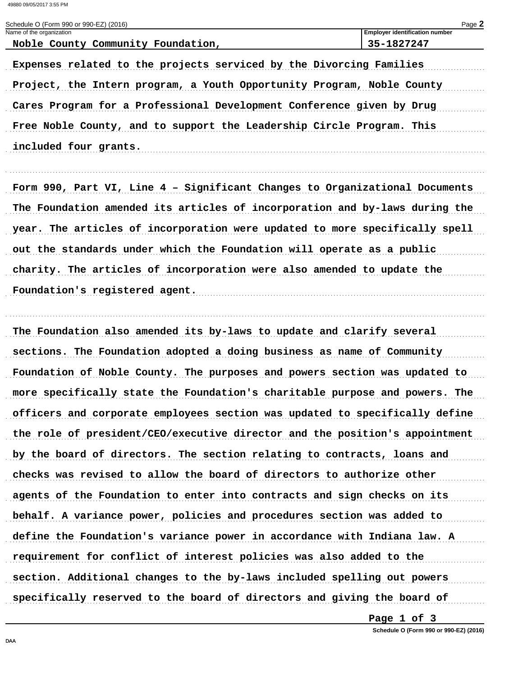Name of the organization

Schedule O (Form 990 or 990-EZ) (2016)

**Employer identification number** 

| Noble County Community Foundation,                                          | 35-1827247 |
|-----------------------------------------------------------------------------|------------|
| Expenses related to the projects serviced by the Divorcing Families         |            |
| Project, the Intern program, a Youth Opportunity Program, Noble County      |            |
| Cares Program for a Professional Development Conference given by Drug       |            |
| Free Noble County, and to support the Leadership Circle Program. This       |            |
| included four grants.                                                       |            |
|                                                                             |            |
| Form 990, Part VI, Line 4 - Significant Changes to Organizational Documents |            |
| The Foundation amended its articles of incorporation and by-laws during the |            |
| year. The articles of incorporation were updated to more specifically spell |            |
| out the standards under which the Foundation will operate as a public       |            |
| charity. The articles of incorporation were also amended to update the      |            |
| Foundation's registered agent.                                              |            |
|                                                                             |            |
| The Foundation also amended its by-laws to update and clarify several       |            |
|                                                                             |            |
| sections. The Foundation adopted a doing business as name of Community      |            |
| Foundation of Noble County. The purposes and powers section was updated to  |            |
| more specifically state the Foundation's charitable purpose and powers. The |            |
| officers and corporate employees section was updated to specifically define |            |
| the role of president/CEO/executive director and the position's appointment |            |
| by the board of directors. The section relating to contracts, loans and     |            |
| checks was revised to allow the board of directors to authorize other       |            |
| agents of the Foundation to enter into contracts and sign checks on its     |            |
| behalf. A variance power, policies and procedures section was added to      |            |
| define the Foundation's variance power in accordance with Indiana law. A    |            |
| requirement for conflict of interest policies was also added to the         |            |

specifically reserved to the board of directors and giving the board of

Page 1 of 3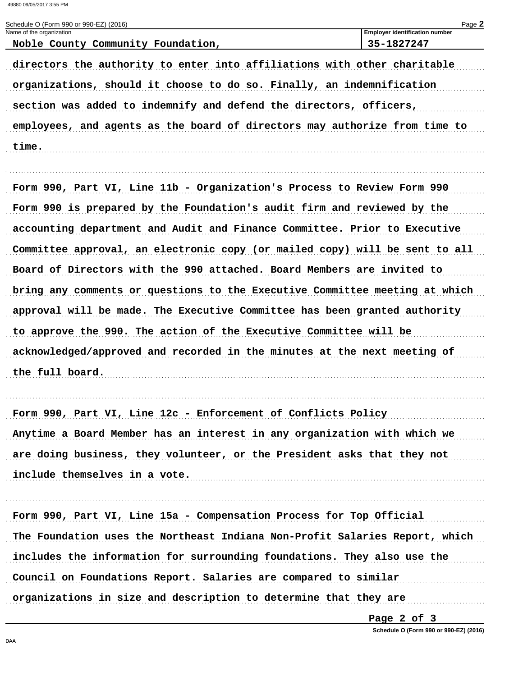Schedule O (Form 990 or 990-EZ) (2016)

| Name of the organization<br>Noble County Community Foundation,              | Employer identification number<br>35-1827247 |
|-----------------------------------------------------------------------------|----------------------------------------------|
| directors the authority to enter into affiliations with other charitable    |                                              |
| organizations, should it choose to do so. Finally, an indemnification       |                                              |
| section was added to indemnify and defend the directors, officers,          |                                              |
| employees, and agents as the board of directors may authorize from time to  |                                              |
| time.                                                                       |                                              |
|                                                                             |                                              |
| Form 990, Part VI, Line 11b - Organization's Process to Review Form 990     |                                              |
| Form 990 is prepared by the Foundation's audit firm and reviewed by the     |                                              |
| accounting department and Audit and Finance Committee. Prior to Executive   |                                              |
| Committee approval, an electronic copy (or mailed copy) will be sent to all |                                              |
| Board of Directors with the 990 attached. Board Members are invited to      |                                              |
| bring any comments or questions to the Executive Committee meeting at which |                                              |
| approval will be made. The Executive Committee has been granted authority   |                                              |
| to approve the 990. The action of the Executive Committee will be           |                                              |
| acknowledged/approved and recorded in the minutes at the next meeting of    |                                              |
| the full board.                                                             |                                              |
|                                                                             |                                              |
| Form 990, Part VI, Line 12c - Enforcement of Conflicts Policy               |                                              |
| Anytime a Board Member has an interest in any organization with which we    |                                              |
| are doing business, they volunteer, or the President asks that they not     |                                              |
| include themselves in a vote.                                               |                                              |
|                                                                             |                                              |
| Form 990, Part VI, Line 15a - Compensation Process for Top Official         |                                              |
| The Foundation uses the Northeast Indiana Non-Profit Salaries Report, which |                                              |
| includes the information for surrounding foundations. They also use the     |                                              |
| Council on Foundations Report. Salaries are compared to similar             |                                              |
| organizations in size and description to determine that they are            |                                              |
|                                                                             |                                              |

Page 2 of 3

Schedule O (Form 990 or 990-EZ) (2016)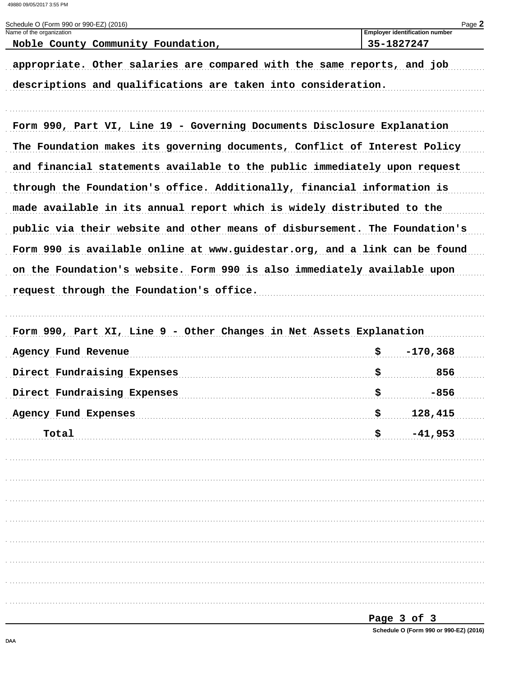| Schedule O (Form 990 or 990-EZ) (2016)<br>Name of the organization         |    | Page 2<br><b>Employer identification number</b> |
|----------------------------------------------------------------------------|----|-------------------------------------------------|
| Noble County Community Foundation,                                         |    | 35-1827247                                      |
| appropriate. Other salaries are compared with the same reports, and job    |    |                                                 |
| descriptions and qualifications are taken into consideration.              |    |                                                 |
|                                                                            |    |                                                 |
| Form 990, Part VI, Line 19 - Governing Documents Disclosure Explanation    |    |                                                 |
| The Foundation makes its governing documents, Conflict of Interest Policy  |    |                                                 |
| and financial statements available to the public immediately upon request  |    |                                                 |
| through the Foundation's office. Additionally, financial information is    |    |                                                 |
| made available in its annual report which is widely distributed to the     |    |                                                 |
| public via their website and other means of disbursement. The Foundation's |    |                                                 |
| Form 990 is available online at www.guidestar.org, and a link can be found |    |                                                 |
| on the Foundation's website. Form 990 is also immediately available upon   |    |                                                 |
| request through the Foundation's office.                                   |    |                                                 |
|                                                                            |    |                                                 |
| Form 990, Part XI, Line 9 - Other Changes in Net Assets Explanation        |    |                                                 |
| Agency Fund Revenue                                                        | \$ | $-170,368$                                      |
| Direct Fundraising Expenses                                                | \$ | 856                                             |
| Direct Fundraising Expenses                                                | \$ | -856                                            |
| Agency Fund Expenses                                                       | s  | 128,415                                         |
| Total                                                                      | \$ | $-41,953$                                       |
|                                                                            |    |                                                 |
|                                                                            |    |                                                 |
|                                                                            |    |                                                 |
|                                                                            |    |                                                 |
|                                                                            |    |                                                 |
|                                                                            |    |                                                 |
|                                                                            |    |                                                 |
|                                                                            |    |                                                 |
|                                                                            |    |                                                 |

Page 3 of 3

Schedule O (Form 990 or 990-EZ) (2016)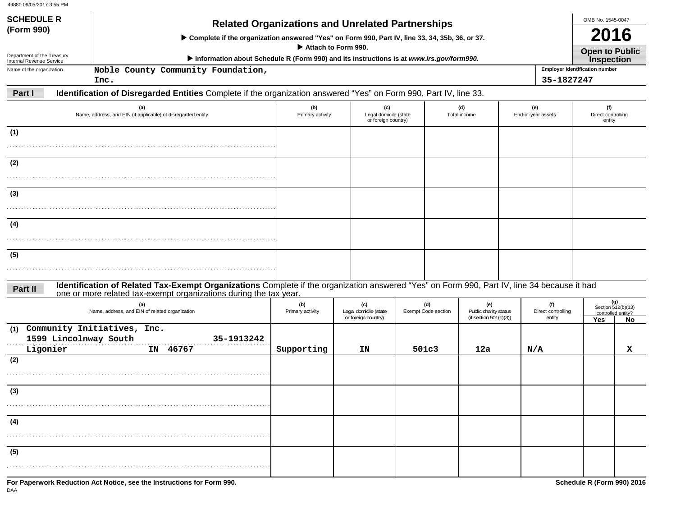| 49880 09/05/2017 3:55 PM                               |                                                                                                                                                             |                         |                                                     |                                   |                                                           |                           |                                       |                           |
|--------------------------------------------------------|-------------------------------------------------------------------------------------------------------------------------------------------------------------|-------------------------|-----------------------------------------------------|-----------------------------------|-----------------------------------------------------------|---------------------------|---------------------------------------|---------------------------|
| <b>SCHEDULE R</b>                                      |                                                                                                                                                             |                         |                                                     |                                   |                                                           |                           | OMB No. 1545-0047                     |                           |
| (Form 990)                                             | <b>Related Organizations and Unrelated Partnerships</b><br>> Complete if the organization answered "Yes" on Form 990, Part IV, line 33, 34, 35b, 36, or 37. |                         |                                                     |                                   |                                                           |                           | 2016                                  |                           |
|                                                        |                                                                                                                                                             | Attach to Form 990.     |                                                     |                                   |                                                           |                           | <b>Open to Public</b>                 |                           |
| Department of the Treasury<br>Internal Revenue Service | Information about Schedule R (Form 990) and its instructions is at www.irs.gov/form990.                                                                     |                         |                                                     |                                   |                                                           |                           | <b>Inspection</b>                     |                           |
| Name of the organization                               | Noble County Community Foundation,                                                                                                                          |                         |                                                     |                                   |                                                           |                           | <b>Employer identification number</b> |                           |
| Part I                                                 | Inc.<br>Identification of Disregarded Entities Complete if the organization answered "Yes" on Form 990, Part IV, line 33.                                   |                         |                                                     |                                   |                                                           | 35-1827247                |                                       |                           |
|                                                        | Name, address, and EIN (if applicable) of disregarded entity                                                                                                | (b)<br>Primary activity | (c)<br>Legal domicile (state<br>or foreign country) |                                   | (d)<br>Total income                                       | (e)<br>End-of-year assets | (f)<br>Direct controlling<br>entity   |                           |
| (1)                                                    |                                                                                                                                                             |                         |                                                     |                                   |                                                           |                           |                                       |                           |
| (2)                                                    |                                                                                                                                                             |                         |                                                     |                                   |                                                           |                           |                                       |                           |
| (3)                                                    |                                                                                                                                                             |                         |                                                     |                                   |                                                           |                           |                                       |                           |
| (4)                                                    |                                                                                                                                                             |                         |                                                     |                                   |                                                           |                           |                                       |                           |
| (5)                                                    |                                                                                                                                                             |                         |                                                     |                                   |                                                           |                           |                                       |                           |
| Part II                                                | Identification of Related Tax-Exempt Organizations Complete if the organization answered "Yes" on Form 990, Part IV, line 34 because it had                 |                         |                                                     |                                   |                                                           |                           |                                       |                           |
|                                                        | one or more related tax-exempt organizations during the tax year.<br>Name, address, and EIN of related organization                                         | (b)<br>Primary activity | (c)<br>Legal domicile (state<br>or foreign country) | (d)<br><b>Exempt Code section</b> | (e)<br>Public charity status<br>(if section $501(c)(3)$ ) | (f)<br>Direct controlling | controlled entity?                    | (g)<br>Section 512(b)(13) |
| (1)<br>1599 Lincolnway South<br>Ligonier               | Community Initiatives, Inc.<br>35-1913242<br>IN 46767                                                                                                       | Supporting              | ΙN                                                  | 501c3                             | 12a                                                       | entity<br>N/A             | <b>Yes</b>                            | No.<br>x                  |
| (2)                                                    |                                                                                                                                                             |                         |                                                     |                                   |                                                           |                           |                                       |                           |

| (3)<br>.<br>(4)<br>(5) | For Paperwork Reduction Act Notice, see the Instructions for Form 990.<br>Schedule R (Form 990) 2016 |  |  |  |  |  |  |  |
|------------------------|------------------------------------------------------------------------------------------------------|--|--|--|--|--|--|--|
|                        |                                                                                                      |  |  |  |  |  |  |  |
|                        |                                                                                                      |  |  |  |  |  |  |  |
|                        |                                                                                                      |  |  |  |  |  |  |  |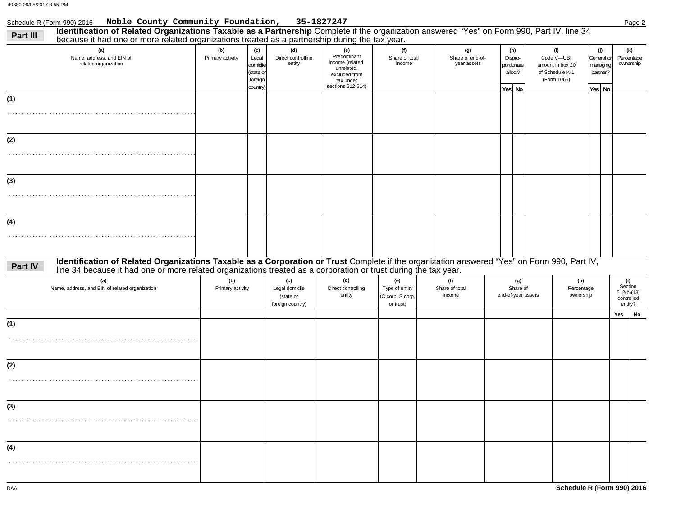## Schedule R (Form 990) 2016 Page **2 Noble County Community Foundation, 35-1827247**

| Part III | Identification of Related Organizations Taxable as a Partnership Complete if the organization answered "Yes" on Form 990, Part IV, line 34<br>because it had one or more related organizations treated as a partnership during the tax year.                   |                         |                                                              |                                                        |                                                                                                         |                                                        |                                        |                                                   |                                                                         |                                                     |                                                       |    |
|----------|----------------------------------------------------------------------------------------------------------------------------------------------------------------------------------------------------------------------------------------------------------------|-------------------------|--------------------------------------------------------------|--------------------------------------------------------|---------------------------------------------------------------------------------------------------------|--------------------------------------------------------|----------------------------------------|---------------------------------------------------|-------------------------------------------------------------------------|-----------------------------------------------------|-------------------------------------------------------|----|
|          | (a)<br>Name, address, and EIN of<br>related organization                                                                                                                                                                                                       | (b)<br>Primary activity | (c)<br>Legal<br>domicile<br>(state or<br>foreign<br>country) | (d)<br>Direct controlling<br>entity                    | (e)<br>Predominant<br>income (related,<br>unrelated,<br>excluded from<br>tax under<br>sections 512-514) | (f)<br>Share of total<br>income                        | (g)<br>Share of end-of-<br>year assets | (h)<br>Dispro-<br>portionate<br>alloc.?<br>Yes No | (i)<br>Code V-UBI<br>amount in box 20<br>of Schedule K-1<br>(Form 1065) | (j)<br>General or<br>managing<br>partner?<br>Yes No | (k)<br>Percentage<br>ownership                        |    |
| (1)      |                                                                                                                                                                                                                                                                |                         |                                                              |                                                        |                                                                                                         |                                                        |                                        |                                                   |                                                                         |                                                     |                                                       |    |
|          |                                                                                                                                                                                                                                                                |                         |                                                              |                                                        |                                                                                                         |                                                        |                                        |                                                   |                                                                         |                                                     |                                                       |    |
| (2)      |                                                                                                                                                                                                                                                                |                         |                                                              |                                                        |                                                                                                         |                                                        |                                        |                                                   |                                                                         |                                                     |                                                       |    |
|          |                                                                                                                                                                                                                                                                |                         |                                                              |                                                        |                                                                                                         |                                                        |                                        |                                                   |                                                                         |                                                     |                                                       |    |
| (3)      |                                                                                                                                                                                                                                                                |                         |                                                              |                                                        |                                                                                                         |                                                        |                                        |                                                   |                                                                         |                                                     |                                                       |    |
|          |                                                                                                                                                                                                                                                                |                         |                                                              |                                                        |                                                                                                         |                                                        |                                        |                                                   |                                                                         |                                                     |                                                       |    |
| (4)      |                                                                                                                                                                                                                                                                |                         |                                                              |                                                        |                                                                                                         |                                                        |                                        |                                                   |                                                                         |                                                     |                                                       |    |
|          |                                                                                                                                                                                                                                                                |                         |                                                              |                                                        |                                                                                                         |                                                        |                                        |                                                   |                                                                         |                                                     |                                                       |    |
| Part IV  | Identification of Related Organizations Taxable as a Corporation or Trust Complete if the organization answered "Yes" on Form 990, Part IV,<br>line 34 because it had one or more related organizations treated as a corporation or trust during the tax year. |                         |                                                              |                                                        |                                                                                                         |                                                        |                                        |                                                   |                                                                         |                                                     |                                                       |    |
|          | (a)<br>Name, address, and EIN of related organization                                                                                                                                                                                                          | (b)<br>Primary activity |                                                              | (c)<br>Legal domicile<br>(state or<br>foreign country) | (d)<br>Direct controlling<br>entity                                                                     | (e)<br>Type of entity<br>(C corp, S corp,<br>or trust) | (f)<br>Share of total<br>income        | (g)<br>Share of<br>end-of-year assets             | (h)<br>Percentage<br>ownership                                          |                                                     | (i)<br>Section<br>512(b)(13)<br>controlled<br>entity? |    |
| (1)      |                                                                                                                                                                                                                                                                |                         |                                                              |                                                        |                                                                                                         |                                                        |                                        |                                                   |                                                                         |                                                     | Yes                                                   | No |
|          |                                                                                                                                                                                                                                                                |                         |                                                              |                                                        |                                                                                                         |                                                        |                                        |                                                   |                                                                         |                                                     |                                                       |    |
| (2)      |                                                                                                                                                                                                                                                                |                         |                                                              |                                                        |                                                                                                         |                                                        |                                        |                                                   |                                                                         |                                                     |                                                       |    |
|          |                                                                                                                                                                                                                                                                |                         |                                                              |                                                        |                                                                                                         |                                                        |                                        |                                                   |                                                                         |                                                     |                                                       |    |
| (3)      |                                                                                                                                                                                                                                                                |                         |                                                              |                                                        |                                                                                                         |                                                        |                                        |                                                   |                                                                         |                                                     |                                                       |    |
|          |                                                                                                                                                                                                                                                                |                         |                                                              |                                                        |                                                                                                         |                                                        |                                        |                                                   |                                                                         |                                                     |                                                       |    |
| (4)      |                                                                                                                                                                                                                                                                |                         |                                                              |                                                        |                                                                                                         |                                                        |                                        |                                                   |                                                                         |                                                     |                                                       |    |
|          |                                                                                                                                                                                                                                                                |                         |                                                              |                                                        |                                                                                                         |                                                        |                                        |                                                   |                                                                         |                                                     |                                                       |    |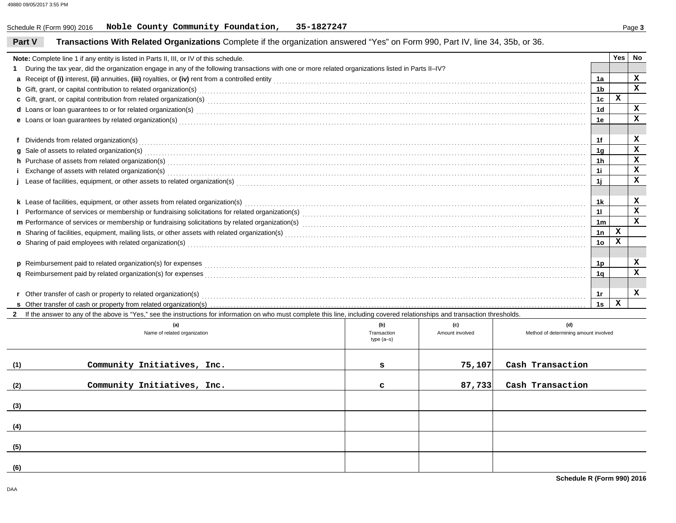#### **Part VTransactions With Related Organizations** Complete if the organization answered "Yes" on Form 990, Part IV, line 34, 35b, or 36.

| Note: Complete line 1 if any entity is listed in Parts II, III, or IV of this schedule.                                                                                                                                             |                 | Yes | No           |  |  |
|-------------------------------------------------------------------------------------------------------------------------------------------------------------------------------------------------------------------------------------|-----------------|-----|--------------|--|--|
| 1 During the tax year, did the organization engage in any of the following transactions with one or more related organizations listed in Parts II-IV?                                                                               |                 |     |              |  |  |
|                                                                                                                                                                                                                                     | 1a              |     | x            |  |  |
| <b>b</b> Gift, grant, or capital contribution to related organization(s) encourse contained and contained and contribution to related organization(s) encourse contained and contained and contained and contained and contained an | 1 <sub>b</sub>  |     | $\mathbf{x}$ |  |  |
| c Gift, grant, or capital contribution from related organization(s) encourance contains an experiment contains an experiment of Gift, grant, or capital contribution from related organization(s)                                   | 1c              | x   |              |  |  |
| d Loans or loan guarantees to or for related organization(s) encourance contained and contained a contained a contact the contact of the contact or for related organization(s) encourance contact the contact of loans or loa      | 1 <sub>d</sub>  |     | x            |  |  |
| e Loans or loan guarantees by related organization(s) with the contract contract contract contract contract contract contract contract contract contract contract contract contract contract contract contract contract contra      | 1e              |     |              |  |  |
|                                                                                                                                                                                                                                     |                 |     |              |  |  |
| f Dividends from related organization(s) encourance contains and contains a container container and container the contact or contact or contact or contact or contact or contact or contact or contact or contact or contact o      | 1f              |     | x            |  |  |
| $g$ Sale of assets to related organization(s) $\ldots$ $\ldots$ $\ldots$ $\ldots$ $\ldots$ $\ldots$ $\ldots$ $\ldots$ $\ldots$ $\ldots$ $\ldots$ $\ldots$ $\ldots$ $\ldots$ $\ldots$ $\ldots$ $\ldots$ $\ldots$ $\ldots$ $\ldots$   | 1g              |     | x            |  |  |
| h Purchase of assets from related organization(s) encourance contains and contains a container and container and container and container and container and container and container and container and container and container a      |                 |     | x            |  |  |
| i Exchange of assets with related organization(s) encountled as a controlled and contact the controlled and contact the controlled and contact the contact of assets with related organization(s) encounterance contact the co      | 1i              |     | x            |  |  |
| j Lease of facilities, equipment, or other assets to related organization(s) Masser Chromocommunity and the content of facilities, equipment, or other assets to related organization(s) Masser Chromocommunity and the conten      |                 |     | x            |  |  |
|                                                                                                                                                                                                                                     |                 |     |              |  |  |
|                                                                                                                                                                                                                                     | 1k              |     | x            |  |  |
|                                                                                                                                                                                                                                     | 11              |     | $\mathbf x$  |  |  |
|                                                                                                                                                                                                                                     | 1 <sub>m</sub>  |     | $\mathbf x$  |  |  |
|                                                                                                                                                                                                                                     | 1n              | x   |              |  |  |
| o Sharing of paid employees with related organization(s) Material Annual Community of Sharing of paid employees with related organization(s) Material Annual Community of Sharing of paid employees with related organization(      | 10 <sub>o</sub> | x   |              |  |  |
|                                                                                                                                                                                                                                     |                 |     |              |  |  |
| p Reimbursement paid to related organization(s) for expenses <b>construction</b> contains the construction of the construction of the construction of the construction of the construction of the construction of the construction  |                 |     |              |  |  |
| q Reimbursement paid by related organization(s) for expenses<br>and the expense process conserved conserved conserved conserved conserved conserved conserved conserved conserved conserved as a series of the conserved conser     | 1q              |     | x            |  |  |
|                                                                                                                                                                                                                                     |                 |     |              |  |  |
| r Other transfer of cash or property to related organization(s)                                                                                                                                                                     | 1r              |     | x            |  |  |
|                                                                                                                                                                                                                                     | 1s              | x   |              |  |  |

**2** If the answer to any of the above is "Yes," see the instructions for information on who must complete this line, including covered relationships and transaction thresholds.

|     | (a)<br>Name of related organization | (b)<br>Transaction<br>type (a-s) | (c)<br>Amount involved | (d)<br>Method of determining amount involved |
|-----|-------------------------------------|----------------------------------|------------------------|----------------------------------------------|
| (1) | Community Initiatives, Inc.         | s                                | 75,107                 | Cash Transaction                             |
| (2) | Community Initiatives, Inc.         | $\mathbf{C}$                     | 87,733                 | Cash Transaction                             |
| (3) |                                     |                                  |                        |                                              |
| (4) |                                     |                                  |                        |                                              |
| (5) |                                     |                                  |                        |                                              |
| (6) |                                     |                                  |                        |                                              |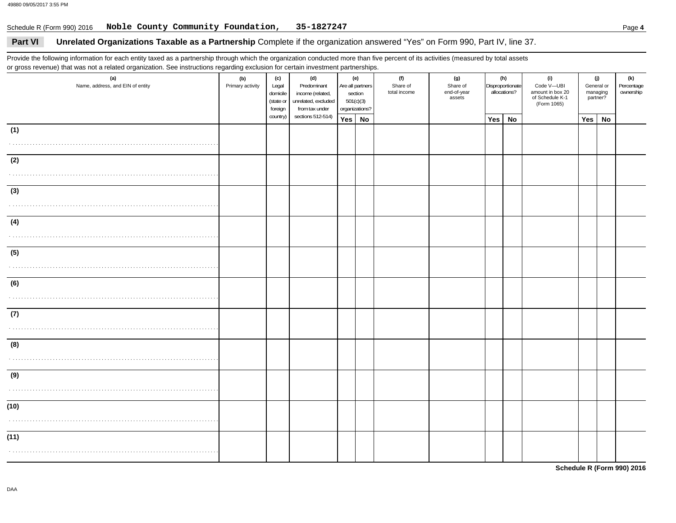## Schedule R (Form 990) 2016 Page **4 Noble County Community Foundation, 35-1827247**

## **Part VI Unrelated Organizations Taxable as a Partnership** Complete if the organization answered "Yes" on Form 990, Part IV, line 37.

Provide the following information for each entity taxed as a partnership through which the organization conducted more than five percent of its activities (measured by total assets or gross revenue) that was not a related organization. See instructions regarding exclusion for certain investment partnerships.

| (a)<br>Name, address, and EIN of entity | (b)<br>Primary activity | (c)<br>Legal<br>domicile<br>(state or<br>foreign | (d)<br>Predominant<br>income (related,<br>unrelated, excluded<br>from tax under | (e)<br>Are all partners<br>section<br>501(c)(3)<br>organizations? |  |  |  |     |           |  |            | (f)<br>Share of<br>total income | (g)<br>Share of<br>end-of-year<br>assets |  | (h)<br>Disproportionate<br>allocations? | (i)<br>Code V-UBI<br>amount in box 20<br>of Schedule K-1<br>(Form 1065) | managing | (j)<br>General or<br>partner? | (k)<br>Percentage<br>ownership |
|-----------------------------------------|-------------------------|--------------------------------------------------|---------------------------------------------------------------------------------|-------------------------------------------------------------------|--|--|--|-----|-----------|--|------------|---------------------------------|------------------------------------------|--|-----------------------------------------|-------------------------------------------------------------------------|----------|-------------------------------|--------------------------------|
|                                         |                         | country)                                         | sections 512-514)                                                               | Yes No                                                            |  |  |  | Yes | <b>No</b> |  | <b>Yes</b> | No                              |                                          |  |                                         |                                                                         |          |                               |                                |
| (1)                                     |                         |                                                  |                                                                                 |                                                                   |  |  |  |     |           |  |            |                                 |                                          |  |                                         |                                                                         |          |                               |                                |
|                                         |                         |                                                  |                                                                                 |                                                                   |  |  |  |     |           |  |            |                                 |                                          |  |                                         |                                                                         |          |                               |                                |
| (2)                                     |                         |                                                  |                                                                                 |                                                                   |  |  |  |     |           |  |            |                                 |                                          |  |                                         |                                                                         |          |                               |                                |
|                                         |                         |                                                  |                                                                                 |                                                                   |  |  |  |     |           |  |            |                                 |                                          |  |                                         |                                                                         |          |                               |                                |
| (3)                                     |                         |                                                  |                                                                                 |                                                                   |  |  |  |     |           |  |            |                                 |                                          |  |                                         |                                                                         |          |                               |                                |
|                                         |                         |                                                  |                                                                                 |                                                                   |  |  |  |     |           |  |            |                                 |                                          |  |                                         |                                                                         |          |                               |                                |
| (4)                                     |                         |                                                  |                                                                                 |                                                                   |  |  |  |     |           |  |            |                                 |                                          |  |                                         |                                                                         |          |                               |                                |
|                                         |                         |                                                  |                                                                                 |                                                                   |  |  |  |     |           |  |            |                                 |                                          |  |                                         |                                                                         |          |                               |                                |
| (5)                                     |                         |                                                  |                                                                                 |                                                                   |  |  |  |     |           |  |            |                                 |                                          |  |                                         |                                                                         |          |                               |                                |
|                                         |                         |                                                  |                                                                                 |                                                                   |  |  |  |     |           |  |            |                                 |                                          |  |                                         |                                                                         |          |                               |                                |
| (6)                                     |                         |                                                  |                                                                                 |                                                                   |  |  |  |     |           |  |            |                                 |                                          |  |                                         |                                                                         |          |                               |                                |
|                                         |                         |                                                  |                                                                                 |                                                                   |  |  |  |     |           |  |            |                                 |                                          |  |                                         |                                                                         |          |                               |                                |
| (7)                                     |                         |                                                  |                                                                                 |                                                                   |  |  |  |     |           |  |            |                                 |                                          |  |                                         |                                                                         |          |                               |                                |
|                                         |                         |                                                  |                                                                                 |                                                                   |  |  |  |     |           |  |            |                                 |                                          |  |                                         |                                                                         |          |                               |                                |
| (8)                                     |                         |                                                  |                                                                                 |                                                                   |  |  |  |     |           |  |            |                                 |                                          |  |                                         |                                                                         |          |                               |                                |
|                                         |                         |                                                  |                                                                                 |                                                                   |  |  |  |     |           |  |            |                                 |                                          |  |                                         |                                                                         |          |                               |                                |
| (9)                                     |                         |                                                  |                                                                                 |                                                                   |  |  |  |     |           |  |            |                                 |                                          |  |                                         |                                                                         |          |                               |                                |
|                                         |                         |                                                  |                                                                                 |                                                                   |  |  |  |     |           |  |            |                                 |                                          |  |                                         |                                                                         |          |                               |                                |
| (10)                                    |                         |                                                  |                                                                                 |                                                                   |  |  |  |     |           |  |            |                                 |                                          |  |                                         |                                                                         |          |                               |                                |
|                                         |                         |                                                  |                                                                                 |                                                                   |  |  |  |     |           |  |            |                                 |                                          |  |                                         |                                                                         |          |                               |                                |
| (11)                                    |                         |                                                  |                                                                                 |                                                                   |  |  |  |     |           |  |            |                                 |                                          |  |                                         |                                                                         |          |                               |                                |
|                                         |                         |                                                  |                                                                                 |                                                                   |  |  |  |     |           |  |            |                                 |                                          |  |                                         |                                                                         |          |                               |                                |

**Schedule R (Form 990) 2016**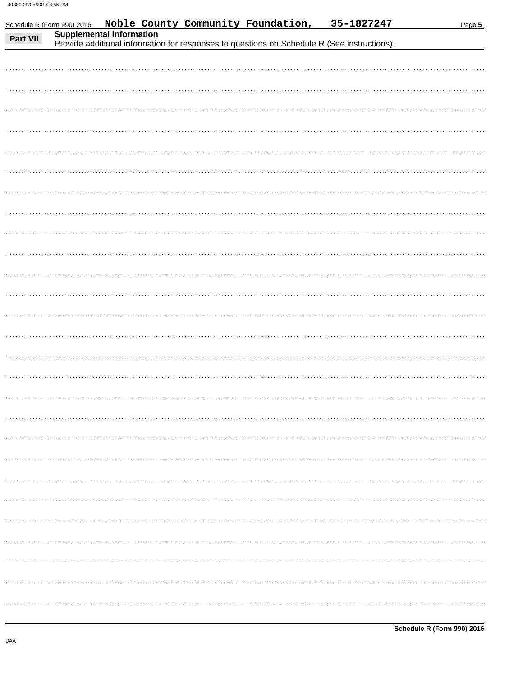Schedule R (Form 990) 2016

| Part VII | Supplemental Information<br>Provide additional information for responses to questions on Schedule R (See instructions). |
|----------|-------------------------------------------------------------------------------------------------------------------------|
|          |                                                                                                                         |
|          |                                                                                                                         |
|          |                                                                                                                         |
|          |                                                                                                                         |
|          |                                                                                                                         |
|          |                                                                                                                         |
|          |                                                                                                                         |
|          |                                                                                                                         |
|          |                                                                                                                         |
|          |                                                                                                                         |
|          |                                                                                                                         |
|          |                                                                                                                         |
|          |                                                                                                                         |
|          |                                                                                                                         |
|          |                                                                                                                         |
|          |                                                                                                                         |
|          |                                                                                                                         |
|          |                                                                                                                         |
|          |                                                                                                                         |
|          |                                                                                                                         |
|          |                                                                                                                         |
|          |                                                                                                                         |
|          |                                                                                                                         |
|          |                                                                                                                         |
|          |                                                                                                                         |
|          |                                                                                                                         |

Noble County Community Foundation, 35-1827247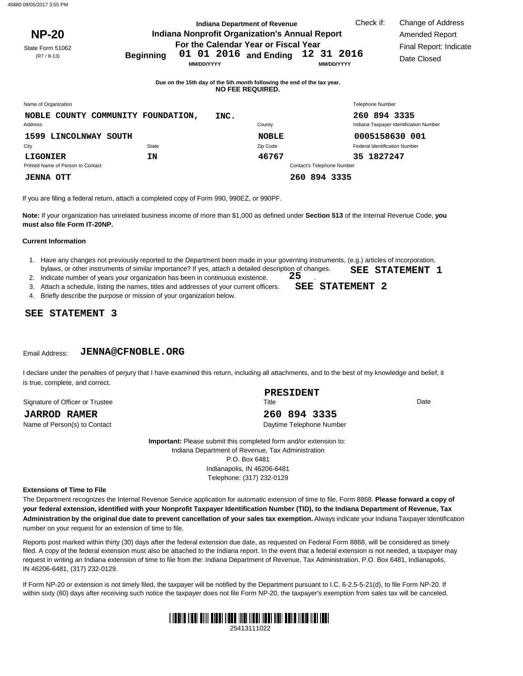|                                                |                                       | <b>Indiana Department of Revenue</b>                                                        |                                 | Check if:                            | Change of Address                      |  |
|------------------------------------------------|---------------------------------------|---------------------------------------------------------------------------------------------|---------------------------------|--------------------------------------|----------------------------------------|--|
| <b>NP-20</b>                                   |                                       | Indiana Nonprofit Organization's Annual Report                                              |                                 |                                      | Amended Report                         |  |
| State Form 51062<br>$(R7/8-13)$                | <b>Beginning</b><br><b>MM/DD/YYYY</b> | For the Calendar Year or Fiscal Year<br>01 01 2016 and Ending                               | 12 31 2016<br><b>MM/DD/YYYY</b> |                                      | Final Report: Indicate<br>Date Closed  |  |
|                                                |                                       | Due on the 15th day of the 5th month following the end of the tax year.<br>NO FEE REQUIRED. |                                 |                                      |                                        |  |
| Name of Organization                           |                                       |                                                                                             |                                 | <b>Telephone Number</b>              |                                        |  |
| COUNTY<br>COMMUNITY<br><b>NOBLE</b><br>Address | <b>FOUNDATION,</b>                    | INC.<br>County                                                                              |                                 | 260 894 3335                         | Indiana Taxpayer Identification Number |  |
| 1599 LINCOLNWAY SOUTH                          |                                       | <b>NOBLE</b>                                                                                |                                 | 0005158630 001                       |                                        |  |
| City                                           | State                                 | Zip Code                                                                                    |                                 | <b>Federal Identification Number</b> |                                        |  |
| LIGONIER<br>Printed Name of Person to Contact  | ΙN                                    | 46767                                                                                       | Contact's Telephone Number      | 35 1827247                           |                                        |  |
| <b>JENNA OTT</b>                               |                                       |                                                                                             | 260 894 3335                    |                                      |                                        |  |

If you are filing a federal return, attach a completed copy of Form 990, 990EZ, or 990PF.

**Note:** If your organization has unrelated business income of more than \$1,000 as defined under **Section 513** of the Internal Revenue Code, **you must also file Form IT-20NP.**

### **Current Information**

- 1. Have any changes not previously reported to the Department been made in your governing instruments, (e.g.) articles of incorporation, bylaws, or other instruments of similar importance? If yes, attach a detailed description of changes. on of changes. **SEE STATEMENT 1**<br>25
- 2. Indicate number of years your organization has been in continuous existence.
- 3. Attach a schedule, listing the names, titles and addresses of your current officers.
- 4. Briefly describe the purpose or mission of your organization below.

### **SEE STATEMENT 3**

#### Email Address: **JENNA@CFNOBLE.ORG**

I declare under the penalties of perjury that I have examined this return, including all attachments, and to the best of my knowledge and belief, it is true, complete, and correct.

Signature of Officer or Trustee

## **JARROD RAMER 260 894 3335**

Name of Person(s) to Contact and Daytime Telephone Number

**Important:** Please submit this completed form and/or extension to: Indiana Department of Revenue, Tax Administration P.O. Box 6481 Indianapolis, IN 46206-6481 Telephone: (317) 232-0129

#### **Extensions of Time to File**

The Department recognizes the Internal Revenue Service application for automatic extension of time to file, Form 8868. **Please forward a copy of your federal extension, identified with your Nonprofit Taxpayer Identification Number (TID), to the Indiana Department of Revenue, Tax Administration by the original due date to prevent cancellation of your sales tax exemption.** Always indicate your Indiana Taxpayer Identification number on your request for an extension of time to file.

Reports post marked within thirty (30) days after the federal extension due date, as requested on Federal Form 8868, will be considered as timely filed. A copy of the federal extension must also be attached to the Indiana report. In the event that a federal extension is not needed, a taxpayer may request in writing an Indiana extension of time to file from the: Indiana Department of Revenue, Tax Administration, P.O. Box 6481, Indianapolis, IN 46206-6481, (317) 232-0129.

within sixty (60) days after receiving such notice the taxpayer does not file Form NP-20, the taxpayer's exemption from sales tax will be canceled. If Form NP-20 or extension is not timely filed, the taxpayer will be notified by the Department pursuant to I.C. 6-2.5-5-21(d), to file Form NP-20. If



**SEE STATEMENT 2**

.

**PRESIDENT**

Title Date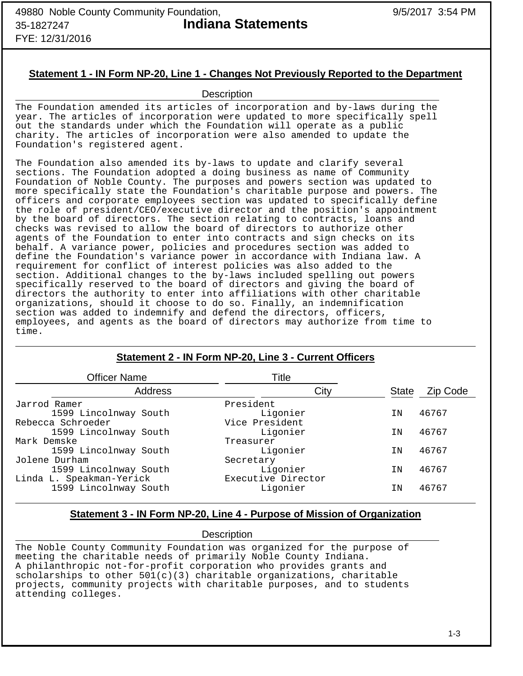## **Statement 1 - IN Form NP-20, Line 1 - Changes Not Previously Reported to the Department**

## **Description**

The Foundation amended its articles of incorporation and by-laws during the year. The articles of incorporation were updated to more specifically spell out the standards under which the Foundation will operate as a public charity. The articles of incorporation were also amended to update the Foundation's registered agent.

The Foundation also amended its by-laws to update and clarify several sections. The Foundation adopted a doing business as name of Community Foundation of Noble County. The purposes and powers section was updated to more specifically state the Foundation's charitable purpose and powers. The officers and corporate employees section was updated to specifically define the role of president/CEO/executive director and the position's appointment by the board of directors. The section relating to contracts, loans and checks was revised to allow the board of directors to authorize other agents of the Foundation to enter into contracts and sign checks on its behalf. A variance power, policies and procedures section was added to define the Foundation's variance power in accordance with Indiana law. A requirement for conflict of interest policies was also added to the section. Additional changes to the by-laws included spelling out powers specifically reserved to the board of directors and giving the board of directors the authority to enter into affiliations with other charitable organizations, should it choose to do so. Finally, an indemnification section was added to indemnify and defend the directors, officers, employees, and agents as the board of directors may authorize from time to time.

| <b>Officer Name</b>      | Title              |              |          |
|--------------------------|--------------------|--------------|----------|
| Address                  | City               | <b>State</b> | Zip Code |
| Jarrod Ramer             | President          |              |          |
| 1599 Lincolnway South    | Ligonier           | ΙN           | 46767    |
| Rebecca Schroeder        | Vice President     |              |          |
| 1599 Lincolnway South    | Ligonier           | ΙN           | 46767    |
| Mark Demske              | Treasurer          |              |          |
| 1599 Lincolnway South    | Ligonier           | ΙN           | 46767    |
| Jolene Durham            | Secretary          |              |          |
| 1599 Lincolnway South    | Ligonier           | ΙN           | 46767    |
| Linda L. Speakman-Yerick | Executive Director |              |          |
| 1599 Lincolnway South    | Ligonier           | ΙN           | 46767    |

## **Statement 2 - IN Form NP-20, Line 3 - Current Officers**

## **Statement 3 - IN Form NP-20, Line 4 - Purpose of Mission of Organization**

## **Description**

The Noble County Community Foundation was organized for the purpose of meeting the charitable needs of primarily Noble County Indiana. A philanthropic not-for-profit corporation who provides grants and scholarships to other  $501(c)(3)$  charitable organizations, charitable projects, community projects with charitable purposes, and to students attending colleges.